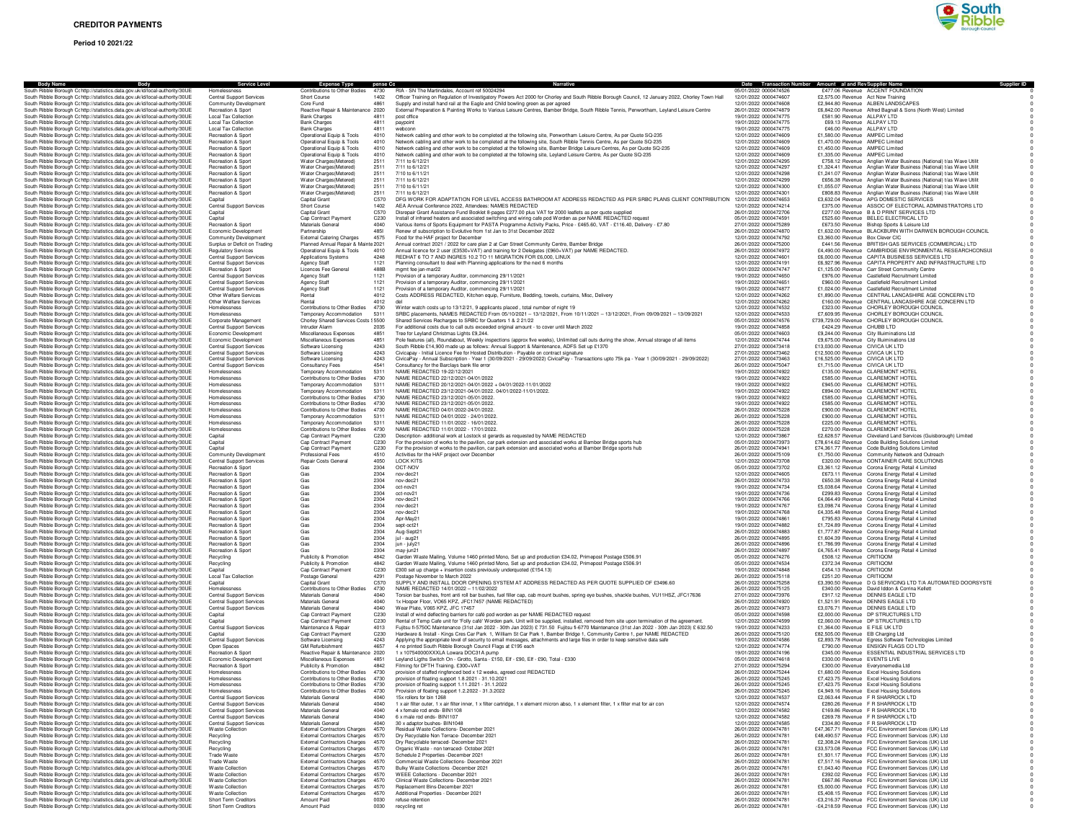# **Period 10 2021/22**



| Body<br><b>Body Name</b>                                                                                                                                       | <b>Service Level</b>                                    | Expense Type pense Co<br>Contributions to Other Bodies<br>4730               |      | RIA - SN The Martindales, Account ref 50024294                                                                                                                                                                                                    | Date Transaction Number Amount al and Rev Supplier Name<br>05/01/2022 0000474526 |                                                              | <b>Supplier ID</b>                                                                                                                         |
|----------------------------------------------------------------------------------------------------------------------------------------------------------------|---------------------------------------------------------|------------------------------------------------------------------------------|------|---------------------------------------------------------------------------------------------------------------------------------------------------------------------------------------------------------------------------------------------------|----------------------------------------------------------------------------------|--------------------------------------------------------------|--------------------------------------------------------------------------------------------------------------------------------------------|
| South Ribble Borough Cc http://statistics.data.gov.uk/id/local-authority/30UE<br>South Ribble Borough Cc http://statistics.data.gov.uk/id/local-authority/30UE | Home<br>Central Support Services                        | Short Course                                                                 | 1402 | Officer Training on Regulation of Investigatory Powers Act 2000 for Chorley and South Ribble Borough Council, 12 January 2022, Chorley Town Hall                                                                                                  | 12/01/2022 0000474607                                                            | £2,575.00 Revenue Act Now Training                           | £477.06 Revenue ACCENT FOUNDATION                                                                                                          |
| South Ribble Borough Cc http://statistics.data.gov.uk/id/local-authority/30UE                                                                                  | Community Development                                   | Core Fund<br>4861                                                            |      | Supply and install hand rail at the Eagle and Child bowling green as per agreed                                                                                                                                                                   | 12/01/2022 0000474608                                                            |                                                              | £2,944.80 Revenue ALBEN LANDSCAPES                                                                                                         |
| South Ribble Borough Cohttp://statistics.data.gov.uk/id/local-authority/30UE                                                                                   | Recreation & Sport                                      | Reactive Repair & Maintenance 2020                                           |      | External Preparation & Painting Works to Various Leisure Centres, Bamber Bridge, South Ribble Tennis, Penwortham, Leyland Leisure Centre                                                                                                          | 26/01/2022 0000474879                                                            |                                                              | £6,842.00 Revenue Alfred Bagnall & Sons (North West) Limited                                                                               |
| South Ribble Borough C: http://statistics.data.gov.uk/id/local-authority/30UE                                                                                  | <b>Local Tax Collection</b>                             | <b>Bank Charges</b><br>4811                                                  |      | post office                                                                                                                                                                                                                                       | 19/01/2022 0000474775                                                            | £581.90 Revenue ALLPAY LTD                                   |                                                                                                                                            |
| South Bibble Borough Cribtto://statistics.data.gov.uk/id/local-authority/30UE                                                                                  | <b>Local Tax Collection</b>                             | <b>Bank Charges</b><br>4811                                                  |      | paypoint                                                                                                                                                                                                                                          | 19/01/2022 0000474775                                                            | £69.13 Revenue ALLPAY LTD                                    |                                                                                                                                            |
| South Ribble Borough Cohttp://statistics.data.gov.uk/id/local-authority/30UE                                                                                   | <b>Local Tax Collection</b>                             | <b>Bank Charges</b><br>4811                                                  |      | webconn<br>Network cabling and other work to be completed at the following site. Penwortham Leisure Centre, As per Quote SQ-235                                                                                                                   | 19/01/2022 0000474775<br>12/01/2022 0000474609                                   | £46.00 Revenue ALLPAY LTD<br>£1,580.00 Revenue AMPEC Limited |                                                                                                                                            |
| South Ribble Borough Cohttp://statistics.data.gov.uk/id/local-authority/30UE<br>South Ribble Borough Cohttp://statistics.data.gov.uk/id/local-authority/30UE   | Recreation & Sport<br>Recreation & Sport                | Operational Equip & Tools<br>4010<br>Operational Equip & Tools<br>4010       |      |                                                                                                                                                                                                                                                   | 12/01/2022 0000474609                                                            | £1,470.00 Revenue AMPEC Limited                              |                                                                                                                                            |
| South Ribble Borough Cc http://statistics.data.gov.uk/id/local-authority/30UE                                                                                  | Recreation & Sport                                      | Operational Equip & Tools<br>4010                                            |      | Network cabling and other work to be completed at the following site, South Ribble Tennis Centre, As per Quote SQ-235<br>Network cabling and other work to be completed at the following site, Bamber Bridge Leisure Centres, As per Quote SQ-235 | 12/01/2022 0000474609                                                            | £1,450.00 Revenue AMPEC Limited                              |                                                                                                                                            |
| South Ribble Borough C: http://statistics.data.gov.uk/id/local-authority/30UE                                                                                  | Recreation & Sport                                      | Operational Equip & Tools<br>4010                                            |      | Network cabling and other work to be completed at the following site, Leyland Leisure Centre, As per Quote SQ-235                                                                                                                                 | 12/01/2022 0000474609                                                            | £1,335.00 Revenue AMPEC Limited                              |                                                                                                                                            |
| South Ribble Borough Cohttp://statistics.data.gov.uk/id/local-authority/30UE                                                                                   | Recreation & Sport                                      | Water Charges(Metered)<br>2511                                               |      | 7/11 to 6/12/21                                                                                                                                                                                                                                   | 12/01/2022 0000474295                                                            |                                                              | £758.12 Revenue Anglian Water Business (National) t/as Wave Utilit                                                                         |
| South Ribble Borough Cohttp://statistics.data.gov.uk/id/local-authority/30UE                                                                                   | Recreation & Sport                                      | Water Charges(Metered)<br>2511                                               |      | 7/11 to 6/12/21                                                                                                                                                                                                                                   | 12/01/2022 0000474297                                                            |                                                              | £1,324.41 Revenue Anglian Water Business (National) t/as Wave Utilit                                                                       |
| South Ribble Borough Cr http://statistics.data.gov.uk/id/local-authority/30UE                                                                                  | Recreation & Sport                                      | Water Charges(Metered)<br>2511                                               |      | 7/10 to 6/11/21                                                                                                                                                                                                                                   | 12/01/2022 0000474298                                                            |                                                              | £1,241.07 Revenue Anglian Water Business (National) t/as Wave Utilit                                                                       |
| South Ribble Borough Cohttp://statistics.data.gov.uk/id/local-authority/30UE<br>South Ribble Borough Cohttp://statistics.data.gov.uk/id/local-authority/30UE   | Recreation & Sport                                      | Water Charges(Metered)<br>2511<br>2511                                       |      | 7/11 to 6/12/21                                                                                                                                                                                                                                   | 12/01/2022 0000474299<br>12/01/2022 0000474300                                   |                                                              | £656.38 Revenue Anglian Water Business (National) t/as Wave Utilit                                                                         |
| South Ribble Borough Cohttp://statistics.data.gov.uk/id/local-authority/30UE                                                                                   | Recreation & Sport<br>Recreation & Sport                | Water Charges(Metered)<br>Water Charges(Metered)<br>2511                     |      | 7/10 to 6/11/21<br>7/11 to 6/12/21                                                                                                                                                                                                                | 12/01/2022 0000474301                                                            |                                                              | £1,055.07 Revenue Anglian Water Business (National) t/as Wave Utilit<br>£808.83 Revenue Anglian Water Business (National) t/as Wave Utilit |
| South Ribble Borough Cc http://statistics.data.gov.uk/id/local-authority/30UE                                                                                  | Capital                                                 | Capital Grant<br>C <sub>570</sub>                                            |      | DFG WORK FOR ADAPTATION FOR LEVEL ACCESS BATHROOM AT ADDRESS REDACTED AS PER SRBC PLANS CLIENT CONTRIBUTION 12/01/2022 0000474653                                                                                                                 |                                                                                  |                                                              | £3,632.04 Revenue APG DOMESTIC SERVICES                                                                                                    |
| South Ribble Borough Cc http://statistics.data.gov.uk/id/local-authority/30UE                                                                                  | <b>Central Support Services</b>                         | Short Course<br>1402                                                         |      | AEA Annual Conference 2022, Attendees: NAMES REDACTED                                                                                                                                                                                             | 12/01/2022 0000474214                                                            |                                                              | £375.00 Revenue ASSOC OF ELECTORAL ADMINISTRATORS LTD                                                                                      |
| South Ribble Borough Cohttp://statistics.data.gov.uk/id/local-authority/30UE                                                                                   | Capital                                                 | Capital Grant<br>C570                                                        |      | Disrepair Grant Assistance Fund Booklet 8-pages £277.00 plus VAT for 2000 leaflets as per quote supplied                                                                                                                                          | 26/01/2022 0000472706                                                            |                                                              | £277.00 Revenue B & D PRINT SERVICES LTD                                                                                                   |
| South Ribble Borough C: http://statistics.data.gov.uk/id/local-authority/30UE                                                                                  | Capital                                                 | Cap Contract Payment                                                         | C230 | Install of infrared heaters and associated switching and wiring cafe pod Worden as per NAME REDACTED request                                                                                                                                      | 05/01/2022 0000474591                                                            |                                                              | £525.60 Revenue BELEC ELECTRICAL LTD                                                                                                       |
| South Ribble Borough C: http://statistics.data.gov.uk/id/local-authority/30UE<br>South Ribble Borough Cohttp://statistics.data.gov.uk/id/local-authority/30UE  | Recreation & Sport<br>Economic Development              | Materials General<br>4040<br>Partnership<br>4851                             |      | Various items of Sports Equipment for PASTA Programme Activity Packs, Price - £465.60, VAT - £116.40, Delivery - £7.80                                                                                                                            | 27/01/2022 0000475289<br>26/01/2022 0000474870                                   |                                                              | £673.50 Revenue Bishop Sports & Leisure Ltd<br>£1,632.00 Revenue BLACKBURN WITH DARWEN BOROUGH COUNCIL                                     |
| South Ribble Borough Cohttp://statistics.data.gov.uk/id/local-authority/30UE                                                                                   | Community Development                                   | <b>External Catering Charges</b><br>4575                                     |      | Renew of subscription to Evolutive from 1st Jan to 31st December 2022<br>Eood for the HAE project for December                                                                                                                                    | 12/01/2022 0000474792                                                            | £3,360.00 Bevenue Box Clever CIC                             |                                                                                                                                            |
| South Ribble Borough Cc http://statistics.data.gov.uk/id/local-authority/30UE                                                                                  | Surplus or Deficit on Trading                           | Planned Annual Repair & Mainte 2021                                          |      | Annual contract 2021 / 2022 for care plan 2 at Carr Street Community Centre, Bamber Bridge                                                                                                                                                        | 26/01/2022 0000475200                                                            |                                                              | £441.56 Revenue BRITISH GAS SERVICES (COMMERCIAL) LTD                                                                                      |
| South Ribble Borough Cc http://statistics.data.gov.uk/id/local-authority/30UE                                                                                  | <b>Regulatory Services</b>                              | Operational Equip & Tools<br>4010                                            |      | Annual licence for 2 user (£3530+VAT) and training for 2 Delegates (£960+VAT) per NAME REDACTED.                                                                                                                                                  | 26/01/2022 0000474972                                                            |                                                              | £4,490.00 Bevenue CAMBRIDGE ENVIRONMENTAL RESEARCHCONSUL                                                                                   |
| South Ribble Borough C: http://statistics.data.gov.uk/id/local-authority/30UE                                                                                  | <b>Central Support Services</b>                         | Applications Systems<br>4248                                                 |      | REDHAT 6 TO 7 AND INGRES 10.2 TO 11 MIGRATION FOR £6,000, LINUX                                                                                                                                                                                   | 12/01/2022 0000474601                                                            |                                                              | £6,000.00 Revenue CAPITA BUSINESS SERVICES LTD                                                                                             |
| South Ribble Borough Cc http://statistics.data.gov.uk/id/local-authority/30UE                                                                                  | <b>Central Support Services</b>                         | Agency Staff<br>1121                                                         |      | Planning consultant to deal with Planning applications for the next 6 months                                                                                                                                                                      | 12/01/2022 0000474191                                                            |                                                              | £6,927.96 Revenue CAPITA PROPERTY AND INFRASTRUCTURE LTD                                                                                   |
| South Ribble Borough Cohttp://statistics.data.gov.uk/id/local-authority/30UE<br>South Ribble Borough C: http://statistics.data.gov.uk/id/local-authority/30UE  | Recreation & Sport<br><b>Central Support Services</b>   | Licences Fee General<br>488B<br><b>Agency Staff</b>                          | 1121 | mgmt fee jan-mar22<br>Provision of a temporary Auditor, commencing 29/11/2021                                                                                                                                                                     | 19/01/2022 0000474747<br>19/01/2022 0000474650                                   |                                                              | £1,125.00 Revenue Carr Street Community Centre<br>£976.00 Revenue Castlefield Recruitment Limited                                          |
| South Ribble Borough Cohttp://statistics.data.gov.uk/id/local-authority/30UE                                                                                   | <b>Central Support Services</b>                         | 1121<br><b>Agency Staff</b>                                                  |      | Provision of a temporary Auditor, commencing 29/11/2021                                                                                                                                                                                           | 19/01/2022 0000474651                                                            |                                                              | £960.00 Revenue Castlefield Recruitment Limited                                                                                            |
| South Ribble Borough Cohttp://statistics.data.gov.uk/id/local-authority/30UE                                                                                   | <b>Central Support Services</b>                         | <b>Agency Staff</b><br>1121                                                  |      | Provision of a temporary Auditor, commencing 29/11/2021                                                                                                                                                                                           | 19/01/2022 0000474877                                                            |                                                              | £1.024.00 Revenue Castlefield Recruitment Limited                                                                                          |
| South Ribble Borough C; http://statistics.data.gov.uk/id/local-authority/30UE                                                                                  | Other Welfare Services                                  | Rental<br>4012                                                               |      | Costs ADDRESS REDACTED, Kitchen equip, Furniture, Bedding, towels, curtains, Misc, Delivery                                                                                                                                                       | 12/01/2022 0000474262                                                            |                                                              | £1,890.00 Revenue CENTRAL LANCASHIRE AGE CONCERN LTD                                                                                       |
| South Ribble Borough Cc http://statistics.data.gov.uk/id/local-authority/30UE                                                                                  | Other Welfare Services                                  | Rental<br>4012                                                               |      | del                                                                                                                                                                                                                                               | 12/01/2022 0000474262                                                            |                                                              | £160.00 Revenue CENTRAL LANCASHIRE AGE CONCERN LTD                                                                                         |
| South Ribble Borough Cc http://statistics.data.gov.uk/id/local-authority/30UE                                                                                  | Homelessness                                            | Contributions to Other Bodies<br>4730                                        |      | Winter watch costs up to 13/12/21, 9 applicants placed, total number of night 19                                                                                                                                                                  | 12/01/2022 0000474532                                                            |                                                              | £323.00 Revenue CHORLEY BOROUGH COUNCIL                                                                                                    |
| South Ribble Borough C: http://statistics.data.gov.uk/id/local-authority/30UE                                                                                  | Homelessness                                            | 5311<br>Temporary Accommodation                                              |      | SRBC placements, NAMES REDACTED From 05/10/2021 - 13/12/2021, From 10/11/2021 - 13/12/2021, From 09/09/2021 - 13/09/2021                                                                                                                          | 12/01/2022 0000474533                                                            |                                                              | £7,609.95 Revenue CHORLEY BOROUGH COUNCIL                                                                                                  |
| South Ribble Borough Cc http://statistics.data.gov.uk/id/local-authority/30UE<br>South Ribble Borough C: http://statistics.data.gov.uk/id/local-authority/30UE | Corporate Management<br><b>Central Support Services</b> | Chorley Shared Services Costs § 5500<br>Intruder Alarm<br>2035               |      | Shared Services Recharges to SRBC for Quarters 1 & 2 21/22<br>For additional costs due to call outs exceeded original amount - to cover until March 2022                                                                                          | 05/01/2022 0000474576<br>19/01/2022 0000474858                                   | £424.29 Revenue CHUBB LTD                                    | £739,729.00 Revenue CHORLEY BOROUGH COUNCIL                                                                                                |
| South Ribble Borough C: http://statistics.data.gov.uk/id/local-authority/30UE                                                                                  | Economic Development                                    | Miscellaneous Expenses<br>4851                                               |      | Tree for Leyland Christmas Lights £9,244.                                                                                                                                                                                                         | 05/01/2022 0000474603                                                            |                                                              | £9,244.00 Revenue City Illuiminations Ltd                                                                                                  |
| South Ribble Borough Cohttp://statistics.data.gov.uk/id/local-authority/30UE                                                                                   | Economic Development                                    | Miscellaneous Expenses<br>4851                                               |      | Pole features (all), Roundabout, Weekly inspections (approx five weeks), Unlimited call outs during the show, Annual storage of all items                                                                                                         | 12/01/2022 0000474744                                                            |                                                              | £9,675.00 Revenue City Illuiminations Ltd                                                                                                  |
| South Ribble Borough Cohttp://statistics.data.gov.uk/id/local-authority/30UE                                                                                   | <b>Central Support Services</b>                         | 4243<br>Software Licensing                                                   |      | South Ribble £14,900 made up as follows: Annual Support & Maintenance, ADFS Set up £1370                                                                                                                                                          | 27/01/2022 0000473418                                                            | £13,030.00 Revenue CIVICA UK LTD                             |                                                                                                                                            |
| South Ribble Borough Cc http://statistics.data.gov.uk/id/local-authority/30UE                                                                                  | Central Support Services                                | Software Licensing<br>4243                                                   |      | Civicapay - Initial Licence Fee for Hosted Distribution - Payable on contract signature                                                                                                                                                           | 27/01/2022 0000473462                                                            | £12,500.00 Revenue CIVICA UK LTD                             |                                                                                                                                            |
| South Ribble Borough C: http://statistics.data.gov.uk/id/local-authority/30UE                                                                                  | Central Support Services                                | Software Licensing<br>4243                                                   |      | CivicaPay - Annual Subscription - Year 1 (30/09/2021 - 29/09/2022) CivicaPay - Transactions upto 75k pa - Year 1 (30/09/2021 - 29/09/2022)                                                                                                        | 27/01/2022 0000473463                                                            | £16,525.00 Revenue CIVICA UK LTD                             |                                                                                                                                            |
| South Ribble Borough C: http://statistics.data.gov.uk/id/local-authority/30UE                                                                                  | <b>Central Support Services</b>                         | Consultancy Fees<br>4541                                                     |      | Consultancy for the Barclays bank file error                                                                                                                                                                                                      | 26/01/2022 0000475047                                                            | £1,715.00 Revenue CIVICA UK LTD                              | £135.00 Revenue CLAREMONT HOTEL                                                                                                            |
| South Ribble Borough Cohttp://statistics.data.gov.uk/id/local-authority/30UE<br>South Ribble Borough Cohttp://statistics.data.gov.uk/id/local-authority/30UE   | Homelessness<br>Homelessness                            | Temporary Accommodation<br>5311<br>Contributions to Other Bodies<br>4730     |      | NAME REDACTED 19-22/12/2021<br>NAME REDACTED 22/12/2021-04/01/2022                                                                                                                                                                                | 19/01/2022 0000474922<br>19/01/2022 0000474922                                   |                                                              | £585.00 Revenue CLAREMONT HOTEL                                                                                                            |
| South Ribble Borough Cohttp://statistics.data.gov.uk/id/local-authority/30UE                                                                                   | Homelessness                                            | 5311<br>Temporary Accommodation                                              |      | NAME REDACTED 20/12/2021-04/01/2022 + 04/01/2022-11/01/2022                                                                                                                                                                                       | 19/01/2022 0000474922                                                            |                                                              | £945.00 Revenue CLAREMONT HOTEL                                                                                                            |
| South Ribble Borough Cc http://statistics.data.gov.uk/id/local-authority/30UE                                                                                  | Homelessness                                            | Temporary Accommodation<br>5311                                              |      | NAME REDACTED 23/12/2021-04/01/2022. 04/01/2022-11/01/2022.                                                                                                                                                                                       | 19/01/2022 0000474922                                                            |                                                              | £894.00 Revenue CLAREMONT HOTEL                                                                                                            |
| South Ribble Borough C; http://statistics.data.gov.uk/id/local-authority/30UE                                                                                  | Homelessness                                            | Contributions to Other Bodies<br>4730                                        |      | NAME REDACTED 23/12/2021-05/01/2022.                                                                                                                                                                                                              | 19/01/2022 0000474922                                                            |                                                              | £585.00 Revenue CLAREMONT HOTEL                                                                                                            |
| South Ribble Borough Cohttp://statistics.data.gov.uk/id/local-authority/30UE                                                                                   | Homelessness                                            | Contributions to Other Bodies 4730                                           |      | NAME REDACTED 23/12/2021-05/01/2022.                                                                                                                                                                                                              | 19/01/2022 0000474922                                                            |                                                              | £585.00 Revenue CLAREMONT HOTEL                                                                                                            |
| South Ribble Borough Cc http://statistics.data.gov.uk/id/local-authority/30UE                                                                                  | Homelessness                                            | Contributions to Other Bodies<br>4730                                        |      | NAME REDACTED 04/01/2022-24/01/2022.                                                                                                                                                                                                              | 26/01/2022 0000475228                                                            |                                                              | £900.00 Revenue CLAREMONT HOTEL                                                                                                            |
| South Ribble Borough C: http://statistics.data.gov.uk/id/local-authority/30UE                                                                                  | Homelessness                                            | 5311<br>Temporary Accommodation                                              |      | NAME REDACTED 04/01/2022 - 24/01/2022                                                                                                                                                                                                             | 26/01/2022 0000475228<br>26/01/2022 0000475228                                   |                                                              | £900.00 Revenue CLAREMONT HOTEL                                                                                                            |
| South Ribble Borough Cr http://statistics.data.gov.uk/id/local-authority/30UE<br>South Ribble Borough Cohttp://statistics.data.gov.uk/id/local-authority/30UE  | Homelessness<br>Homelessness                            | Temporary Accommodation<br>5311<br>Contributions to Other Bodies<br>4730     |      | NAME REDACTED 11/01/2022 - 16/01/2022.<br>NAME REDACTED 11/01/2022 - 17/01/2022                                                                                                                                                                   | 26/01/2022 0000475228                                                            |                                                              | £225.00 Revenue CLAREMONT HOTEL<br>£270.00 Revenue CLAREMONT HOTEL                                                                         |
| South Ribble Borough Cohttp://statistics.data.gov.uk/id/local-authority/30UE                                                                                   | Capital                                                 | Cap Contract Payment<br>C230                                                 |      | Description- additional work at Lostock st gerards as requested by NAME REDACTED                                                                                                                                                                  | 12/01/2022 0000473867                                                            |                                                              | £2,628.57 Revenue Cleveland Land Services (Guisborough) Limited                                                                            |
| South Ribble Borough Cohttp://statistics.data.gov.uk/id/local-authority/30UE                                                                                   | Capital                                                 | Cap Contract Payment<br>C230                                                 |      | For the provision of works to the payilion, car park extension and associated works at Bamber Bridge sports hub                                                                                                                                   | 05/01/2022 0000473973                                                            |                                                              | £78,614,62 Revenue Code Building Solutions Limited                                                                                         |
| South Ribble Borough Cohttp://statistics.data.gov.uk/id/local-authority/30UE                                                                                   | Capital                                                 | C230<br>Cap Contract Payment                                                 |      | For the provision of works to the pavilion, car park extension and associated works at Bamber Bridge sports hub                                                                                                                                   | 26/01/2022 0000474941                                                            |                                                              | £74.361.77 Revenue Code Building Solutions Limited                                                                                         |
| South Ribble Borough Cohttp://statistics.data.gov.uk/id/local-authority/30UE                                                                                   | Community Development                                   | 4510<br>Professional Fees                                                    |      | Activities for the HAF project over December                                                                                                                                                                                                      | 26/01/2022 0000475109                                                            |                                                              | £1,750.00 Revenue Community Network and Outreach                                                                                           |
| South Ribble Borough Cc http://statistics.data.gov.uk/id/local-authority/30UE                                                                                  | Central Support Services                                | Repair Costs General<br>4050                                                 |      | <b>LOCK KITS</b>                                                                                                                                                                                                                                  | 12/01/2022 0000473708                                                            |                                                              | £320.00 Revenue CONTAINER CARE SOLUTIONS                                                                                                   |
| South Ribble Borough C: http://statistics.data.gov.uk/id/local-authority/30UE                                                                                  | Recreation & Sport                                      | Gas<br>2304                                                                  |      | OCT-NOV                                                                                                                                                                                                                                           | 05/01/2022 0000473702                                                            |                                                              | £3,361.12 Revenue Corona Energy Retail 4 Limited                                                                                           |
| South Ribble Borough Cc http://statistics.data.gov.uk/id/local-authority/30UE                                                                                  | Recreation & Spor<br>Recreation & Spor                  | Gas<br>2304<br>2304                                                          |      | nov-dec21<br>nov-dec21                                                                                                                                                                                                                            | 12/01/2022 0000474605<br>26/01/2022 0000474733                                   |                                                              | £673.11 Revenue Corona Energy Retail 4 Limited<br>£650.38 Revenue Corona Energy Retail 4 Limited                                           |
| South Ribble Borough Cc http://statistics.data.gov.uk/id/local-authority/30UE<br>South Ribble Borough C: http://statistics.data.gov.uk/id/local-authority/30UE | Recreation & Sport                                      | Gas<br>Gas<br>2304                                                           |      | oct-nov21                                                                                                                                                                                                                                         | 19/01/2022 0000474734                                                            |                                                              | £5,038.64 Revenue Corona Energy Retail 4 Limited                                                                                           |
| South Ribble Borough C: http://statistics.data.gov.uk/id/local-authority/30UE                                                                                  | Recreation & Sport                                      | 2304<br>Gas                                                                  |      | oct-nov21                                                                                                                                                                                                                                         | 19/01/2022 0000474736                                                            |                                                              | £299.83 Revenue Corona Energy Retail 4 Limited                                                                                             |
| South Ribble Borough C; http://statistics.data.gov.uk/id/local-authority/30UE                                                                                  | <b>Recreation &amp; Sport</b>                           | Gas<br>2304                                                                  |      | nov-dec21                                                                                                                                                                                                                                         | 19/01/2022 0000474766                                                            |                                                              | £4,064.49 Revenue Corona Energy Retail 4 Limited                                                                                           |
| South Ribble Borough Cohttp://statistics.data.gov.uk/id/local-authority/30UE                                                                                   | Recreation & Sport                                      | 2304<br>Gas                                                                  |      | nov-dec21                                                                                                                                                                                                                                         | 19/01/2022 0000474767                                                            |                                                              | £3,098.74 Revenue Corona Energy Retail 4 Limited                                                                                           |
| South Ribble Borough Cc http://statistics.data.gov.uk/id/local-authority/30UE                                                                                  | Recreation & Sport                                      | Gas<br>2304                                                                  |      | nov-dec21                                                                                                                                                                                                                                         | 19/01/2022 0000474768                                                            |                                                              | £4,335.48 Revenue Corona Energy Retail 4 Limited                                                                                           |
| South Ribble Borough Cc http://statistics.data.gov.uk/id/local-authority/30UE                                                                                  | Recreation & Sport<br>Recreation & Spor                 | Gas<br>2304<br>2304                                                          |      | Apr-May21<br>sept-oct21                                                                                                                                                                                                                           | 19/01/2022 0000474861<br>19/01/2022 0000474882                                   |                                                              | £795.83 Revenue Corona Energy Retail 4 Limited                                                                                             |
| South Ribble Borough Cc http://statistics.data.gov.uk/id/local-authority/30UE<br>South Ribble Borough Cc http://statistics.data.gov.uk/id/local-authority/30UE | Recreation & Sport                                      | Gas<br>Gas<br>2304                                                           |      | Aug-Sept21                                                                                                                                                                                                                                        | 26/01/2022 0000474883                                                            |                                                              | £1,724.89 Revenue Corona Energy Retail 4 Limited<br>£1,777.87 Revenue Corona Energy Retail 4 Limited                                       |
| South Ribble Borough C: http://statistics.data.gov.uk/id/local-authority/30UE                                                                                  | Recreation & Sport                                      | Gas<br>2304                                                                  |      | jul - aug21                                                                                                                                                                                                                                       | 26/01/2022 0000474895                                                            |                                                              | £1,604.39 Revenue Corona Energy Retail 4 Limited                                                                                           |
| South Ribble Borough C: http://statistics.data.gov.uk/id/local-authority/30UE                                                                                  | Recreation & Sport                                      | Gas<br>2304                                                                  |      | jun - july21                                                                                                                                                                                                                                      | 26/01/2022 0000474896                                                            |                                                              | £1,786.99 Revenue Corona Energy Retail 4 Limited                                                                                           |
| South Ribble Borough Cohttp://statistics.data.gov.uk/id/local-authority/30UE                                                                                   | Recreation & Sport                                      | 2304<br>Gas                                                                  |      | may-jun21                                                                                                                                                                                                                                         | 26/01/2022 0000474897                                                            |                                                              | £4,765.41 Revenue Corona Energy Retail 4 Limited                                                                                           |
| South Ribble Borough C; http://statistics.data.gov.uk/id/local-authority/30UE                                                                                  | Recycling                                               | Publicity & Promotion<br>4842                                                |      | Garden Waste Mailing, Volume 1460 printed Mono, Set up and production £34.02, Primepost Postage £506.91                                                                                                                                           | 05/01/2022 0000474276                                                            | £508.12 Revenue CRITIQOM                                     |                                                                                                                                            |
| South Ribble Borough Cc http://statistics.data.gov.uk/id/local-authority/30UE                                                                                  | Recycling                                               | Publicity & Promotion<br>4842                                                |      | Garden Waste Mailing, Volume 1460 printed Mono, Set up and production £34.02, Primepost Postage £506.91                                                                                                                                           | 05/01/2022 0000474534                                                            | £372.34 Revenue CRITIQOM                                     |                                                                                                                                            |
| South Ribble Borough Cc http://statistics.data.gov.uk/id/local-authority/30UE<br>South Ribble Borough C: http://statistics.data.gov.uk/id/local-authority/30UE | Capital<br><b>Local Tax Collection</b>                  | Cap Contract Payment<br>C230<br>4291<br>Postage General                      |      | £300 set up charge + insertion costs previously underquoted (£154.13)<br>Postage November to March 2022                                                                                                                                           | 19/01/2022 0000474848<br>26/01/2022 0000475118                                   | £454.13 Revenue CRITIQOM<br>£251.20 Revenue CRITIQOM         |                                                                                                                                            |
| South Ribble Borough Cc http://statistics.data.gov.uk/id/local-authority/30UE                                                                                  | Capital                                                 | Capital Grant<br>C570                                                        |      | SUPPLY AND INSTALL DOOR OPENING SYSTEM AT ADDRESS REDACTED AS PER QUOTE SUPPLIED OF £3496.60                                                                                                                                                      | 26/01/2022 0000475258                                                            |                                                              | £3,390.50 Revenue D G SERVICING LTD T/A AUTOMATED DOORSYSTE                                                                                |
| South Ribble Borough C: http://statistics.data.gov.uk/id/local-authority/30UE                                                                                  | Homelessness                                            | Contributions to Other Bodies<br>4730                                        |      | NAME REDACTED 14/01/2022 - 11/02/2022                                                                                                                                                                                                             | 26/01/2022 0000475125                                                            |                                                              | £340.00 Revenue David Iddon & Corrina Kellett                                                                                              |
| South Ribble Borough C: http://statistics.data.gov.uk/id/local-authority/30UE                                                                                  | <b>Central Support Services</b>                         | 4040<br>Materials General                                                    |      | Torsion bar bushes, front anti roll bar bushes, fuel filler cap, cab mount bushes, spring eye bushes, shackle bushes, VU11HSZ, JFC17636                                                                                                           | 27/01/2022 0000473976                                                            |                                                              | £917.12 Revenue DENNIS EAGLE LTD                                                                                                           |
| South Ribble Borough Cohttp://statistics.data.gov.uk/id/local-authority/30UE                                                                                   | <b>Central Support Services</b>                         | 4040<br>Materials General                                                    |      | 1x Hooper Floor, VO65 KPZ, JFC17457 (NAME REDACTED)                                                                                                                                                                                               | 26/01/2022 0000474920                                                            |                                                              | £1,521.91 Revenue DENNIS EAGLE LTD                                                                                                         |
| South Ribble Borough Cohttp://statistics.data.gov.uk/id/local-authority/30UE                                                                                   | <b>Central Support Services</b>                         | 4040<br>Materials General                                                    |      | Wear Plate V065 KPZ JFC 17457<br>Install of wind deflecting barriers for café pod worden as per NAME REDACTED request                                                                                                                             | 26/01/2022 0000474973<br>05/01/2022 0000474598                                   |                                                              | £3,076.71 Revenue DENNIS EAGLE LTD<br>£2,000.00 Revenue DP STRUCTURES LTD                                                                  |
| South Ribble Borough Cohttp://statistics.data.gov.uk/id/local-authority/30UE<br>South Ribble Borough C: http://statistics.data.gov.uk/id/local-authority/30UE  | Capital<br>Capital                                      | C230<br>Cap Contract Payment<br>Cap Contract Payment<br>C230                 |      | Rental of Temp Cafe unit for 'Folly café' Worden park. Unit will be supplied, installed, removed from site upon termination of the agreement.                                                                                                     | 12/01/2022 0000474599                                                            |                                                              | £2,060.00 Revenue DP STRUCTURES LTD                                                                                                        |
| South Ribble Borough Cc http://statistics.data.gov.uk/id/local-authority/30UE                                                                                  | Central Support Services                                | Maintenance & Repair<br>4013                                                 |      | Fujitsu fi-5750C Maintenance (31st Jan 2022 - 30th Jan 2023) £ 731.50 Fujitsu fi-6770 Maintenance (31st Jan 2022 - 30th Jan 2023) £ 632.50                                                                                                        | 19/01/2022 0000474233                                                            | £1,364.00 Revenue E FILE UK LTD                              |                                                                                                                                            |
| South Ribble Borough Cohttp://statistics.data.gov.uk/id/local-authority/30UE                                                                                   | Capital                                                 | Cap Contract Payment<br>C230                                                 |      | Hardware & Install - Kings Cres Car Park 1, William St Car Park 1, Bamber Bridge 1, Community Centre 1, per NAME REDACTED                                                                                                                         | 26/01/2022 0000475120                                                            | £82,505.00 Revenue EB Charging Ltd                           |                                                                                                                                            |
| South Ribble Borough Cc http://statistics.data.gov.uk/id/local-authority/30UE                                                                                  | <b>Central Support Services</b>                         | Software Licensing<br>4243                                                   |      | Applying the appropriate level of security to email messages, attachments and large files in order to keep sensitive data safe                                                                                                                    | 19/01/2022 0000474586                                                            |                                                              | £2,893.78 Revenue Egress Software Technologies Limited                                                                                     |
| South Ribble Borough C: http://statistics.data.gov.uk/id/local-authority/30UE                                                                                  | Open Spaces                                             | <b>GM Refurbishment</b><br>4657                                              |      | 4 no printed South Ribble Borough Council Flags at £195 each                                                                                                                                                                                      | 12/01/2022 0000474774                                                            |                                                              | £790.00 Revenue ENSIGN FLAGS CO LTD                                                                                                        |
| South Ribble Borough C: http://statistics.data.gov.uk/id/local-authority/30UE                                                                                  | Recreation & Sport                                      | Reactive Repair & Maintenance 2020                                           |      | 1 x 107540000XXXLA Lowara DOC31A pump                                                                                                                                                                                                             | 19/01/2022 0000474196                                                            |                                                              | £345.00 Revenue ESSENTIAL INDUSTRIAL SERVICES LTD                                                                                          |
| South Ribble Borough Cohttp://statistics.data.gov.uk/id/local-authority/30UE<br>South Ribble Borough Cohttp://statistics.data.gov.uk/id/local-authority/30UE   | Economic Development<br>Recreation & Sport              | 4851<br>Miscellaneous Expenses<br>Publicity & Promotion                      | 4842 | Leyland Ligths Switch On - Grotto, Santa - £150, Elf - £90, Elf - £90, Total - £330<br>Filming for DFTH Training. £300+VAT                                                                                                                        | 05/01/2022 0000474618<br>27/01/2022 0000475294                                   | £330.00 Revenue EVENTS LIVE                                  | £300.00 Revenue Everyonemedia Ltd                                                                                                          |
| South Ribble Borough Cc http://statistics.data.gov.uk/id/local-authority/30UE                                                                                  | Homelessness                                            | Contributions to Other Bodies 4730                                           |      | provision of staffed ringfenced bed x 12 weeks, agreed cost REDACTED                                                                                                                                                                              | 26/01/2022 0000475244                                                            |                                                              | £1,680.00 Revenue Excel Housing Solutions                                                                                                  |
| South Ribble Borough Cc http://statistics.data.gov.uk/id/local-authority/30UE                                                                                  | Homelessness                                            | Contributions to Other Bodies 4730                                           |      | provision of floating support 1.8.2021 - 31.10.2021                                                                                                                                                                                               | 26/01/2022 0000475245                                                            |                                                              | £7,423.75 Revenue Excel Housing Solutions                                                                                                  |
| South Ribble Borough Cohttp://statistics.data.gov.uk/id/local-authority/30UE                                                                                   | Homelessness                                            | Contributions to Other Bodies<br>4730                                        |      | provision of floating support 1.11.2021 - 31.1.2022                                                                                                                                                                                               | 26/01/2022 0000475245                                                            |                                                              | £7,423,75 Revenue Excel Housing Solutions                                                                                                  |
| South Ribble Borough Cc http://statistics.data.gov.uk/id/local-authority/30UE                                                                                  | Homelessness                                            | Contributions to Other Bodies 4730                                           |      | Provision of floating support 1.2.2022 - 31.3.2022                                                                                                                                                                                                | 26/01/2022 0000475245                                                            |                                                              | £4,949.16 Revenue Excel Housing Solutions                                                                                                  |
| South Ribble Borough C: http://statistics.data.gov.uk/id/local-authority/30UE                                                                                  | Central Support Services                                | Materials General<br>4040                                                    |      | 15x rollers for bin 1268                                                                                                                                                                                                                          | 12/01/2022 0000474537                                                            |                                                              | £2,063.44 Revenue F R SHARROCK LTD                                                                                                         |
| South Ribble Borough Cohttp://statistics.data.gov.uk/id/local-authority/30UE                                                                                   | Central Support Services<br>Central Support Services    | Materials General<br>4040<br>Materials General<br>4040                       |      | 1 x air filter outer, 1 x air filter inner, 1 x filter cartridge, 1 x element micron abso, 1 x element filter, 1 x filter mat for air con<br>4 x female rod ends- BIN1108                                                                         | 12/01/2022 0000474574<br>12/01/2022 0000474582                                   |                                                              | £280.26 Revenue F R SHARROCK LTD<br>£169.86 Revenue F R SHARROCK LTD                                                                       |
| South Ribble Borough Cc http://statistics.data.gov.uk/id/local-authority/30UE<br>South Ribble Borough Cohttp://statistics.data.gov.uk/id/local-authority/30UE  | Central Support Services                                | 4040<br>Materials General                                                    |      | 6 x male rod ends- BIN1107                                                                                                                                                                                                                        | 12/01/2022 0000474582                                                            |                                                              | £269.78 Revenue F R SHARROCK LTD                                                                                                           |
| South Ribble Borough Cohttp://statistics.data.gov.uk/id/local-authority/30UE                                                                                   | <b>Central Support Services</b>                         | Materials General<br>4040                                                    |      | 30 x adaptor bushes- BIN1048                                                                                                                                                                                                                      | 12/01/2022 0000474585                                                            |                                                              | £334.80 Revenue F R SHARROCK LTD                                                                                                           |
| South Ribble Borough Cc http://statistics.data.gov.uk/id/local-authority/30UE                                                                                  | <b>Waste Collection</b>                                 | <b>External Contractors Charges</b><br>4570                                  |      | Residual Waste Collections- December 2021                                                                                                                                                                                                         | 26/01/2022 0000474781                                                            |                                                              | £47,367.71 Revenue FCC Environment Services (UK) Ltd                                                                                       |
| South Ribble Borough C: http://statistics.data.gov.uk/id/local-authority/30UE                                                                                  | Recycling                                               | <b>External Contractors Charges</b><br>4570                                  |      | Dry Recyclable Non Terrace- December 2021                                                                                                                                                                                                         | 26/01/2022 0000474781                                                            |                                                              | £48,490.57 Revenue FCC Environment Services (UK) Ltd                                                                                       |
| South Ribble Borough Cc http://statistics.data.gov.uk/id/local-authority/30UE                                                                                  | Recycling                                               | <b>External Contractors Charges</b><br>4570                                  |      | Dry Recyclable terraced- December 2021                                                                                                                                                                                                            | 26/01/2022 0000474781                                                            |                                                              | £2,308.24 Revenue FCC Environment Services (UK) Ltd                                                                                        |
| South Ribble Borough C: http://statistics.data.gov.uk/id/local-authority/30UE                                                                                  | Recycling                                               | <b>External Contractors Charges</b><br>4570                                  |      | Organic Waste - non terraced- October 2021                                                                                                                                                                                                        | 26/01/2022 0000474781                                                            |                                                              | £33,573.08 Revenue FCC Environment Services (UK) Ltd                                                                                       |
| South Ribble Borough C: http://statistics.data.gov.uk/id/local-authority/30UE<br>South Ribble Borough Cohttp://statistics.data.gov.uk/id/local-authority/30UE  | Trade Waste<br>Trade Waste                              | External Contractors Charges<br>4570<br>4570<br>External Contractors Charges |      | Schedule 2 Properties -December 2021<br>Commercial Waste Collections- December 2021                                                                                                                                                               | 26/01/2022 0000474781<br>26/01/2022 0000474781                                   |                                                              | £1,931.17 Revenue FCC Environment Services (UK) Ltd<br>£7,517.16 Revenue FCC Environment Services (UK) Ltd                                 |
| South Ribble Borough Cohttp://statistics.data.gov.uk/id/local-authority/30UE                                                                                   | <b>Waste Collection</b>                                 | 4570<br>External Contractors Charges                                         |      | Bulky Waste Collections -December 2021                                                                                                                                                                                                            | 26/01/2022 0000474781                                                            |                                                              | £1,043.40 Revenue FCC Environment Services (UK) Ltd                                                                                        |
| South Ribble Borough Cohttp://statistics.data.gov.uk/id/local-authority/30UE                                                                                   | <b>Waste Collection</b>                                 | 4570<br>External Contractors Charges                                         |      | WEEE Collections - December 2021                                                                                                                                                                                                                  | 26/01/2022 0000474781                                                            |                                                              | £392.02 Revenue FCC Environment Services (UK) Ltd                                                                                          |
| South Ribble Borough Cohttp://statistics.data.gov.uk/id/local-authority/30UE                                                                                   | <b>Waste Collection</b>                                 | <b>External Contractors Charges</b><br>4570                                  |      | Clinical Waste Collections- December 2021                                                                                                                                                                                                         | 26/01/2022 0000474781                                                            |                                                              | £667.86 Revenue FCC Environment Services (UK) Ltd                                                                                          |
| South Ribble Borough Cc http://statistics.data.gov.uk/id/local-authority/30UE                                                                                  | <b>Waste Collection</b>                                 | <b>External Contractors Charges</b><br>4570                                  |      | Replacement Bins-December 2021                                                                                                                                                                                                                    | 26/01/2022 0000474781                                                            |                                                              | £5,000.00 Revenue FCC Environment Services (UK) Ltd                                                                                        |
| South Ribble Borough C: http://statistics.data.gov.uk/id/local-authority/30UE                                                                                  | Waste Collection                                        | External Contractors Charges                                                 | 4570 | Additional Properties - December 2021                                                                                                                                                                                                             | 26/01/2022 0000474781                                                            |                                                              | £5,408.15 Revenue FCC Environment Services (UK) Ltd                                                                                        |
| South Ribble Borough Cohttp://statistics.data.gov.uk/id/local-authority/30UE                                                                                   | Short Term Creditors                                    | Amount Paid                                                                  | 0030 | refuse retention                                                                                                                                                                                                                                  | 26/01/2022 0000474781                                                            |                                                              | -£3,216.37 Revenue FCC Environment Services (UK) Ltd                                                                                       |
| South Ribble Borough Cc http://statistics.data.gov.uk/id/local-authority/30UE                                                                                  | Short Term Creditors                                    | Amount Paid<br>0030                                                          |      | recycling ret                                                                                                                                                                                                                                     | 26/01/2022 0000474781                                                            |                                                              | -£4,218.59 Revenue FCC Environment Services (UK) Ltd                                                                                       |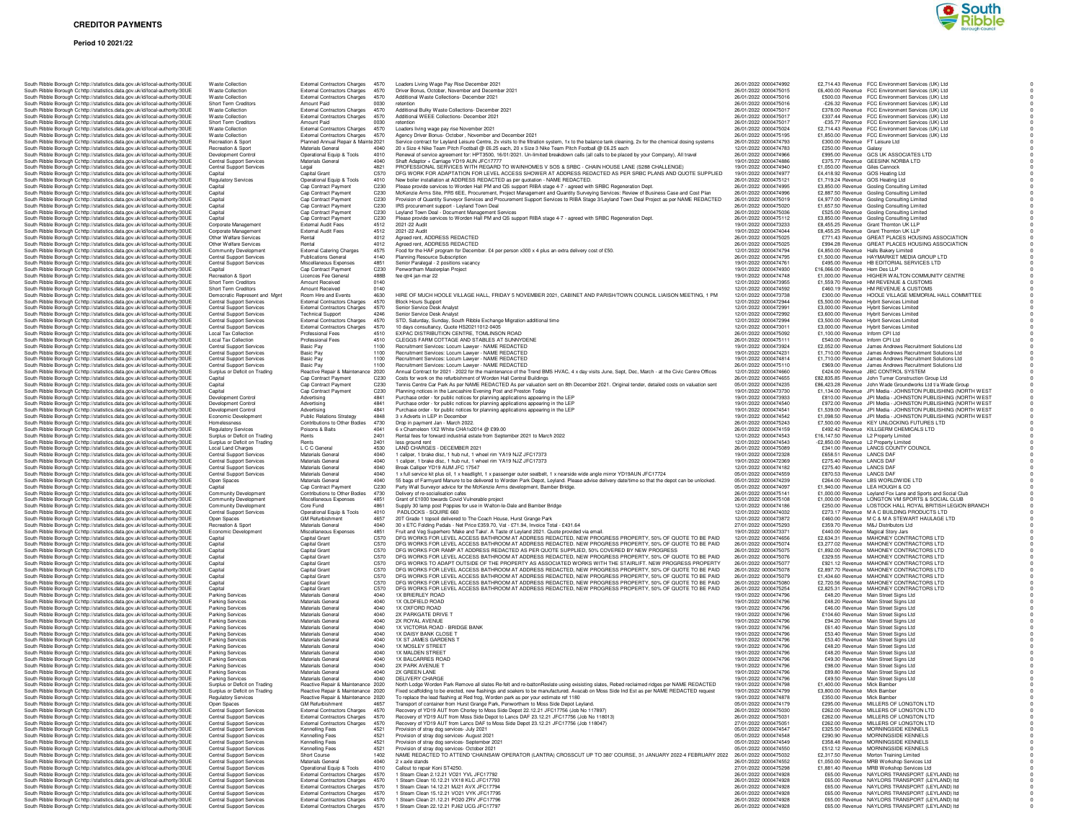### **Period 10 2021/22**



|                                                                               |  | South Ribble Borough Cc http://statistics.data.gov.uk/id/local-authority/30UE                                                                                  | <b>Waste Collection</b>                                     | <b>External Contractors Charges</b>                                        | 4570         | Loaders Living Wage Pay Rise December 2021                                                      |
|-------------------------------------------------------------------------------|--|----------------------------------------------------------------------------------------------------------------------------------------------------------------|-------------------------------------------------------------|----------------------------------------------------------------------------|--------------|-------------------------------------------------------------------------------------------------|
|                                                                               |  | South Ribble Borough Cc http://statistics.data.gov.uk/id/local-authority/30UE<br>South Ribble Borough Cc http://statistics.data.gov.uk/id/local-authority/30UE | <b>Waste Collection</b><br><b>Waste Collection</b>          | <b>External Contractors Charges</b><br><b>External Contractors Charges</b> | 4570<br>4570 | Driver Bonus, October, November and Decemb<br>Additional Waste Collections- December 2021       |
|                                                                               |  | South Ribble Borough Cc http://statistics.data.gov.uk/id/local-authority/30UE                                                                                  | <b>Short Term Creditors</b>                                 | Amount Paid                                                                | 0030         | retention                                                                                       |
|                                                                               |  | South Ribble Borough Cc http://statistics.data.gov.uk/id/local-authority/30UE                                                                                  | <b>Waste Collection</b>                                     | <b>External Contractors Charges</b>                                        | 4570         | Additional Bulky Waste Collections- December                                                    |
|                                                                               |  | South Ribble Borough Cohttp://statistics.data.gov.uk/id/local-authority/30UE                                                                                   | <b>Waste Collection</b>                                     | <b>External Contractors Charges</b>                                        | 4570         | Additional WEEE Collections- December 2021                                                      |
|                                                                               |  | South Ribble Borough C: http://statistics.data.gov.uk/id/local-authority/30UE                                                                                  | Short Term Creditors                                        | Amount Paid                                                                | 0030         | retention                                                                                       |
|                                                                               |  | South Ribble Borough Cc http://statistics.data.gov.uk/id/local-authority/30UE                                                                                  | <b>Waste Collection</b>                                     | <b>External Contractors Charges</b>                                        | 4570         | Loaders living wage pay rise November 2021<br>Agency Driver Bonus- October , November and       |
|                                                                               |  | South Ribble Borough Cc http://statistics.data.gov.uk/id/local-authority/30UE                                                                                  | <b>Waste Collection</b>                                     | <b>External Contractors Charges</b>                                        | 4570         |                                                                                                 |
|                                                                               |  | South Ribble Borough Cc http://statistics.data.gov.uk/id/local-authority/30UE                                                                                  | Recreation & Sport                                          | Planned Annual Repair & Mainte 2021                                        |              | Service contract for Leyland Leisure Centre, 2x                                                 |
|                                                                               |  | South Ribble Borough Cc http://statistics.data.gov.uk/id/local-authority/30UE                                                                                  | Recreation & Sport                                          | Materials General                                                          | 4040         | 20 x Size 4 Nike Team Pitch Football @ £6.25                                                    |
|                                                                               |  | South Ribble Borough Cc http://statistics.data.gov.uk/id/local-authority/30UE                                                                                  | Development Control                                         | Operational Equip & Tools                                                  | 4010         | Renewal of service agreement for: HPT3500, 1                                                    |
|                                                                               |  | South Ribble Borough Cc http://statistics.data.gov.uk/id/local-authority/30UE                                                                                  | <b>Central Support Services</b>                             | Materials General                                                          | 4040         | Shaft Adaptor + Carriage YD19 AUN JFC17777                                                      |
|                                                                               |  | South Ribble Borough Cohttp://statistics.data.gov.uk/id/local-authority/30UE                                                                                   | <b>Central Support Services</b>                             | Legal                                                                      | 4821         | PROFESSIONAL SERVICES WITH REGARD                                                               |
|                                                                               |  | South Ribble Borough Cc http://statistics.data.gov.uk/id/local-authority/30UE                                                                                  | Capital                                                     | Capital Grant                                                              | C570         | DFG WORK FOR ADAPTATION FOR LEVEL                                                               |
|                                                                               |  | South Ribble Borough Cc http://statistics.data.gov.uk/id/local-authority/30UE                                                                                  | <b>Regulatory Services</b>                                  | Operational Equip & Tools                                                  | 4010         | New boiler installation at ADDRESS REDACTE                                                      |
|                                                                               |  | South Ribble Borough Cc http://statistics.data.gov.uk/id/local-authority/30UE                                                                                  | Capital                                                     | Cap Contract Payment                                                       | C230         | Please provide services to Worden Hall PM and                                                   |
|                                                                               |  | South Ribble Borough Cc http://statistics.data.gov.uk/id/local-authority/30UE                                                                                  | Capital                                                     | Cap Contract Payment                                                       | C230<br>C230 | McKenzie Arms Site, PR5 6EE, Procurement,                                                       |
|                                                                               |  | South Ribble Borough Cc http://statistics.data.gov.uk/id/local-authority/30UE                                                                                  | Capital                                                     | Cap Contract Payment                                                       | C230         | Provision of Quantity Surveyor Services and Pr                                                  |
|                                                                               |  | South Ribble Borough Cc http://statistics.data.gov.uk/id/local-authority/30UE<br>South Ribble Borough Cc http://statistics.data.gov.uk/id/local-authority/30UE | Capital<br>Capital                                          | Cap Contract Payment<br>Cap Contract Payment                               | C230         | IRS procurement support - Leyland Town Deal<br>Leyland Town Deal - Document Management S        |
|                                                                               |  | South Ribble Borough Cc http://statistics.data.gov.uk/id/local-authority/30UE                                                                                  | Capital                                                     | Cap Contract Payment                                                       | C230         | Please provide services to Worden Hall PM and                                                   |
|                                                                               |  | South Ribble Borough Cohttp://statistics.data.gov.uk/id/local-authority/30UE                                                                                   | Corporate Management                                        | <b>External Audit Fees</b>                                                 | 4512         | 2021-22 Audit                                                                                   |
|                                                                               |  | South Ribble Borough Cc http://statistics.data.gov.uk/id/local-authority/30UE                                                                                  | Corporate Management                                        | <b>External Audit Fees</b>                                                 | 4512         | 2021-22 Audit                                                                                   |
|                                                                               |  | South Ribble Borough Cc http://statistics.data.gov.uk/id/local-authority/30UE                                                                                  | Other Welfare Services                                      | Rental                                                                     | 4012         | Agreed rent, ADDRESS REDACTED                                                                   |
|                                                                               |  | South Ribble Borough Cc http://statistics.data.gov.uk/id/local-authority/30UE                                                                                  | Other Welfare Services                                      | Rental                                                                     | 4012         | Agreed rent, ADDRESS REDACTED                                                                   |
|                                                                               |  | South Ribble Borough Cc http://statistics.data.gov.uk/id/local-authority/30UE                                                                                  | Community Development                                       | <b>External Catering Charges</b>                                           | 4575         | Food for the HAF program for December. £4 pe                                                    |
|                                                                               |  | South Ribble Borough C: http://statistics.data.gov.uk/id/local-authority/30UE                                                                                  | Central Support Services                                    | <b>Publications General</b>                                                | 4140         | Planning Resource Subscription                                                                  |
|                                                                               |  | South Ribble Borough Cc http://statistics.data.gov.uk/id/local-authority/30UE                                                                                  | <b>Central Support Services</b>                             | Miscellaneous Expenses                                                     | 4851         | Senior Paralegal - 2 positions vacancy                                                          |
|                                                                               |  | South Ribble Borough Cc http://statistics.data.gov.uk/id/local-authority/30UE                                                                                  | Capital                                                     | Cap Contract Payment                                                       | C230         | Penwortham Masterplan Project                                                                   |
|                                                                               |  | South Ribble Borough Cohttp://statistics.data.gov.uk/id/local-authority/30UE                                                                                   | Recreation & Sport                                          | Licences Fee General                                                       | 488B         | fee gtr4 jan-mar 22                                                                             |
|                                                                               |  | South Ribble Borough Cc http://statistics.data.gov.uk/id/local-authority/30UE                                                                                  | Short Term Creditors                                        | Amount Received                                                            | 0140         |                                                                                                 |
|                                                                               |  | South Ribble Borough Cc http://statistics.data.gov.uk/id/local-authority/30UE                                                                                  | Short Term Creditors                                        | Amount Received                                                            | 0140         |                                                                                                 |
|                                                                               |  | South Ribble Borough Cc http://statistics.data.gov.uk/id/local-authority/30UE                                                                                  | Democratic Represent and Mgnt                               | Room Hire and Events                                                       | 4630         | HIRE OF MUCH HOOLE VILLAGE HALL, FRI                                                            |
|                                                                               |  | South Ribble Borough Cc http://statistics.data.gov.uk/id/local-authority/30UE                                                                                  | <b>Central Support Services</b>                             | <b>External Contractors Charges</b>                                        | 4570         | <b>Block Hours Support</b>                                                                      |
|                                                                               |  | South Ribble Borough Cc http://statistics.data.gov.uk/id/local-authority/30UE                                                                                  | <b>Central Support Services</b>                             | <b>External Contractors Charges</b>                                        | 4570         | Senior Service Desk Analyst                                                                     |
|                                                                               |  | South Ribble Borough Cc http://statistics.data.gov.uk/id/local-authority/30UE                                                                                  | Central Support Services                                    | <b>Technical Support</b>                                                   | 4246         | Senior Service Desk Analyst                                                                     |
|                                                                               |  | South Ribble Borough Cc http://statistics.data.gov.uk/id/local-authority/30UE                                                                                  | Central Support Services                                    | <b>External Contractors Charges</b>                                        | 4570         | STD, Saturday, Sunday, South Ribble Exchang                                                     |
|                                                                               |  | South Ribble Borough Cc http://statistics.data.gov.uk/id/local-authority/30UE                                                                                  | <b>Central Support Services</b>                             | <b>External Contractors Charges</b>                                        | 4570         | 10 days consultancy, Quote HS20211012-0405                                                      |
|                                                                               |  | South Ribble Borough Cc http://statistics.data.gov.uk/id/local-authority/30UE                                                                                  | <b>Local Tax Collection</b>                                 | Professional Fees                                                          | 4510         | EXPAC DISTRIBUTION CENTRE, TOMLINSO                                                             |
|                                                                               |  | South Ribble Borough Cohttp://statistics.data.gov.uk/id/local-authority/30UE                                                                                   | <b>Local Tax Collection</b>                                 | Professional Fees                                                          | 4510         | CLEGGS FARM COTTAGE AND STABLES A                                                               |
|                                                                               |  | South Ribble Borough Cc http://statistics.data.gov.uk/id/local-authority/30UE                                                                                  | Central Support Services                                    | <b>Basic Pay</b>                                                           | 1100         | Recruitment Services: Locum Lawyer - NAME                                                       |
|                                                                               |  | South Ribble Borough Cc http://statistics.data.gov.uk/id/local-authority/30UE                                                                                  | <b>Central Support Services</b>                             | <b>Basic Pay</b>                                                           | 1100         | Recruitment Services: Locum Lawyer - NAME                                                       |
|                                                                               |  | South Ribble Borough Cc http://statistics.data.gov.uk/id/local-authority/30UE                                                                                  | <b>Central Support Services</b>                             | <b>Basic Pay</b>                                                           | 1100         | Recruitment Services: Locum Lawyer - NAME                                                       |
|                                                                               |  | South Ribble Borough Cc http://statistics.data.gov.uk/id/local-authority/30UE                                                                                  | Central Support Services                                    | Basic Pay                                                                  | 1100         | Recruitment Services: Locum Lawyer - NAME                                                       |
|                                                                               |  | South Ribble Borough Cc http://statistics.data.gov.uk/id/local-authority/30UE                                                                                  | Surplus or Deficit on Trading                               | Reactive Repair & Maintenance                                              | 2020         | Annual Contract for 2021 - 2022 for the mainter                                                 |
|                                                                               |  | South Ribble Borough Cc http://statistics.data.gov.uk/id/local-authority/30UE                                                                                  | Capital                                                     | Cap Contract Payment                                                       | C230         | Costs for work on the refurbishment of Worden                                                   |
|                                                                               |  | South Ribble Borough Cc http://statistics.data.gov.uk/id/local-authority/30UE                                                                                  | Capital                                                     | Cap Contract Payment                                                       | C230         | Tennis Centre Car Park As per NAME REDAC'                                                       |
|                                                                               |  | South Ribble Borough Cc http://statistics.data.gov.uk/id/local-authority/30UE                                                                                  | Capital                                                     | Cap Contract Payment                                                       | C230         | Planning notices in the Lancashire Evening Pos                                                  |
|                                                                               |  | South Ribble Borough Cc http://statistics.data.gov.uk/id/local-authority/30UE                                                                                  | Development Control                                         | Advertising                                                                | 4841         | Purchase order - for public notices for planning                                                |
|                                                                               |  | South Ribble Borough Cc http://statistics.data.gov.uk/id/local-authority/30UE                                                                                  | Development Control                                         | Advertising                                                                | 4841         | Purchase order - for public notices for planning                                                |
|                                                                               |  | South Ribble Borough Cc http://statistics.data.gov.uk/id/local-authority/30UE                                                                                  | Development Control                                         | Advertising                                                                | 4841         | Purchase order - for public notices for planning                                                |
|                                                                               |  | South Ribble Borough Cc http://statistics.data.gov.uk/id/local-authority/30UE                                                                                  | Economic Development                                        | <b>Public Relations Strategy</b>                                           | 4848         | 3 x Adverts in LEP in December                                                                  |
|                                                                               |  | South Ribble Borough Cc http://statistics.data.gov.uk/id/local-authority/30UE<br>South Ribble Borough Cohttp://statistics.data.gov.uk/id/local-authority/30UE  | Homelessness                                                | Contributions to Other Bodies                                              | 4730         | Drop in payment Jan - March 2022.                                                               |
|                                                                               |  | South Ribble Borough Cc http://statistics.data.gov.uk/id/local-authority/30UE                                                                                  | <b>Regulatory Services</b><br>Surplus or Deficit on Trading | Poisons & Baits<br>Rents                                                   | 4041<br>2401 | 6 x Chameleon 1X2 White CHA1x2014 @ £99.<br>Rental fees for forward industrial estate from Se   |
|                                                                               |  | South Ribble Borough C: http://statistics.data.gov.uk/id/local-authority/30UE                                                                                  | Surplus or Deficit on Trading                               | Rents                                                                      | 2401         | less around rent                                                                                |
|                                                                               |  |                                                                                                                                                                | Local Land Charges                                          | L C C General                                                              | 4530         | LAND CHARGES - DECEMBER 2021                                                                    |
|                                                                               |  | South Ribble Borough Cc http://statistics.data.gov.uk/id/local-authority/30UE<br>South Ribble Borough Cc http://statistics.data.gov.uk/id/local-authority/30UE | <b>Central Support Services</b>                             | Materials General                                                          | 4040         | 1 caliper, 1 brake disc, 1 hub nut, 1 wheel rim Y                                               |
|                                                                               |  | South Ribble Borough Cc http://statistics.data.gov.uk/id/local-authority/30UE                                                                                  | <b>Central Support Services</b>                             | Materials General                                                          | 4040         | 1 caliper, 1 brake disc, 1 hub nut, 1 wheel rim \                                               |
|                                                                               |  | South Ribble Borough Cc http://statistics.data.gov.uk/id/local-authority/30UE                                                                                  | <b>Central Support Services</b>                             | Materials General                                                          | 4040         | Break Calliper YD19 AUM JFC 17547                                                               |
|                                                                               |  | South Ribble Borough Cc http://statistics.data.gov.uk/id/local-authority/30UE                                                                                  | Central Support Services                                    | Materials General                                                          | 4040         | 1 x full service kit plus oil, 1 x headlight, 1 x pas                                           |
|                                                                               |  | South Ribble Borough Cc http://statistics.data.gov.uk/id/local-authority/30UE                                                                                  | Open Spaces                                                 | Materials General                                                          | 4040         | 55 bags of Farmyard Manure to be delivered to                                                   |
|                                                                               |  | South Ribble Borough Cc http://statistics.data.gov.uk/id/local-authority/30UE                                                                                  | Capital                                                     | Cap Contract Payment                                                       | C230         | Party Wall Surveyor advice for the McKenzie A                                                   |
|                                                                               |  | South Ribble Borough Cc http://statistics.data.gov.uk/id/local-authority/30UE                                                                                  | Community Development                                       | Contributions to Other Bodies                                              | 4730         | Delivery of re-socialisation cafes                                                              |
|                                                                               |  | South Ribble Borough Cc http://statistics.data.gov.uk/id/local-authority/30UE                                                                                  | Community Development                                       | Miscellaneous Expenses                                                     | 4851         | Grant of £1000 towards Covid Vulnerable projee<br>Supply 30 lamp post Poppies for use in Walton |
|                                                                               |  | South Ribble Borough Cc http://statistics.data.gov.uk/id/local-authority/30UE                                                                                  | Community Development                                       | Core Fund                                                                  | 4861         |                                                                                                 |
|                                                                               |  | South Ribble Borough Cc http://statistics.data.gov.uk/id/local-authority/30UE                                                                                  | Central Support Services                                    | Operational Equip & Tools                                                  | 4010         | PADLOCKS - SQUIRE 660                                                                           |
|                                                                               |  | South Ribble Borough Cc http://statistics.data.gov.uk/id/local-authority/30UE                                                                                  | Open Spaces                                                 | <b>GM Refurbishment</b>                                                    | 4657         | 20T Grade 1 topsoil delivered to The Coach Ho                                                   |
|                                                                               |  | South Ribble Borough Cc http://statistics.data.gov.uk/id/local-authority/30UE                                                                                  | Recreation & Sport                                          | Materials General                                                          | 4040         | 30 x ETC Folding Pedals - Net Price £359.70, \                                                  |
|                                                                               |  | South Ribble Borough Cc http://statistics.data.gov.uk/id/local-authority/30UE                                                                                  | Economic Development                                        | Miscellaneous Expenses                                                     | 4851         | Fruit and Veg Superhero 'Make and Take'. A Ta                                                   |
|                                                                               |  | South Ribble Borough Cc http://statistics.data.gov.uk/id/local-authority/30UE                                                                                  | Capital                                                     | Capital Grant                                                              | C570         | DFG WORKS FOR LEVEL ACCESS BATHRO                                                               |
|                                                                               |  | South Ribble Borough Cc http://statistics.data.gov.uk/id/local-authority/30UE                                                                                  | Capital                                                     | Capital Grant                                                              | C570         | DFG WORKS FOR LEVEL ACCESS BATHRO                                                               |
|                                                                               |  | South Ribble Borough Cc http://statistics.data.gov.uk/id/local-authority/30UE                                                                                  | Capital                                                     | Capital Grant                                                              | C570         | DFG WORKS FOR RAMP AT ADDRESS RED                                                               |
|                                                                               |  | South Ribble Borough Cc http://statistics.data.gov.uk/id/local-authority/30UE                                                                                  | Capital                                                     | Capital Grant                                                              | C570         | DFG WORKS FOR LEVEL ACCESS BATHRO                                                               |
|                                                                               |  | South Ribble Borough Cc http://statistics.data.gov.uk/id/local-authority/30UE                                                                                  | Capital                                                     | Capital Grant                                                              | C570         | DFG WORKS TO ADAPT OUTSIDE OF THE                                                               |
|                                                                               |  | South Ribble Borough Cc http://statistics.data.gov.uk/id/local-authority/30UE                                                                                  | Capital                                                     | Capital Grant                                                              | C570         | DFG WORKS FOR LEVEL ACCESS BATHRO                                                               |
|                                                                               |  | South Ribble Borough C: http://statistics.data.gov.uk/id/local-authority/30UE                                                                                  | Capital                                                     | Capital Grant                                                              | C570         | DFG WORKS FOR LEVEL ACCESS BATHRO                                                               |
|                                                                               |  | South Ribble Borough Cc http://statistics.data.gov.uk/id/local-authority/30UE                                                                                  | Capital                                                     | Capital Grant                                                              | C570         | DFG WORKS FOR LEVEL ACCESS BATHRO                                                               |
|                                                                               |  | South Ribble Borough Cc http://statistics.data.gov.uk/id/local-authority/30UE                                                                                  | Capital                                                     | Capital Grant                                                              | C570         | DFG WORKS FOR LEVEL ACCESS BATHRO                                                               |
|                                                                               |  | South Ribble Borough Cc http://statistics.data.gov.uk/id/local-authority/30UE                                                                                  | <b>Parking Services</b><br><b>Parking Services</b>          | Materials General<br>Materials General                                     | 4040<br>4040 | 1X BRIERLEY ROAD<br>1X OLDFIELD ROAD                                                            |
|                                                                               |  | South Ribble Borough Cc http://statistics.data.gov.uk/id/local-authority/30UE                                                                                  | <b>Parking Services</b>                                     | Materials General                                                          | 4040         | 1X OXFORD ROAD                                                                                  |
|                                                                               |  | South Ribble Borough Cc http://statistics.data.gov.uk/id/local-authority/30UE<br>South Ribble Borough Cc http://statistics.data.gov.uk/id/local-authority/30UE | <b>Parking Services</b>                                     | Materials General                                                          | 4040         | 2X PARKGATE DRIVE T                                                                             |
|                                                                               |  | South Ribble Borough Cc http://statistics.data.gov.uk/id/local-authority/30UE                                                                                  | Parking Services                                            | Materials General                                                          | 4040         | 2X ROYAL AVENUE                                                                                 |
|                                                                               |  | South Ribble Borough Cc http://statistics.data.gov.uk/id/local-authority/30UE                                                                                  | Parking Services                                            | Materials General                                                          | 4040         | 1X VICTORIA ROAD - BRIDGE BANK                                                                  |
|                                                                               |  | South Ribble Borough Cr http://statistics.data.gov.uk/id/local-authority/30UE                                                                                  | Parking Services                                            | Materials General                                                          | 4040         | 1X DAISY BANK CLOSE T                                                                           |
|                                                                               |  | South Ribble Borough Cc http://statistics.data.gov.uk/id/local-authority/30UE                                                                                  | <b>Parking Services</b>                                     | Materials General                                                          | 4040         | 1X ST JAMES GARDENS T                                                                           |
|                                                                               |  | South Ribble Borough Cohttp://statistics.data.gov.uk/id/local-authority/30UE                                                                                   | Parking Services                                            | Materials General                                                          | 4040         | 1X MOSLEY STREET                                                                                |
|                                                                               |  | South Ribble Borough Cc http://statistics.data.gov.uk/id/local-authority/30UE                                                                                  | <b>Parking Services</b>                                     | Materials General                                                          | 4040         | 1X MALDEN STREET                                                                                |
|                                                                               |  | South Ribble Borough Cohttp://statistics.data.gov.uk/id/local-authority/30UE                                                                                   | Parking Services                                            | Materials General                                                          | 4040         | <b>1X BALCARRES ROAD</b>                                                                        |
|                                                                               |  | South Ribble Borough Cc http://statistics.data.gov.uk/id/local-authority/30UE                                                                                  | Parking Services                                            | Materials General                                                          | 4040         | 2X PARK AVENUE T                                                                                |
|                                                                               |  | South Ribble Borough Cc http://statistics.data.gov.uk/id/local-authority/30UE                                                                                  | Parking Services                                            | Materials General                                                          | 4040         | 2X GREEN LANE                                                                                   |
|                                                                               |  | South Ribble Borough Cc http://statistics.data.gov.uk/id/local-authority/30UE                                                                                  | Parking Services                                            | Materials General                                                          | 4040         | DELIVERY CHARGE                                                                                 |
|                                                                               |  | South Ribble Borough Cc http://statistics.data.gov.uk/id/local-authority/30UE                                                                                  | Surplus or Deficit on Trading                               | Reactive Repair & Maintenance 2020                                         |              | North Lodge Worden Park Remove all slates Re                                                    |
|                                                                               |  | South Ribble Borough Cc http://statistics.data.gov.uk/id/local-authority/30UE                                                                                  | Surplus or Deficit on Trading                               | Reactive Repair & Maintenance                                              | 2020         | Fixed scaffolding to be erected, new flashings a                                                |
|                                                                               |  | South Ribble Borough Cc http://statistics.data.gov.uk/id/local-authority/30UE                                                                                  | <b>Regulatory Services</b>                                  | Reactive Repair & Maintenance 2020                                         |              | To replace the lead flashing at Red frog, Worde                                                 |
|                                                                               |  | South Ribble Borough Cc http://statistics.data.gov.uk/id/local-authority/30UE                                                                                  | Open Spaces                                                 | <b>GM Refurbishment</b>                                                    | 4657         | Transport of container from Hurst Grange Park,                                                  |
|                                                                               |  | South Ribble Borough Cc http://statistics.data.gov.uk/id/local-authority/30UE                                                                                  | Central Support Services                                    | <b>External Contractors Charges</b>                                        | 4570         | Becavery of YD19 AUT from Charley to Moss S                                                     |
|                                                                               |  | South Ribble Borough Cohttp://statistics.data.gov.uk/id/local-authority/30UE                                                                                   | Central Support Services                                    | External Contractors Chames                                                | 4570         | Recovery of YD19 AUT from Moss Side Depot                                                       |
|                                                                               |  | South Ribble Borough Cc http://statistics.data.gov.uk/id/local-authority/30UE                                                                                  | Central Support Services                                    | <b>External Contractors Charges</b>                                        | 4570         | Recovery of YD19 AUT from Lancs DAF to Mos                                                      |
|                                                                               |  | South Ribble Borough Cc http://statistics.data.gov.uk/id/local-authority/30UE                                                                                  | <b>Central Support Services</b>                             | Kennelling Fees                                                            | 4521         | Provision of stray dog services- July 2021                                                      |
|                                                                               |  | South Ribble Borough Cc http://statistics.data.gov.uk/id/local-authority/30UE                                                                                  | Central Support Services                                    | Kennelling Fees                                                            | 4521         | Provision of stray dog services- August 2021                                                    |
|                                                                               |  | South Ribble Borough Cc http://statistics.data.gov.uk/id/local-authority/30UE                                                                                  | Central Support Services                                    | Kennelling Fees                                                            | 4521         | Provision of stray dog services- September 202                                                  |
|                                                                               |  | South Ribble Borough Cc http://statistics.data.gov.uk/id/local-authority/30UE                                                                                  | <b>Central Support Services</b>                             | Kennelling Fees                                                            | 4521         | Provision of stray dog services- October 2021                                                   |
|                                                                               |  | South Ribble Borough Cc http://statistics.data.gov.uk/id/local-authority/30UE                                                                                  | <b>Central Support Services</b>                             | Short Course                                                               | 1402         | NAME REDACTED TO ATTEND 'CHAINSAW                                                               |
|                                                                               |  | South Ribble Borough C: http://statistics.data.gov.uk/id/local-authority/30UE                                                                                  | <b>Central Support Services</b>                             | Materials General                                                          | 4040         | 2 x axle stands                                                                                 |
|                                                                               |  | South Ribble Borough Cohttp://statistics.data.gov.uk/id/local-authority/30UE                                                                                   | <b>Central Support Services</b>                             | Operational Equip & Tools                                                  | 4010         | Callout to renair Koni ST4250                                                                   |
|                                                                               |  | South Ribble Borough Cohttp://statistics.data.gov.uk/id/local-authority/30UE                                                                                   | <b>Central Support Services</b>                             | <b>External Contractors Charges</b>                                        | 4570         | 1 Steam Clean 2.12.21 VO21 YVL JFC17792                                                         |
|                                                                               |  | South Ribble Borough Cr http://statistics.data.gov.uk/id/local-authority/30UE                                                                                  | <b>Central Support Services</b>                             | <b>External Contractors Charges</b>                                        | 4570         | 1 Steam Clean 10.12.21 VX18 KLC JFC17793                                                        |
|                                                                               |  | South Ribble Borough Cc http://statistics.data.gov.uk/id/local-authority/30UE                                                                                  | Central Support Services<br>Central Support Services        | <b>External Contractors Charges</b>                                        | 4570         | 1 Steam Clean 14.12.21 MJ21 AVX JFC17794<br>1 Steam Clean 15.12.21 VO21 VYK JFC17795            |
| South Ribble Borough Cc http://statistics.data.gov.uk/id/local-authority/30UE |  |                                                                                                                                                                |                                                             | <b>External Contractors Charges</b>                                        | 4570         |                                                                                                 |
|                                                                               |  |                                                                                                                                                                |                                                             |                                                                            |              |                                                                                                 |
|                                                                               |  | South Ribble Borough Cohttp://statistics.data.gov.uk/id/local-authority/30UE<br>South Ribble Borough Cc http://statistics.data.gov.uk/id/local-authority/30UE  | Central Support Services<br><b>Central Support Services</b> | <b>External Contractors Charges</b><br><b>External Contractors Charges</b> | 4570<br>4570 | 1 Steam Clean 21.12.21 PO20 ZRV JFC17796<br>1 Steam Clean 22.12.21 PJ62 UCG JFC17797            |

| http://statistics.data.gov.uk/id/local-authority/30UE                                                          | <b>Waste Collection</b>                                            | <b>External Contractors Charges</b>                         | 4570         | Loaders Living Wage Pay Rise December 2021                                                                                             |
|----------------------------------------------------------------------------------------------------------------|--------------------------------------------------------------------|-------------------------------------------------------------|--------------|----------------------------------------------------------------------------------------------------------------------------------------|
| http://statistics.data.gov.uk/id/local-authority/30UE                                                          | <b>Waste Collection</b>                                            | <b>External Contractors Charges</b>                         | 4570         | Driver Bonus, October, November and December 2021                                                                                      |
| http://statistics.data.gov.uk/id/local-authority/30UE                                                          | <b>Waste Collection</b><br>Short Term Creditors                    | <b>External Contractors Charges</b><br>Amount Paid          | 4570<br>0030 | Additional Waste Collections- December 2021<br>retention                                                                               |
| http://statistics.data.gov.uk/id/local-authority/30UE<br>http://statistics.data.gov.uk/id/local-authority/30UE | <b>Waste Collection</b>                                            | <b>External Contractors Charges</b>                         | 4570         | Additional Bulky Waste Collections- December 2021                                                                                      |
| http://statistics.data.gov.uk/id/local-authority/30UE                                                          | <b>Waste Collection</b>                                            | <b>External Contractors Charges</b>                         | 4570         | Additional WEEE Collections- December 2021                                                                                             |
| http://statistics.data.gov.uk/id/local-authority/30UE                                                          | Short Term Creditors                                               | Amount Paid                                                 | 0030         | retention                                                                                                                              |
| http://statistics.data.gov.uk/id/local-authority/30UE                                                          | <b>Waste Collection</b>                                            | <b>External Contractors Charges</b>                         | 4570         | Loaders living wage pay rise November 2021                                                                                             |
| http://statistics.data.gov.uk/id/local-authority/30UE                                                          | <b>Waste Collection</b>                                            | <b>External Contractors Charges</b>                         | 4570         | Agency Driver Bonus- October, November and December 2021                                                                               |
| http://statistics.data.gov.uk/id/local-authority/30UE                                                          | Recreation & Sport                                                 | Planned Annual Repair & Mainte 2021                         |              | Service contract for Leyland Leisure Centre, 2x visits to the filtra                                                                   |
| http://statistics.data.gov.uk/id/local-authority/30UE                                                          | Recreation & Sport                                                 | Materials General                                           | 4040         | 20 x Size 4 Nike Team Pitch Football @ £6.25 each, 20 x Size                                                                           |
| http://statistics.data.gov.uk/id/local-authority/30UE                                                          | Development Control                                                | Operational Equip & Tools                                   | 4010         | Renewal of service agreement for: HPT3500, 16/01/2021. Un-lir                                                                          |
| http://statistics.data.gov.uk/id/local-authority/30UE                                                          | Central Support Services                                           | Materials General                                           | 4040         | Shaft Adaptor + Carriage YD19 AUN JFC17777                                                                                             |
| http://statistics.data.gov.uk/id/local-authority/30UE                                                          | <b>Central Support Services</b>                                    | Legal                                                       | 4821         | PROFESSIONAL SERVICES WITH REGARD TO WAINHOM                                                                                           |
| http://statistics.data.gov.uk/id/local-authority/30UE                                                          | Capital                                                            | Capital Grant                                               | C570         | DFG WORK FOR ADAPTATION FOR LEVEL ACCESS SHO                                                                                           |
| http://statistics.data.gov.uk/id/local-authority/30UE                                                          | <b>Regulatory Services</b>                                         | Operational Equip & Tools                                   | 4010         | New boiler installation at ADDRESS REDACTED as per quotati                                                                             |
| http://statistics.data.gov.uk/id/local-authority/30UE                                                          | Capital                                                            | Cap Contract Payment                                        | C230         | Please provide services to Worden Hall PM and QS support RIB                                                                           |
| http://statistics.data.gov.uk/id/local-authority/30UE                                                          | Capital                                                            | Cap Contract Payment                                        | C230         | McKenzie Arms Site, PR5 6EE, Procurement, Project Manager<br>Provision of Quantity Surveyor Services and Procurement Supp              |
| http://statistics.data.gov.uk/id/local-authority/30UE                                                          | Capital                                                            | Cap Contract Payment                                        | C230         |                                                                                                                                        |
| http://statistics.data.gov.uk/id/local-authority/30UE<br>http://statistics.data.gov.uk/id/local-authority/30UE | Capital                                                            | Cap Contract Payment                                        | C230<br>C230 | IRS procurement support - Leyland Town Deal<br>Leyland Town Deal - Document Management Services                                        |
| http://statistics.data.gov.uk/id/local-authority/30UE                                                          | Capital<br>Capital                                                 | Cap Contract Payment<br>Cap Contract Payment                | C230         | Please provide services to Worden Hall PM and QS support RIB                                                                           |
| http://statistics.data.gov.uk/id/local-authority/30UE                                                          | Corporate Management                                               | <b>External Audit Fees</b>                                  | 4512         | 2021-22 Audit                                                                                                                          |
| http://statistics.data.gov.uk/id/local-authority/30UE                                                          | Corporate Management                                               | <b>External Audit Fees</b>                                  | 4512         | 2021-22 Audit                                                                                                                          |
| http://statistics.data.gov.uk/id/local-authority/30UE                                                          | Other Welfare Services                                             | Rental                                                      | 4012         | Agreed rent, ADDRESS REDACTED                                                                                                          |
| http://statistics.data.gov.uk/id/local-authority/30UE                                                          | Other Welfare Services                                             | Rental                                                      | 4012         | Agreed rent, ADDRESS REDACTED                                                                                                          |
| http://statistics.data.gov.uk/id/local-authority/30UE                                                          | Community Development                                              | <b>External Catering Charges</b>                            | 4575         | Food for the HAF program for December. £4 per person x300 x                                                                            |
| http://statistics.data.gov.uk/id/local-authority/30UE                                                          | <b>Central Support Services</b>                                    | <b>Publications General</b>                                 | 4140         | Planning Resource Subscription                                                                                                         |
| http://statistics.data.gov.uk/id/local-authority/30UE                                                          | <b>Central Support Services</b>                                    | Miscellaneous Expenses                                      | 4851         | Senior Paralegal - 2 positions vacancy                                                                                                 |
| http://statistics.data.gov.uk/id/local-authority/30UE                                                          | Capital                                                            | Cap Contract Payment                                        | C230         | Penwortham Masterplan Project                                                                                                          |
| http://statistics.data.gov.uk/id/local-authority/30UE                                                          | Recreation & Sport                                                 | Licences Fee General                                        | 488B         | fee qtr4 jan-mar 22                                                                                                                    |
| http://statistics.data.gov.uk/id/local-authority/30UE                                                          | Short Term Creditors                                               | Amount Received                                             | 0140         |                                                                                                                                        |
| http://statistics.data.gov.uk/id/local-authority/30UE                                                          | Short Term Creditors                                               | Amount Received                                             | 0140         |                                                                                                                                        |
| http://statistics.data.gov.uk/id/local-authority/30UE<br>http://statistics.data.gov.uk/id/local-authority/30UE | Democratic Represent and Mgnt<br><b>Central Support Services</b>   | Room Hire and Events<br><b>External Contractors Charges</b> | 4630<br>4570 | HIRE OF MUCH HOOLE VILLAGE HALL, FRIDAY 5 NOVEME<br><b>Block Hours Support</b>                                                         |
| http://statistics.data.gov.uk/id/local-authority/30UE                                                          | Central Support Services                                           | <b>External Contractors Charges</b>                         | 4570         | Senior Service Desk Analyst                                                                                                            |
| http://statistics.data.gov.uk/id/local-authority/30UE                                                          | <b>Central Support Services</b>                                    | <b>Technical Support</b>                                    | 4246         | Senior Service Desk Analyst                                                                                                            |
| http://statistics.data.gov.uk/id/local-authority/30UE                                                          | <b>Central Support Services</b>                                    | <b>External Contractors Charges</b>                         | 4570         | STD, Saturday, Sunday, South Ribble Exchange Migration addi                                                                            |
| http://statistics.data.gov.uk/id/local-authority/30UE                                                          | Central Support Services                                           | <b>External Contractors Charges</b>                         | 4570         | 10 days consultancy, Quote HS20211012-0405                                                                                             |
| http://statistics.data.gov.uk/id/local-authority/30UE                                                          | <b>Local Tax Collection</b>                                        | Professional Fees                                           | 4510         | EXPAC DISTRIBUTION CENTRE, TOMLINSON ROAD                                                                                              |
| http://statistics.data.gov.uk/id/local-authority/30UE                                                          | <b>Local Tax Collection</b>                                        | Professional Fees                                           | 4510         | CLEGGS FARM COTTAGE AND STABLES AT SUNNYDENE                                                                                           |
| http://statistics.data.gov.uk/id/local-authority/30UE                                                          | <b>Central Support Services</b>                                    | <b>Basic Pay</b>                                            | 1100         | Recruitment Services: Locum Lawyer - NAME REDACTED                                                                                     |
| http://statistics.data.gov.uk/id/local-authority/30UE                                                          | <b>Central Support Services</b>                                    | <b>Basic Pay</b>                                            | 1100         | Recruitment Services: Locum Lawyer - NAME REDACTED                                                                                     |
| http://statistics.data.gov.uk/id/local-authority/30UE                                                          | Central Support Services                                           | <b>Basic Pay</b>                                            | 1100         | Recruitment Services: Locum Lawyer - NAME REDACTED                                                                                     |
| http://statistics.data.gov.uk/id/local-authority/30UE                                                          | Central Support Services                                           | <b>Basic Pay</b>                                            | 1100         | Recruitment Services: Locum Lawyer - NAME REDACTED                                                                                     |
| http://statistics.data.gov.uk/id/local-authority/30UE                                                          | Surplus or Deficit on Trading                                      | Reactive Repair & Maintenance                               | 2020         | Annual Contract for 2021 - 2022 for the maintenance of the Trer                                                                        |
| http://statistics.data.gov.uk/id/local-authority/30UE                                                          | Capital                                                            | Cap Contract Payment                                        | C230         | Costs for work on the refurbishment of Worden Hall Central Buil                                                                        |
| http://statistics.data.gov.uk/id/local-authority/30UE                                                          | Capital                                                            | Cap Contract Payment                                        | C230         | Tennis Centre Car Park As per NAME REDACTED As per valu-                                                                               |
| http://statistics.data.gov.uk/id/local-authority/30UE                                                          | Capital                                                            | Cap Contract Payment                                        | C230         | Planning notices in the Lancashire Evening Post and Preston T<br>Purchase order - for public notices for planning applications app     |
| http://statistics.data.gov.uk/id/local-authority/30UE                                                          | Development Control<br>Development Control                         | Advertising<br>Advertising                                  | 4841<br>4841 |                                                                                                                                        |
| http://statistics.data.gov.uk/id/local-authority/30UE<br>http://statistics.data.gov.uk/id/local-authority/30UE | Development Control                                                | Advertising                                                 | 4841         | Purchase order - for public notices for planning applications app<br>Purchase order - for public notices for planning applications app |
| http://statistics.data.gov.uk/id/local-authority/30UE                                                          | Economic Development                                               | <b>Public Relations Strategy</b>                            | 4848         | 3 x Adverts in LEP in December                                                                                                         |
| http://statistics.data.gov.uk/id/local-authority/30UE                                                          | Homelessness                                                       | Contributions to Other Bodies                               | 4730         | Drop in payment Jan - March 2022.                                                                                                      |
| http://statistics.data.gov.uk/id/local-authority/30UE                                                          | <b>Regulatory Services</b>                                         | Poisons & Baits                                             | 4041         | 6 x Chameleon 1X2 White CHA1x2014 @ £99.00                                                                                             |
| http://statistics.data.gov.uk/id/local-authority/30UE                                                          | Surplus or Deficit on Trading                                      | Rents                                                       | 2401         | Rental fees for forward industrial estate from September 2021 to                                                                       |
| http://statistics.data.gov.uk/id/local-authority/30UE                                                          | Surplus or Deficit on Trading                                      | Rents                                                       | 2401         | less ground rent                                                                                                                       |
| http://statistics.data.gov.uk/id/local-authority/30UE                                                          | Local Land Charges                                                 | L C C General                                               | 4530         | LAND CHARGES - DECEMBER 2021                                                                                                           |
| http://statistics.data.gov.uk/id/local-authority/30UE                                                          | Central Support Services                                           | Materials General                                           | 4040         | 1 caliper, 1 brake disc, 1 hub nut, 1 wheel rim YA19 NJZ JFC1                                                                          |
| http://statistics.data.gov.uk/id/local-authority/30UE                                                          | <b>Central Support Services</b>                                    | Materials General                                           | 4040         | 1 caliper, 1 brake disc, 1 hub nut, 1 wheel rim YA19 NJZ JFC1                                                                          |
| http://statistics.data.gov.uk/id/local-authority/30UE                                                          | Central Support Services                                           | Materials General                                           | 4040         | Break Calliper YD19 AUM JFC 17547                                                                                                      |
| http://statistics.data.gov.uk/id/local-authority/30UE                                                          | <b>Central Support Services</b>                                    | Materials General                                           | 4040         | 1 x full service kit plus oil, 1 x headlight, 1 x passenger outer sea                                                                  |
| http://statistics.data.gov.uk/id/local-authority/30UE                                                          | Open Spaces                                                        | Materials General                                           | 4040         | 55 bags of Farmyard Manure to be delivered to Worden Park De                                                                           |
| http://statistics.data.gov.uk/id/local-authority/30UE                                                          | Capital                                                            | Cap Contract Payment                                        | C230<br>4730 | Party Wall Surveyor advice for the McKenzie Arms developmen<br>Delivery of re-socialisation cafes                                      |
| http://statistics.data.gov.uk/id/local-authority/30UE<br>http://statistics.data.gov.uk/id/local-authority/30UE | Community Development<br>Community Development                     | Contributions to Other Bodies<br>Miscellaneous Expenses     | 4851         | Grant of £1000 towards Covid Vulnerable project                                                                                        |
| http://statistics.data.gov.uk/id/local-authority/30UE                                                          | Community Development                                              | Core Fund                                                   | 4861         | Supply 30 lamp post Poppies for use in Walton-le-Dale and Bar                                                                          |
| http://statistics.data.gov.uk/id/local-authority/30UE                                                          | Central Support Services                                           | Operational Equip & Tools                                   | 4010         | PADLOCKS - SQUIRE 660                                                                                                                  |
| http://statistics.data.gov.uk/id/local-authority/30UE                                                          | Open Spaces                                                        | <b>GM Refurbishment</b>                                     | 4657         | 20T Grade 1 topsoil delivered to The Coach House, Hurst Grang                                                                          |
| http://statistics.data.gov.uk/id/local-authority/30UE                                                          | Recreation & Sport                                                 | Materials General                                           | 4040         | 30 x ETC Folding Pedals - Net Price £359.70, Vat - £71.94, Inv                                                                         |
| http://statistics.data.gov.uk/id/local-authority/30UE                                                          | Economic Development                                               | Miscellaneous Expenses                                      | 4851         | Fruit and Veg Superhero 'Make and Take'. A Taste of Leyland 2                                                                          |
| http://statistics.data.gov.uk/id/local-authority/30UE                                                          | Capital                                                            | Capital Grant                                               | C570         | DFG WORKS FOR LEVEL ACCESS BATHROOM AT ADDRE                                                                                           |
| http://statistics.data.gov.uk/id/local-authority/30UE                                                          | Capital                                                            | Capital Grant                                               | C570         | DFG WORKS FOR LEVEL ACCESS BATHROOM AT ADDRE                                                                                           |
| http://statistics.data.gov.uk/id/local-authority/30UE                                                          | Capital                                                            | Capital Grant                                               | C570         | DFG WORKS FOR RAMP AT ADDRESS REDACTED AS PE                                                                                           |
| http://statistics.data.gov.uk/id/local-authority/30UE                                                          | Capital                                                            | Capital Grant                                               | C570         | DFG WORKS FOR LEVEL ACCESS BATHROOM AT ADDRE                                                                                           |
| http://statistics.data.gov.uk/id/local-authority/30UE                                                          | Capital                                                            | Capital Grant                                               | C570         | DFG WORKS TO ADAPT OUTSIDE OF THE PROPERTY AS<br>DFG WORKS FOR LEVEL ACCESS BATHROOM AT ADDRE                                          |
| http://statistics.data.gov.uk/id/local-authority/30UE                                                          | Capital                                                            | Capital Grant                                               | C570<br>C570 |                                                                                                                                        |
| http://statistics.data.gov.uk/id/local-authority/30UE<br>http://statistics.data.gov.uk/id/local-authority/30UE | Capital<br>Capital                                                 | Capital Grant<br>Capital Grant                              | C570         | DFG WORKS FOR LEVEL ACCESS BATHROOM AT ADDRE<br>DFG WORKS FOR LEVEL ACCESS BATHROOM AT ADDRE                                           |
| http://statistics.data.gov.uk/id/local-authority/30UE                                                          | Capital                                                            | Capital Grant                                               | C570         | DFG WORKS FOR LEVEL ACCESS BATHROOM AT ADDRE                                                                                           |
| http://statistics.data.gov.uk/id/local-authority/30UE                                                          | Parking Services                                                   | Materials General                                           | 4040         | 1X BRIERLEY ROAD                                                                                                                       |
| http://statistics.data.gov.uk/id/local-authority/30UE                                                          | Parking Services                                                   | Materials General                                           | 4040         | 1X OLDFIELD ROAD                                                                                                                       |
| http://statistics.data.gov.uk/id/local-authority/30UE                                                          | Parking Services                                                   | Materials General                                           | 4040         | 1X OXFORD ROAD                                                                                                                         |
| http://statistics.data.gov.uk/id/local-authority/30UE                                                          | Parking Services                                                   | Materials General                                           | 4040         | 2X PARKGATE DRIVE T                                                                                                                    |
| http://statistics.data.gov.uk/id/local-authority/30UE                                                          | Parking Services                                                   | Materials General                                           | 4040         | 2X ROYAL AVENUE<br>1X VICTORIA ROAD - BRIDGE BANK                                                                                      |
| http://statistics.data.gov.uk/id/local-authority/30UE                                                          | Parking Services                                                   | Materials General                                           | 4040         |                                                                                                                                        |
| http://statistics.data.gov.uk/id/local-authority/30UE                                                          | Parking Services                                                   | Materials General                                           | 4040         | 1X DAISY BANK CLOSE T                                                                                                                  |
| http://statistics.data.gov.uk/id/local-authority/30UE                                                          | Parking Services                                                   | Materials General                                           | 4040         | 1X ST JAMES GARDENS T                                                                                                                  |
| http://statistics.data.gov.uk/id/local-authority/30UE<br>http://statistics.data.gov.uk/id/local-authority/30UE | Parking Services<br>Parking Services                               | Materials General<br>Materials General                      | 4040<br>4040 | 1X MOSLEY STREET<br>1X MALDEN STREET                                                                                                   |
| http://statistics.data.gov.uk/id/local-authority/30UE                                                          | Parking Services                                                   | Materials General                                           | 4040         | 1X BALCARRES ROAD                                                                                                                      |
| http://statistics.data.gov.uk/id/local-authority/30UE                                                          | Parking Services                                                   | Materials General                                           | 4040         | 2X PARK AVENUE T                                                                                                                       |
| http://statistics.data.gov.uk/id/local-authority/30UE                                                          | Parking Services                                                   | Materials General                                           | 4040         | 2X GREEN LANE                                                                                                                          |
| http://statistics.data.gov.uk/id/local-authority/30UE                                                          | Parking Services                                                   | Materials General                                           | 4040         | <b>DELIVERY CHARGE</b>                                                                                                                 |
| http://statistics.data.gov.uk/id/local-authority/30UE                                                          | Surplus or Deficit on Trading                                      | Reactive Repair & Maintenance 2020                          |              | North Lodge Worden Park Remove all slates Re-felt and re-batt                                                                          |
| ta.gov.uk/id/Incal                                                                                             |                                                                    |                                                             | חכהי         |                                                                                                                                        |
| http://statistics.data.gov.uk/id/local-authority/30UE                                                          | <b>Regulatory Services</b>                                         | Reactive Repair & Maintenance 2020                          |              | To replace the lead flashing at Red frog, Worden park as per yo                                                                        |
| http://statistics.data.gov.uk/id/local-authority/30UE                                                          | Open Spaces                                                        | <b>GM Refurbishment</b>                                     | 4657         | Transport of container from Hurst Grange Park, Penwortham to                                                                           |
| http://statistics.data.gov.uk/id/local-authority/30UE                                                          | <b>Central Support Services</b>                                    | <b>External Contractors Charges</b>                         | 4570         | Recovery of YD19 AUT from Chorley to Moss Side Depot 22.12                                                                             |
| http://statistics.data.gov.uk/id/local-authority/30UE                                                          | <b>Central Support Services</b>                                    | <b>External Contractors Charges</b>                         | 4570         | Recovery of YD19 AUT from Moss Side Depot to Lancs DAF 23                                                                              |
| http://statistics.data.gov.uk/id/local-authority/30UE                                                          | Central Support Services                                           | <b>External Contractors Charges</b>                         | 4570         | Recovery of YD19 AUT from Lancs DAF to Moss Side Depot 23                                                                              |
| http://statistics.data.gov.uk/id/local-authority/30UE                                                          | <b>Central Support Services</b>                                    | Kennelling Fees                                             | 4521         | Provision of stray dog services- July 2021                                                                                             |
| http://statistics.data.gov.uk/id/local-authority/30UE                                                          | <b>Central Support Services</b><br><b>Central Support Services</b> | Kennelling Fees                                             | 4521<br>4521 | Provision of stray dog services- August 2021                                                                                           |
| http://statistics.data.gov.uk/id/local-authority/30UE                                                          |                                                                    | Kennelling Fees<br>Kennelling Fees                          | 4521         | Provision of stray dog services- September 2021<br>Provision of stray dog services- October 2021                                       |
| http://statistics.data.gov.uk/id/local-authority/30UE<br>http://statistics.data.gov.uk/id/local-authority/30UE | Central Support Services<br>Central Support Services               | Short Course                                                | 1402         | NAME REDACTED TO ATTEND 'CHAINSAW OPERATOR (L                                                                                          |
| http://statistics.data.gov.uk/id/local-authority/30UE                                                          | <b>Central Support Services</b>                                    | Materials General                                           | 4040         | 2 x axle stands                                                                                                                        |
| http://statistics.data.gov.uk/id/local-authority/30UE                                                          | <b>Central Support Services</b>                                    | Operational Equip & Tools                                   | 4010         | Callout to repair Koni ST4250.                                                                                                         |
| http://statistics.data.gov.uk/id/local-authority/30UE                                                          | <b>Central Support Services</b>                                    | <b>External Contractors Charges</b>                         | 4570         | 1 Steam Clean 2.12.21 VO21 YVL JFC17792                                                                                                |
| http://statistics.data.gov.uk/id/local-authority/30UE                                                          | <b>Central Support Services</b>                                    | <b>External Contractors Charges</b>                         | 4570         | 1 Steam Clean 10.12.21 VX18 KLC JFC17793                                                                                               |
| http://statistics.data.gov.uk/id/local-authority/30UE                                                          | Central Support Services                                           | <b>External Contractors Charges</b>                         | 4570         | 1 Steam Clean 14.12.21 MJ21 AVX JFC17794                                                                                               |
| http://statistics.data.gov.uk/id/local-authority/30UE                                                          | Central Support Services                                           | <b>External Contractors Charges</b>                         | 4570         | 1 Steam Clean 15.12.21 VO21 VYK JFC17795                                                                                               |
| http://etatictice.clata.oov.uk/id/local_authority/30LIF                                                        | antral Sunnort Saná                                                | External Contractors Charn                                  |              | Storm Close 21 12 21 RO20 7RV IEC17706                                                                                                 |

| http://statistics.data.gov.uk/id/local-authority/30UE                                                                                                                   | <b>Waste Collection</b>                                     | omaciono chango<br>External Contractors Charges                            | 4570             | Additional Waste Collections- December 2021                                                                                                                                                                                                                  | 26/01/2022 0000475016                          |                                                                                  |                                                                                                                              |
|-------------------------------------------------------------------------------------------------------------------------------------------------------------------------|-------------------------------------------------------------|----------------------------------------------------------------------------|------------------|--------------------------------------------------------------------------------------------------------------------------------------------------------------------------------------------------------------------------------------------------------------|------------------------------------------------|----------------------------------------------------------------------------------|------------------------------------------------------------------------------------------------------------------------------|
| http://statistics.data.gov.uk/id/local-authority/30UE                                                                                                                   | Short Term Creditors                                        | Amount Paid                                                                | 0030             | retention                                                                                                                                                                                                                                                    | 26/01/2022 0000475016                          |                                                                                  | £500.03 Revenue FCC Environment Services (UK) Ltd<br>-£26.32 Revenue FCC Environment Services (UK) Ltd                       |
| http://statistics.data.gov.uk/id/local-authority/30UE                                                                                                                   | <b>Waste Collection</b>                                     | External Contractors Charges                                               | 4570             | Additional Bulky Waste Collections- December 2021                                                                                                                                                                                                            | 26/01/2022 0000475017                          |                                                                                  | £378.00 Revenue FCC Environment Services (UK) Ltd                                                                            |
| http://statistics.data.gov.uk/id/local-authority/30UE                                                                                                                   | <b>Waste Collection</b>                                     | External Contractors Charges                                               | 4570             | Additional WEEE Collections- December 2021                                                                                                                                                                                                                   | 26/01/2022 0000475017                          |                                                                                  | £337.44 Revenue FCC Environment Services (UK) Ltd                                                                            |
| http://statistics.data.gov.uk/id/local-authority/30UE<br>http://statistics.data.gov.uk/id/local-authority/30UE                                                          | Short Term Creditors                                        | Amount Paid                                                                | 0030             | retention                                                                                                                                                                                                                                                    | 26/01/2022 0000475017                          |                                                                                  | -£35.77 Revenue FCC Environment Services (UK) Ltd                                                                            |
|                                                                                                                                                                         | <b>Waste Collection</b>                                     | External Contractors Charges                                               | 4570             | Loaders living wage pay rise November 2021                                                                                                                                                                                                                   | 26/01/2022 0000475024                          |                                                                                  | £2,714.43 Revenue FCC Environment Services (UK) Ltd                                                                          |
| http://statistics.data.gov.uk/id/local-authority/30UE                                                                                                                   | <b>Waste Collection</b>                                     | External Contractors Charges                                               | 4570             | Agency Driver Bonus- October, November and December 2021                                                                                                                                                                                                     | 26/01/2022 0000475195                          |                                                                                  | £1,850.00 Revenue FCC Environment Services (UK) Ltd                                                                          |
| http://statistics.data.gov.uk/id/local-authority/30UE<br>http://statistics.data.gov.uk/id/local-authority/30UE                                                          | <b>Becreation &amp; Sport</b><br>Recreation & Sport         | Planned Annual Repair & Mainte 2021                                        | 4040             | Service contract for Leyland Leisure Centre, 2x visits to the filtration system, 1x to the balance tank cleaning, 2x for the chemical dosing systems<br>20 x Size 4 Nike Team Pitch Football @ £6.25 each, 20 x Size 3 Nike Team Pitch Football @ £6.25 each | 26/01/2022 0000474793<br>12/01/2022 0000474783 | £300.00 Revenue FT Leisure Ltd                                                   |                                                                                                                              |
| http://statistics.data.gov.uk/id/local-authority/30UE                                                                                                                   |                                                             | Materials General                                                          | 4010             | Renewal of service agreement for: HPT3500, 16/01/2021. Un-limited breakdown calls (all calls to be placed by your Company), All travel                                                                                                                       | 26/01/2022 0000474966                          | £250.00 Revenue Galaxy                                                           | £995.00 Revenue GCS UK ASSOCIATES LTD                                                                                        |
| http://statistics.data.gov.uk/id/local-authority/30UE                                                                                                                   | Development Control<br><b>Central Support Services</b>      | Operational Equip & Tools<br>Materials General                             | 4040             | Shaft Adaptor + Carriage YD19 AUN JFC17777                                                                                                                                                                                                                   | 19/01/2022 0000474886                          |                                                                                  | £375.77 Revenue GEESINK NORBA LTD                                                                                            |
| http://statistics.data.gov.uk/id/local-authority/30UE                                                                                                                   | Central Support Services                                    | Legal                                                                      | 4821             | PROFESSIONAL SERVICES WITH REGARD TO WAINHOMES V SOS & SRBC - CHAIN HOUSE LANE (S288 CHALLENGE)                                                                                                                                                              | 19/01/2022 0000474940                          | £1,050.00 Revenue Giles Cannock                                                  |                                                                                                                              |
| http://statistics.data.gov.uk/id/local-authority/30UE                                                                                                                   | Capital                                                     | Capital Grant                                                              | C570             | DFG WORK FOR ADAPTATION FOR LEVEL ACCESS SHOWER AT ADDRESS REDACTED AS PER SRBC PLANS AND QUOTE SUPPLIED                                                                                                                                                     | 19/01/2022 0000474977                          | £4,418.92 Revenue GOS Heating Ltd                                                |                                                                                                                              |
| http://statistics.data.gov.uk/id/local-authority/30UE                                                                                                                   | <b>Regulatory Services</b>                                  | Operational Equip & Tools                                                  | 4010             |                                                                                                                                                                                                                                                              |                                                |                                                                                  |                                                                                                                              |
| http://statistics.data.gov.uk/id/local-authority/30UE                                                                                                                   | Capital                                                     | Cap Contract Payment                                                       | C230             | New boiler installation at ADDRESS REDACTED as per quotation - NAME REDACTED.<br>Please provide services to Worden Hall PM and QS support RIBA stage 4-7 - agreed with SRBC Regeneration Dept.                                                               | 26/01/2022 0000475121<br>26/01/2022 0000474995 |                                                                                  | £1,719.24 Revenue GOS Heating Ltd<br>£3,850.00 Revenue Gosling Consulting Limited                                            |
| http://statistics.data.gov.uk/id/local-authority/30UE                                                                                                                   | Capital                                                     | Cap Contract Payment                                                       | C230             | McKenzie Arms Site, PR5 6EE, Procurement, Project Management and Quantity Surveying Services: Review of Business Case and Cost Plan                                                                                                                          | 26/01/2022 0000474996                          |                                                                                  | £2,887.50 Revenue Gosling Consulting Limited                                                                                 |
| http://statistics.data.gov.uk/id/local-authority/30UE                                                                                                                   | Capital                                                     | Cap Contract Payment                                                       | C230             | Provision of Quantity Surveyor Services and Procurement Support Services to RIBA Stage 3/Leyland Town Deal Project as per NAME REDACTED                                                                                                                      | 26/01/2022 0000475019                          |                                                                                  | £4,977.00 Revenue Gosling Consulting Limited                                                                                 |
| http://statistics.data.gov.uk/id/local-authority/30UE<br>http://statistics.data.gov.uk/id/local-authority/30UE                                                          | Canital                                                     | Cap Contract Payment                                                       | C230             | IRS procurement support - Levland Town Deal                                                                                                                                                                                                                  | 26/01/2022 0000475020                          |                                                                                  | £1,657,50 Revenue Gosling Consulting Limited                                                                                 |
|                                                                                                                                                                         | Capital                                                     | Cap Contract Payment                                                       | C230             | Leyland Town Deal - Document Management Services                                                                                                                                                                                                             | 26/01/2022 0000475036                          |                                                                                  | £525.00 Revenue Gosling Consulting Limited                                                                                   |
| http://statistics.data.gov.uk/id/local-authority/30UE                                                                                                                   | Capital                                                     | Cap Contract Payment                                                       | C230             | Please provide services to Worden Hall PM and QS support RIBA stage 4-7 - agreed with SRBC Regeneration Dept.                                                                                                                                                | 26/01/2022 0000475112                          |                                                                                  | £3,850.00 Revenue Gosling Consulting Limited                                                                                 |
| http://statistics.data.gov.uk/id/local-authority/30UE<br>http://statistics.data.gov.uk/id/local-authority/30UE                                                          | Corporate Management                                        | External Audit Fees<br>External Audit Fees                                 | 4512<br>4512     | 2021-22 Audit<br>2021-22 Audit                                                                                                                                                                                                                               | 19/01/2022 0000473233<br>19/01/2022 0000474044 |                                                                                  | £8.455.25 Revenue Grant Thornton UK LLP<br>£8,455.25 Revenue Grant Thornton UK LLP                                           |
| http://statistics.data.gov.uk/id/local-authority/30UE                                                                                                                   | Corporate Management<br>Other Welfare Services              | Renta                                                                      | 4012             | Agreed rent, ADDRESS REDACTED                                                                                                                                                                                                                                | 26/01/2022 0000475025                          |                                                                                  | £771.43 Revenue GREAT PLACES HOUSING ASSOCIATION                                                                             |
| http://statistics.data.gov.uk/id/local-authority/30UE                                                                                                                   | Other Welfare Services                                      | Rental                                                                     | 4012             | Agreed rent, ADDRESS REDACTED                                                                                                                                                                                                                                | 26/01/2022 0000475025                          |                                                                                  | £994.28 Revenue GREAT PLACES HOUSING ASSOCIATION                                                                             |
| http://statistics.data.gov.uk/id/local-authority/30UE                                                                                                                   | <b>Community Development</b>                                | <b>External Catering Charges</b>                                           | 4575             | Food for the HAF program for December. £4 per person x300 x 4 plus an extra delivery cost of £50.                                                                                                                                                            | 12/01/2022 0000474794                          |                                                                                  | £4,850.00 Revenue Halls Bakery Limited                                                                                       |
| http://statistics.data.gov.uk/id/local-authority/30UE                                                                                                                   | <b>Central Support Services</b>                             | <b>Publications General</b>                                                | 4140             | Planning Resource Subscription                                                                                                                                                                                                                               | 26/01/2022 0000474795                          |                                                                                  | £1,500.00 Revenue HAYMARKET MEDIA GROUP LTD                                                                                  |
| http://statistics.data.gov.uk/id/local-authority/30UE                                                                                                                   | Central Support Services                                    | Miscellaneous Expenses                                                     | 4851             | Senior Paralegal - 2 positions vacancy                                                                                                                                                                                                                       | 19/01/2022 0000474761                          |                                                                                  | £495.00 Revenue HB EDITORIAL SERVICES LTD                                                                                    |
|                                                                                                                                                                         | Capital                                                     | Cap Contract Payment                                                       | C230             | Penwortham Masterplan Project                                                                                                                                                                                                                                | 19/01/2022 0000474930                          |                                                                                  |                                                                                                                              |
| http://statistics.data.gov.uk/id/local-authority/30UE<br>http://statistics.data.gov.uk/id/local-authority/30UE                                                          | Recreation & Sport                                          | Licences Fee General                                                       | 488B             | fee gtr4 jan-mar 22                                                                                                                                                                                                                                          | 19/01/2022 0000474748                          |                                                                                  | £16,066.00 Revenue Hem Des LLP<br>£1,000.00 Revenue HIGHER WALTON COMMUNITY CENTRE                                           |
| http://statistics.data.gov.uk/id/local-authority/30UE                                                                                                                   | Short Term Creditors                                        | Amount Received                                                            | 0140             |                                                                                                                                                                                                                                                              | 12/01/2022 0000473955                          |                                                                                  | £1,559.70 Revenue HM REVENUE & CUSTOMS                                                                                       |
| http://statistics.data.gov.uk/id/local-authority/30UE<br>http://statistics.data.gov.uk/id/local-authority/30UE                                                          | Short Term Creditors                                        | Amount Received                                                            | 0140             |                                                                                                                                                                                                                                                              | 12/01/2022 0000474592                          |                                                                                  | £460.19 Revenue HM REVENUE & CUSTOMS                                                                                         |
|                                                                                                                                                                         | Democratic Represent and Mgnt                               | Room Hire and Events                                                       | 4630             | HIRE OF MUCH HOOLE VILLAGE HALL, FRIDAY 5 NOVEMBER 2021, CABINET AND PARISH/TOWN COUNCIL LIAISON MEETING, 1 PM                                                                                                                                               | 12/01/2022 0000473738                          |                                                                                  | £300.00 Revenue HOOLE VILLAGE MEMORIAL HALL COMMITTEE                                                                        |
| http://statistics.data.gov.uk/id/local-authority/30UE                                                                                                                   | Central Support Services                                    | <b>External Contractors Charges</b>                                        | 4570             | <b>Block Hours Support</b>                                                                                                                                                                                                                                   | 12/01/2022 0000472944                          |                                                                                  | £5,500.00 Revenue Hybrit Services Limited                                                                                    |
| http://statistics.data.gov.uk/id/local-authority/30UE                                                                                                                   | <b>Central Support Services</b>                             | External Contractors Charges                                               | 4570             | Senior Service Desk Analyst                                                                                                                                                                                                                                  | 12/01/2022 0000472991                          |                                                                                  | £3,000.00 Revenue Hybrit Services Limited                                                                                    |
| http://statistics.data.gov.uk/id/local-authority/30UE                                                                                                                   | Central Support Services                                    | <b>Technical Support</b>                                                   | 4246             | Senior Service Desk Analyst                                                                                                                                                                                                                                  | 12/01/2022 0000472992                          |                                                                                  | £3,600.00 Revenue Hybrit Services Limited                                                                                    |
| http://statistics.data.gov.uk/id/local-authority/30UE                                                                                                                   | Central Support Services                                    | <b>External Contractors Charges</b>                                        | 4570             | STD, Saturday, Sunday, South Ribble Exchange Migration additional time                                                                                                                                                                                       | 12/01/2022 0000472994                          |                                                                                  | £3,500.00 Revenue Hybrit Services Limited                                                                                    |
| http://statistics.data.gov.uk/id/local-authority/30UE<br>http://statistics.data.gov.uk/id/local-authority/30UE                                                          | Central Support Services<br><b>Local Tax Collection</b>     | <b>External Contractors Charges</b><br>Professional Fees                   | 4570<br>4510     | 10 days consultancy, Quote HS20211012-0405<br>EXPAC DISTRIBUTION CENTRE, TOMLINSON ROAD                                                                                                                                                                      | 12/01/2022 0000473011<br>26/01/2022 0000475092 | £1.100.00 Revenue Inform CPI Ltd                                                 | £3,000.00 Revenue Hybrit Services Limited                                                                                    |
| http://statistics.data.gov.uk/id/local-authority/30UE                                                                                                                   | <b>Local Tax Collection</b>                                 | Professional Fees                                                          | 4510             | CLEGGS FARM COTTAGE AND STABLES AT SUNNYDENE                                                                                                                                                                                                                 | 26/01/2022 0000475111                          | £540.00 Revenue Inform CPI Ltd                                                   |                                                                                                                              |
| http://statistics.data.gov.uk/id/local-authority/30UE                                                                                                                   | Central Support Services                                    | <b>Basic Pay</b>                                                           | 1100             | Recruitment Services: Locum Lawyer - NAME REDACTED                                                                                                                                                                                                           | 19/01/2022 0000473924                          |                                                                                  | £2,052.00 Revenue James Andrews Recruitment Solutions Ltd                                                                    |
|                                                                                                                                                                         | Central Support Services                                    | Basic Pay                                                                  | 1100             |                                                                                                                                                                                                                                                              | 19/01/2022 0000474231                          |                                                                                  |                                                                                                                              |
| http://statistics.data.gov.uk/id/local-authority/30UE<br>http://statistics.data.gov.uk/id/local-authority/30UE                                                          | Central Support Services                                    | <b>Basic Pay</b>                                                           | 1100             | Recruitment Services: Locum Lawyer - NAME REDACTED<br>Recruitment Services: Locum Lawyer - NAME REDACTED                                                                                                                                                     | 19/01/2022 0000474814                          |                                                                                  | £1,710.00 Revenue James Andrews Recruitment Solutions Ltd<br>£1,710.00 Revenue James Andrews Recruitment Solutions Ltd       |
| http://statistics.data.gov.uk/id/local-authority/30UE                                                                                                                   | Central Support Services                                    | <b>Basic Pay</b>                                                           | 1100             | Recruitment Services: Locum Lawyer - NAME REDACTED                                                                                                                                                                                                           | 26/01/2022 0000475110                          |                                                                                  | £969.00 Revenue James Andrews Recruitment Solutions Ltd                                                                      |
| http://statistics.data.gov.uk/id/local-authority/30UE                                                                                                                   | Surplus or Deficit on Trading                               | Reactive Repair & Maintenance 2020                                         |                  | Annual Contract for 2021 - 2022 for the maintenance of the Trend BMS HVAC, 4 x day visits June, Sept, Dec, March - at the Civic Centre Offices                                                                                                               | 12/01/2022 0000474660                          |                                                                                  | £424.00 Revenue JBC CONTROL SYSTEM                                                                                           |
|                                                                                                                                                                         | Capital                                                     | Cap Contract Payment                                                       | C <sub>230</sub> |                                                                                                                                                                                                                                                              | 26/01/2022 0000474655                          |                                                                                  | £82,835,85 Revenue John Turner Construction Group Ltd                                                                        |
| http://statistics.data.gov.uk/id/local-authority/30UE<br>http://statistics.data.gov.uk/id/local-authority/30UE                                                          | Capital                                                     | Cap Contract Payment                                                       | C230             | Costs for work on the refurbishment of Worden Hall Central Buildings<br>Tennis Centre Car Park As per NAME REDACTED As per valuation sent on 8th December 2021. Original tender, detailed costs on valuation sent                                            | 05/01/2022 0000474235                          |                                                                                  | £86,423.28 Revenue John Wade Groundworks Ltd t/a Wade Group                                                                  |
| http://statistics.data.gov.uk/id/local-authority/30UE                                                                                                                   | Capital                                                     | Cap Contract Payment                                                       | C230             | Planning notices in the Lancashire Evening Post and Preston Today                                                                                                                                                                                            | 19/01/2022 0000473730                          |                                                                                  |                                                                                                                              |
| http://statistics.data.gov.uk/id/local-authority/30UE                                                                                                                   | Development Control                                         | Advertising                                                                | 4841             | Purchase order - for public notices for planning applications appearing in the LEP                                                                                                                                                                           | 19/01/2022 0000473933                          |                                                                                  | £1,134.00 Revenue JPI Media - JOHNSTON PUBLISHING (NORTH WEST<br>£810.00 Revenue JPI Media - JOHNSTON PUBLISHING (NORTH WEST |
| http://statistics.data.gov.uk/id/local-authority/30UE                                                                                                                   | Development Control                                         | Advertising                                                                | 4841             | Purchase order - for public notices for planning applications appearing in the LEP                                                                                                                                                                           | 19/01/2022 0000474540                          |                                                                                  | £972.00 Revenue JPI Media - JOHNSTON PUBLISHING (NORTH WEST                                                                  |
| http://statistics.data.gov.uk/id/local-authority/30UE                                                                                                                   | Development Control                                         | Advertising                                                                | 4841             | Purchase order - for public notices for planning applications appearing in the LEP                                                                                                                                                                           | 19/01/2022 0000474541                          |                                                                                  | £1,539.00 Revenue JPI Media - JOHNSTON PUBLISHING (NORTH WEST                                                                |
| http://statistics.data.gov.uk/id/local-authority/30UE                                                                                                                   | Economic Development                                        | Public Relations Strategy<br>Contributions to Other Bodies                 | 4848             | 3 x Adverts in LEP in December                                                                                                                                                                                                                               | 19/01/2022 0000474542<br>26/01/2022 0000475243 |                                                                                  | £1,098.50 Revenue JPI Media - JOHNSTON PUBLISHING (NORTH WEST £7,500.00 Revenue KEY UNLOCKING FUTURES LTD                    |
| http://statistics.data.gov.uk/id/local-authority/30UE                                                                                                                   | Homelessness                                                |                                                                            | 4730             | Drop in payment Jan - March 2022.                                                                                                                                                                                                                            |                                                |                                                                                  |                                                                                                                              |
| http://statistics.data.gov.uk/id/local-authority/30UE                                                                                                                   | <b>Regulatory Services</b>                                  | Poisons & Baits                                                            | 4041             | 6 x Chameleon 1X2 White CHA1x2014 @ £99.00                                                                                                                                                                                                                   | 26/01/2022 0000474159                          |                                                                                  | £492.42 Revenue KILLGERM CHEMICALS LTD                                                                                       |
| http://statistics.data.gov.uk/id/local-authority/30UE                                                                                                                   | Surplus or Deficit on Trading                               | Rents                                                                      | 2401             | Rental fees for forward industrial estate from September 2021 to March 2022                                                                                                                                                                                  | 12/01/2022 0000474543                          | £16,147.50 Revenue L2 Property Limited<br>-£2,850.00 Revenue L2 Property Limited |                                                                                                                              |
| http://statistics.data.gov.uk/id/local-authority/30UE<br>http://statistics.data.gov.uk/id/local-authority/30UE                                                          | Surplus or Deficit on Trading                               | Rents                                                                      | 2401             | less ground rent                                                                                                                                                                                                                                             | 12/01/2022 0000474543                          |                                                                                  |                                                                                                                              |
|                                                                                                                                                                         | Local Land Charges                                          | L C C General                                                              | 4530             | LAND CHARGES - DECEMBER 2021                                                                                                                                                                                                                                 | 26/01/2022 0000475089                          |                                                                                  | £341.00 Revenue LANCS COUNTY COUNCIL                                                                                         |
| http://statistics.data.gov.uk/id/local-authority/30UE                                                                                                                   | Central Support Services                                    | Materials General                                                          | 4040             | 1 caliper, 1 brake disc, 1 hub nut, 1 wheel rim YA19 NJZ JFC17373                                                                                                                                                                                            | 19/01/2022 0000472328                          | £658.51 Revenue LANCS DAF                                                        |                                                                                                                              |
| http://statistics.data.gov.uk/id/local-authority/30UE<br>http://statistics.data.gov.uk/id/local-authority/30UE                                                          | Central Support Services                                    | Materials General                                                          | 4040<br>4040     | 1 caliper, 1 brake disc, 1 hub nut, 1 wheel rim YA19 NJZ JFC17373                                                                                                                                                                                            | 19/01/2022 0000472369<br>12/01/2022 0000474182 | £275.40 Revenue LANCS DAF                                                        |                                                                                                                              |
|                                                                                                                                                                         | Central Support Services                                    | Materials General                                                          | 4040             | Break Calliper YD19 AUM JFC 17547                                                                                                                                                                                                                            |                                                | £275.40 Revenue LANCS DAF                                                        |                                                                                                                              |
| http://statistics.data.gov.uk/id/local-authority/30UE                                                                                                                   | <b>Central Support Services</b><br>Open Spaces              | Materials Genera<br>Materials General                                      | 4040             | 1 x full service kit plus oil, 1 x headlight, 1 x passenger outer seatbelt, 1 x nearside wide angle mirror YD19AUN JFC17724<br>55 bags of Farmyard Manure to be delivered to Worden Park Depot, Leyland. Please advise delivery d                            | 05/01/2022 0000474559<br>05/01/2022 0000474239 | £870.53 Revenue LANCS DAF                                                        | £264.00 Revenue LBS WORLDWIDE LTD                                                                                            |
| http://statistics.data.gov.uk/id/local-authority/30UE<br>http://statistics.data.gov.uk/id/local-authority/30UE                                                          |                                                             | Cap Contract Payment                                                       | C230             | Party Wall Surveyor advice for the McKenzie Arms development. Bamber Bridge.                                                                                                                                                                                 | 05/01/2022 0000474097                          |                                                                                  | £1,940.00 Revenue LEA HOUGH & CO                                                                                             |
| http://statistics.data.gov.uk/id/local-authority/30UE                                                                                                                   | Capital<br>Community Development                            | Contributions to Other Bodies                                              | 4730             | Delivery of re-socialisation cafes                                                                                                                                                                                                                           | 26/01/2022 0000475141                          |                                                                                  | £1,000.00 Revenue Leyland Fox Lane and Sports and Social Club                                                                |
|                                                                                                                                                                         | Community Development                                       | Miscellaneous Expenses                                                     | 4851             | Grant of £1000 towards Covid Vulnerable project                                                                                                                                                                                                              | 26/01/2022 0000475108                          |                                                                                  |                                                                                                                              |
|                                                                                                                                                                         |                                                             |                                                                            |                  | Supply 30 lamp post Poppies for use in Walton-le-Dale and Bamber Bridge                                                                                                                                                                                      | 12/01/2022 0000474186                          |                                                                                  | £1,000.00 Revenue LONGTON VM SPORTS & SOCIAL CLUB<br>£250.00 Revenue LOSTOCK HALL ROYAL BRITISH LEGION BRANCH                |
|                                                                                                                                                                         |                                                             |                                                                            |                  |                                                                                                                                                                                                                                                              |                                                |                                                                                  |                                                                                                                              |
| http://statistics.data.gov.uk/id/local-authority/30UE<br>http://statistics.data.gov.uk/id/local-authority/30UE                                                          | Community Development                                       | Core Fund                                                                  | 4861             |                                                                                                                                                                                                                                                              |                                                |                                                                                  |                                                                                                                              |
| http://statistics.data.gov.uk/id/local-authority/30UE                                                                                                                   | Central Support Services                                    | Operational Equip & Tools<br><b>GM Refurbishment</b>                       | 4010<br>4657     | PADLOCKS - SQUIRE 660                                                                                                                                                                                                                                        | 12/01/2022 0000474032<br>12/01/2022 0000473872 |                                                                                  | £273.17 Revenue M A C BUILDING PRODUCTS LTD                                                                                  |
| http://statistics.data.gov.uk/id/local-authority/30UE                                                                                                                   | Open Spaces<br><b>Becreation &amp; Sport</b>                | Materials General                                                          | 4040             | 20T Grade 1 topsoil delivered to The Coach House, Hurst Grange Park                                                                                                                                                                                          | 27/01/2022 0000475293                          |                                                                                  | £460.00 Revenue M C & M A STEWART HAULAGE LTD                                                                                |
|                                                                                                                                                                         | Economic Development                                        |                                                                            | 4851             |                                                                                                                                                                                                                                                              | 19/01/2022 0000473371                          |                                                                                  | £359.70 Revenue M&J Distributors Ltd                                                                                         |
| http://statistics.data.gov.uk/id/local-authority/30UE<br>http://statistics.data.gov.uk/id/local-authority/30UE                                                          | Capita                                                      | Miscellaneous Expenses                                                     | C570             | 30 x ETC Folding Pedals - Net Price £359.70, Vat - £71.94, Invoice Total - £431.64<br>Fruit and Veg Superhero 'Make and Take'. A Taste of Leyland 2021. Quote provided via email.                                                                            | 12/01/2022 0000474656                          |                                                                                  | £440.00 Revenue Magical Story Jars                                                                                           |
| http://statistics.data.gov.uk/id/local-authority/30UE<br>http://statistics.data.gov.uk/id/local-authority/30UE                                                          | Capital                                                     | Capital Grant<br>Canital Grant                                             | C570             | DEG WORKS FOR LEVEL ACCESS BATHROOM AT ADDRESS REDACTED, NEW PROGRESS PROPERTY, 50% OF QUOTE TO BE PAID DFG WORKS FOR LEVEL ACCESS BATHROOM AT ADDRESS REDACTED, NEW PROGRESS PROPERTY, 50% OF QUOTE TO BE PAID DFG WORKS FOR                                | 26/01/2022 0000475074                          |                                                                                  | E2,634.31 Revenue MAHONEY CONTRACTORS LTD<br>E3,277.02 Revenue MAHONEY CONTRACTORS LTD                                       |
| http://statistics.data.gov.uk/id/local-authority/30UE                                                                                                                   | Capital                                                     | <b>Capital Grant</b>                                                       | C570             | DFG WORKS FOR RAMP AT ADDRESS REDACTED AS PER QUOTE SUPPLIED, 50% COVERED BY NEW PROGRESS                                                                                                                                                                    | 26/01/2022 0000475075                          |                                                                                  | £1,892.00 Revenue MAHONEY CONTRACTORS LTD                                                                                    |
| http://statistics.data.gov.uk/id/local-authority/30UE                                                                                                                   | Capital                                                     | Capital Grant                                                              | C570             | DFG WORKS FOR LEVEL ACCESS BATHROOM AT ADDRESS REDACTED, NEW PROGRESS PROPERTY, 50% OF QUOTE TO BE PAID                                                                                                                                                      | 26/01/2022 0000475076                          |                                                                                  | £329.55 Revenue MAHONEY CONTRACTORS LTD                                                                                      |
| http://statistics.data.gov.uk/id/local-authority/30UE                                                                                                                   | Capital                                                     | Capital Grant                                                              | C <sub>570</sub> |                                                                                                                                                                                                                                                              |                                                |                                                                                  |                                                                                                                              |
| http://statistics.data.gov.uk/id/local-authority/30UE                                                                                                                   | Capital                                                     | <b>Capital Grant</b>                                                       | C570             | DEG WORKS TO ADAPT OUTSIDE OF THE PROPERTY AS ASSOCIATED WORKS WITH THE STAIRLIFT. NEW PROGRESS PROPERTY DEG WORKS FOR LEVEL ACCESS BATHROOM AT ADDRESS REDACTED, NEW PROGRESS PROPERTY AS ASSOCIATED WORKS FOR LEVEL ACCESS B                               | 26/01/2022 0000475077<br>26/01/2022 0000475078 |                                                                                  | £921.12 Revenue MAHONEY CONTRACTORS LTD<br>£2,897.70 Revenue MAHONEY CONTRACTORS LTD                                         |
| http://statistics.data.gov.uk/id/local-authority/30UE                                                                                                                   | Capital                                                     | Capital Grant                                                              | C570             | DFG WORKS FOR LEVEL ACCESS BATHROOM AT ADDRESS REDACTED, NEW PROGRESS PROPERTY, 50% OF QUOTE TO BE PAID                                                                                                                                                      | 26/01/2022 0000475079                          |                                                                                  | £1,434.60 Revenue MAHONEY CONTRACTORS LTD                                                                                    |
| http://statistics.data.gov.uk/id/local-authority/30UE                                                                                                                   | Capital                                                     | Capital Grant                                                              | C570             |                                                                                                                                                                                                                                                              | 26/01/2022 0000475080                          |                                                                                  | £2,720.56 Revenue MAHONEY CONTRACTORS LTD                                                                                    |
|                                                                                                                                                                         | Canital                                                     | Canital Grant                                                              | C570             | DFG WORKS FOR LEVEL ACCESS BATHROOM AT ADDRESS REDACTED, NEW PROGRESS PROPERTY, 50% OF QUOTE TO BE PAID DFG WORKS FOR LEVEL ACCESS BATHROOM AT ADDRESS REDACTED, NEW PROGRESS PROPERTY, 50% OF QUOTE TO BE PAID                                              | 26/01/2022 0000475254                          |                                                                                  | £2.825.31 Revenue MAHONEY CONTRACTORS LTD                                                                                    |
| http://statistics.data.gov.uk/id/local-authority/30UE<br>http://statistics.data.gov.uk/id/local-authority/30UE                                                          | <b>Parking Services</b><br>Parking Services                 | Materials Genera<br>Materials Genera                                       | 4040<br>4040     | 1X BRIERLEY ROAD                                                                                                                                                                                                                                             | 19/01/2022 0000474796                          |                                                                                  | £48.20 Revenue Main Street Signs Ltd                                                                                         |
| http://statistics.data.gov.uk/id/local-authority/30UE                                                                                                                   | Parking Services                                            | Materials General                                                          | 4040             | 1X OLDFIELD ROAD<br>1X OXEORD ROAD                                                                                                                                                                                                                           | 19/01/2022 0000474796<br>19/01/2022 0000474796 |                                                                                  | £48.20 Revenue Main Street Signs Ltd<br>£46.00 Revenue Main Street Signs Ltd                                                 |
| http://statistics.data.gov.uk/id/local-authority/30UE<br>http://statistics.data.gov.uk/id/local-authority/30UE                                                          | <b>Parking Services</b>                                     | Materials Genera                                                           | 4040             | 2X PARKGATE DRIVE T                                                                                                                                                                                                                                          | 19/01/2022 0000474796                          |                                                                                  | £104.60 Revenue Main Street Signs Ltd                                                                                        |
| http://statistics.data.gov.uk/id/local-authority/30UE                                                                                                                   | Parking Services                                            | Materials Genera                                                           | 4040             | 2X ROYAL AVENUE                                                                                                                                                                                                                                              | 19/01/2022 0000474796                          |                                                                                  | £94.20 Revenue Main Street Signs Ltd                                                                                         |
|                                                                                                                                                                         | Parking Services                                            | Materials General                                                          | 4040             | 1X VICTORIA ROAD - BRIDGE BANK                                                                                                                                                                                                                               | 19/01/2022 0000474796                          |                                                                                  | £61.40 Revenue Main Street Signs Ltd                                                                                         |
| http://statistics.data.gov.uk/id/local-authority/30UE<br>http://statistics.data.gov.uk/id/local-authority/30UE                                                          | Parking Services                                            | Materials General                                                          | 4040             | 1X DAISY BANK CLOSE T                                                                                                                                                                                                                                        | 19/01/2022 0000474796                          |                                                                                  | £53.40 Revenue Main Street Signs Ltd                                                                                         |
| http://statistics.data.gov.uk/id/local-authority/30UE                                                                                                                   | Parking Services                                            | Materials Genera                                                           | 4040             | 1X ST JAMES GARDENS T                                                                                                                                                                                                                                        | 19/01/2022 0000474796                          |                                                                                  | £53.40 Revenue Main Street Signs Ltd                                                                                         |
| http://statistics.data.gov.uk/id/local-authority/30UE                                                                                                                   | <b>Parking Services</b>                                     | Materials General                                                          | 4040             | 1X MOSLEY STREET                                                                                                                                                                                                                                             | 19/01/2022 0000474796                          |                                                                                  | £48.20 Revenue Main Street Signs Ltd                                                                                         |
| http://statistics.data.gov.uk/id/local-authority/30UE                                                                                                                   | Parking Services                                            | Materials General                                                          | 4040             | 1X MALDEN STREET                                                                                                                                                                                                                                             | 19/01/2022 0000474796                          |                                                                                  | £48.20 Revenue Main Street Signs Ltd                                                                                         |
| http://statistics.data.gov.uk/id/local-authority/30UE                                                                                                                   | Parking Services                                            | Materials General                                                          | 4040             | 1X BALCARRES ROAD                                                                                                                                                                                                                                            | 19/01/2022 0000474796                          |                                                                                  | £49.30 Revenue Main Street Signs Ltd                                                                                         |
| http://statistics.data.gov.uk/id/local-authority/30UE                                                                                                                   | <b>Parking Services</b>                                     | Materials General                                                          | 4040             | 2X PARK AVENUE T                                                                                                                                                                                                                                             | 19/01/2022 0000474796                          |                                                                                  | £98.00 Revenue Main Street Signs Ltd                                                                                         |
| http://statistics.data.gov.uk/id/local-authority/30UE                                                                                                                   | <b>Parking Services</b>                                     | Materials General                                                          | 4040             | 2X GREEN LANE                                                                                                                                                                                                                                                | 19/01/2022 0000474796                          |                                                                                  | £89.80 Revenue Main Street Signs Ltd                                                                                         |
| http://statistics.data.gov.uk/id/local-authority/30UE                                                                                                                   | <b>Parking Services</b>                                     | Materials General                                                          | 4040             | DELIVERY CHARGE                                                                                                                                                                                                                                              | 19/01/2022 0000474796                          |                                                                                  | £49.50 Revenue Main Street Signs Ltd                                                                                         |
| http://statistics.data.gov.uk/id/local-authority/30UE                                                                                                                   | Surplus or Deficit on Trading                               | Reactive Repair & Maintenance 2020                                         |                  | North Lodge Worden Park Remove all slates Re-felt and re-battonReslate using exisisting slates, Rebed reclaimed ridges per NAME REDACTED                                                                                                                     | 19/01/2022 0000474798<br>19/01/2022 0000474799 | £1,400.00 Revenue Mick Bamber                                                    |                                                                                                                              |
| http://statistics.data.gov.uk/id/local-authority/30UE                                                                                                                   | Surplus or Deficit on Trading<br><b>Regulatory Services</b> | Reactive Repair & Maintenance 2020<br>Reactive Repair & Maintenance 2020   |                  | Fixed scaffolding to be erected, new flashings and soakers to be manufactured. Avacab on Moss Side Ind Est as per NAME REDACTED request                                                                                                                      | 19/01/2022 0000474878                          | £3,800.00 Revenue Mick Bamber<br>£350.00 Revenue Mick Bamber                     |                                                                                                                              |
| http://statistics.data.gov.uk/id/local-authority/30UE                                                                                                                   | Open Spaces                                                 | <b>GM Refurbishment</b>                                                    | 4657             |                                                                                                                                                                                                                                                              | 05/01/2022 0000474179                          |                                                                                  |                                                                                                                              |
| http://statistics.data.gov.uk/id/local-authority/30UE                                                                                                                   |                                                             |                                                                            | 4570             | To replace the lead flashing at Red frog, Worden park as per your estimate ref 1180<br>Transport of container from Hurst Grange Park, Penwortham to Moss Side Depot Leyland                                                                                  |                                                |                                                                                  | £295.00 Revenue MILLERS OF LONGTON LTD                                                                                       |
| http://statistics.data.gov.uk/id/local-authority/30UE<br>http://statistics.data.gov.uk/id/local-authority/30UE                                                          | Central Support Services<br><b>Central Support Services</b> | <b>External Contractors Charges</b><br><b>External Contractors Charges</b> | 4570             |                                                                                                                                                                                                                                                              | 26/01/2022 0000475030<br>26/01/2022 0000475031 |                                                                                  |                                                                                                                              |
|                                                                                                                                                                         | Central Support Services                                    | External Contractors Charges                                               | 4570             | Recovery of YD19 AUT from Chorley to Moss Side Depot 22.12.21 JFC17756 (Job No 117897)<br>Recovery of YD19 AUT from Moss Side Depot to Lancs DAF 23.12.21 JFC17756 (Job No 118013)                                                                           |                                                |                                                                                  | £262.00 Revenue MILLERS OF LONGTON LTD<br>£262.00 Revenue MILLERS OF LONGTON LTD                                             |
| http://statistics.data.gov.uk/id/local-authority/30UE                                                                                                                   | Central Support Services                                    | Kennelling Fees                                                            | 4521             | Recovery of YD19 AUT from Lancs DAF to Moss Side Depot 23.12.21 JFC17756 (Job 118047)                                                                                                                                                                        | 27/01/2022 0000475051<br>05/01/2022 0000474547 |                                                                                  | £262.00 Revenue MILLERS OF LONGTON LTD<br>£325.50 Revenue MORNINGSIDE KENNELS                                                |
| http://statistics.data.gov.uk/id/local-authority/30UE                                                                                                                   | Central Support Services                                    | Kennelling Fees                                                            | 4521             | Provision of stray dog services- July 2021                                                                                                                                                                                                                   | 05/01/2022 0000474548                          |                                                                                  | £290.90 Revenue MORNINGSIDE KENNELS                                                                                          |
| http://statistics.data.gov.uk/id/local-authority/30UE<br>http://statistics.data.gov.uk/id/local-authority/30UE                                                          | Central Support Services                                    | Kennelling Fees                                                            | 4521             | Provision of stray dog services- August 2021<br>Provision of stray dog services- September 2021                                                                                                                                                              | 05/01/2022 0000474549                          |                                                                                  | £358.48 Revenue MORNINGSIDE KENNELS                                                                                          |
| http://statistics.data.gov.uk/id/local-authority/30UE                                                                                                                   | Central Support Services                                    | Kennelling Fees                                                            | 4521             | Provision of stray dog services- October 2021                                                                                                                                                                                                                | 05/01/2022 0000474550                          |                                                                                  | £512.12 Revenue MORNINGSIDE KENNELS                                                                                          |
| http://statistics.data.gov.uk/id/local-authority/30UE                                                                                                                   | Central Support Services                                    | Short Course                                                               | 1402             | NAME REDACTED TO ATTEND 'CHAINSAW OPERATOR (LANTRA) CROSSCUT UP TO 380' COURSE, 31 JANUARY 2022-4 FEBRUARY 2022 26/01/2022 0000475032                                                                                                                        |                                                |                                                                                  | £2,317.50 Revenue Morton Training Limited                                                                                    |
| http://statistics.data.gov.uk/id/local-authority/30UE                                                                                                                   | Central Support Services                                    | Materials General                                                          | 4040             | 2 x axle stands                                                                                                                                                                                                                                              | 26/01/2022 0000474552                          |                                                                                  | £1.050.00 Revenue MRB Workshop Services Ltd                                                                                  |
| http://statistics.data.gov.uk/id/local-authority/30UE                                                                                                                   | Central Support Services                                    | Operational Equip & Tools                                                  | 4010             | Callout to repair Koni ST4250.                                                                                                                                                                                                                               | 27/01/2022 0000475298                          |                                                                                  | £1,881.40 Revenue MRB Workshop Services Ltd                                                                                  |
| http://statistics.data.gov.uk/id/local-authority/30UE                                                                                                                   | Central Support Services                                    | External Contractors Charges                                               | 4570             | 1 Steam Clean 2.12.21 VO21 YVL JFC17792                                                                                                                                                                                                                      | 26/01/2022 0000474928                          |                                                                                  | £65.00 Revenue NAYLORS TRANSPORT (LEYLAND) Itd                                                                               |
|                                                                                                                                                                         | <b>Central Support Services</b>                             | <b>External Contractors Charges</b>                                        | 4570             | 1 Steam Clean 10.12.21 VX18 KLC JFC17793                                                                                                                                                                                                                     | 26/01/2022 0000474928                          |                                                                                  | £65.00 Revenue NAYLORS TRANSPORT (LEYLAND) Itd                                                                               |
| http://statistics.data.gov.uk/id/local-authority/30UE<br>http://statistics.data.gov.uk/id/local-authority/30UE<br>http://statistics.data.gov.uk/id/local-authority/30UE | Central Support Services<br><b>Central Support Services</b> | External Contractors Charges<br><b>External Contractors Charges</b>        | 4570<br>4570     | 1 Steam Clean 14.12.21 MJ21 AVX JFC17794<br>1 Steam Clean 15.12.21 VO21 VYK JFC17795                                                                                                                                                                         | 26/01/2022 0000474928<br>26/01/2022 0000474928 |                                                                                  | £65.00 Revenue NAYLORS TRANSPORT (LEYLAND) Itd<br>£65.00 Revenue NAYLORS TRANSPORT (LEYLAND) Itd                             |

| nber 2021                                                                                                                          | 26/01/2022 0000475015                          |                        | £6,400.00 Revenue FCC Environment Services (UK) Ltd                                |                       |
|------------------------------------------------------------------------------------------------------------------------------------|------------------------------------------------|------------------------|------------------------------------------------------------------------------------|-----------------------|
|                                                                                                                                    | 26/01/2022 0000475016                          |                        | £500.03 Revenue FCC Environment Services (UK) Ltd                                  | $\mathbf 0$           |
|                                                                                                                                    | 26/01/2022 0000475016                          |                        | -£26.32 Revenue FCC Environment Services (UK) Ltd                                  | $^{\circ}$            |
| er 2021                                                                                                                            | 26/01/2022 0000475017                          |                        | £378.00 Revenue FCC Environment Services (UK) Ltd                                  | $\mathbf 0$           |
|                                                                                                                                    | 26/01/2022 0000475017                          |                        | £337.44 Revenue FCC Environment Services (UK) Ltd                                  | $\circ$               |
|                                                                                                                                    | 26/01/2022 0000475017                          |                        | -£35.77 Revenue FCC Environment Services (UK) Ltd                                  |                       |
|                                                                                                                                    | 26/01/2022 0000475024                          |                        | £2,714.43 Revenue FCC Environment Services (UK) Ltd                                |                       |
| nd December 2021                                                                                                                   | 26/01/2022 0000475195                          |                        | £1,850.00 Revenue FCC Environment Services (UK) Ltd                                | $\mathbf 0$           |
| 2x visits to the filtration system, 1x to the balance tank cleaning, 2x for the chemical dosing systems                            | 26/01/2022 0000474793                          |                        | £300.00 Revenue FT Leisure Ltd                                                     | $\mathbf 0$           |
| 5 each, 20 x Size 3 Nike Team Pitch Football @ £6.25 each                                                                          | 12/01/2022 0000474783                          | £250.00 Revenue Galaxy |                                                                                    | $^{\circ}$            |
| 16/01/2021. Un-limited breakdown calls (all calls to be placed by your Company), All travel                                        | 26/01/2022 0000474966                          |                        | £995.00 Revenue GCS UK ASSOCIATES LTD<br>£375.77 Revenue GEESINK NORBA LTD         | $^{\circ}$            |
| 77                                                                                                                                 | 19/01/2022 0000474886                          |                        |                                                                                    | $^{\circ}$            |
| RD TO WAINHOMES V SOS & SRBC - CHAIN HOUSE LANE (S288 CHALLENGE)                                                                   | 19/01/2022 0000474940<br>19/01/2022 0000474977 |                        | £1.050.00 Revenue Giles Cannock                                                    | $\mathbf 0$           |
| EL ACCESS SHOWER AT ADDRESS REDACTED AS PER SRBC PLANS AND QUOTE SUPPLIED                                                          |                                                |                        | £4,418.92 Revenue GOS Heating Ltd                                                  | $\circ$               |
| TED as per quotation - NAME REDACTED.                                                                                              | 26/01/2022 0000475121                          |                        | £1,719.24 Revenue GOS Heating Ltd                                                  |                       |
| nd QS support RIBA stage 4-7 - agreed with SRBC Regeneration Dept.                                                                 | 26/01/2022 0000474995                          |                        | £3,850.00 Revenue Gosling Consulting Limited                                       |                       |
| t, Project Management and Quantity Surveying Services: Review of Business Case and Cost Plan                                       | 26/01/2022 0000474996                          |                        | £2,887.50 Revenue Gosling Consulting Limited                                       | $^{\circ}$            |
| Procurement Support Services to RIBA Stage 3/Leyland Town Deal Project as per NAME REDACTED                                        | 26/01/2022 0000475019                          |                        | £4,977.00 Revenue Gosling Consulting Limited                                       | $\mathbf 0$           |
| al                                                                                                                                 | 26/01/2022 0000475020                          |                        | £1,657.50 Revenue Gosling Consulting Limited                                       | $^{\circ}$            |
| Services                                                                                                                           | 26/01/2022 0000475036                          |                        | £525.00 Revenue Gosling Consulting Limited                                         | $^{\circ}$            |
| nd QS support RIBA stage 4-7 - agreed with SRBC Regeneration Dept.                                                                 | 26/01/2022 0000475112                          |                        | £3,850.00 Revenue Gosling Consulting Limited                                       | $\circ$               |
|                                                                                                                                    | 19/01/2022 0000473233                          |                        | £8,455.25 Revenue Grant Thornton UK LLP<br>£8,455.25 Revenue Grant Thornton UK LLP | $\mathbf 0$           |
|                                                                                                                                    | 19/01/2022 0000474044<br>26/01/2022 0000475025 |                        | £771.43 Revenue GREAT PLACES HOUSING ASSOCIATION                                   |                       |
|                                                                                                                                    | 26/01/2022 0000475025                          |                        | £994.28 Revenue GREAT PLACES HOUSING ASSOCIATION                                   |                       |
| per person x300 x 4 plus an extra delivery cost of £50.                                                                            | 12/01/2022 0000474794                          |                        | £4,850.00 Revenue Halls Bakery Limited                                             |                       |
|                                                                                                                                    | 26/01/2022 0000474795                          |                        | £1,500.00 Revenue HAYMARKET MEDIA GROUP LTD                                        | $^{\circ}$            |
|                                                                                                                                    | 19/01/2022 0000474761                          |                        | £495.00 Revenue HB EDITORIAL SERVICES LTD                                          |                       |
|                                                                                                                                    | 19/01/2022 0000474930                          |                        | £16,066.00 Revenue Hem Des LLP                                                     |                       |
|                                                                                                                                    | 19/01/2022 0000474748                          |                        | £1,000.00 Revenue HIGHER WALTON COMMUNITY CENTRE                                   | 0                     |
|                                                                                                                                    | 12/01/2022 0000473955                          |                        | £1,559.70 Revenue HM REVENUE & CUSTOMS                                             |                       |
|                                                                                                                                    | 12/01/2022 0000474592                          |                        | £460.19 Revenue HM REVENUE & CUSTOMS                                               |                       |
| RIDAY 5 NOVEMBER 2021, CABINET AND PARISH/TOWN COUNCIL LIAISON MEETING, 1 PM                                                       | 12/01/2022 0000473738                          |                        | £300.00 Revenue HOOLE VILLAGE MEMORIAL HALL COMMITTEE                              |                       |
|                                                                                                                                    | 12/01/2022 0000472944                          |                        | £5,500.00 Revenue Hybrit Services Limited                                          | $\mathbf 0$           |
|                                                                                                                                    | 12/01/2022 0000472991                          |                        | £3,000.00 Revenue Hybrit Services Limited                                          |                       |
|                                                                                                                                    | 12/01/2022 0000472992                          |                        | £3,600.00 Revenue Hybrit Services Limited                                          | $^{\circ}$            |
| nge Migration additional time                                                                                                      | 12/01/2022 0000472994                          |                        | £3,500.00 Revenue Hybrit Services Limited                                          | $^{\circ}$            |
| 05                                                                                                                                 | 12/01/2022 0000473011                          |                        | £3,000.00 Revenue Hybrit Services Limited                                          |                       |
| SON ROAD                                                                                                                           | 26/01/2022 0000475092                          |                        | £1,100.00 Revenue Inform CPI Ltd                                                   | $\mathbf 0$           |
| AT SUNNYDENE                                                                                                                       | 26/01/2022 0000475111                          |                        | £540.00 Revenue Inform CPI Ltd                                                     |                       |
| E REDACTED                                                                                                                         | 19/01/2022 0000473924                          |                        | £2,052.00 Revenue James Andrews Recruitment Solutions Ltd                          |                       |
| E REDACTED                                                                                                                         | 19/01/2022 0000474231                          |                        | £1,710.00 Revenue James Andrews Recruitment Solutions Ltd                          |                       |
| E REDACTED                                                                                                                         | 19/01/2022 0000474814                          |                        | £1,710.00 Revenue James Andrews Recruitment Solutions Ltd                          | 0                     |
| E REDACTED                                                                                                                         | 26/01/2022 0000475110                          |                        | £969.00 Revenue James Andrews Recruitment Solutions Ltd                            | $^{\circ}$            |
| tenance of the Trend BMS HVAC, 4 x day visits June, Sept, Dec, March - at the Civic Centre Offices                                 | 12/01/2022 0000474660                          |                        | £424.00 Revenue JBC CONTROL SYSTEM                                                 | $^{\circ}$            |
| an Hall Central Buildings                                                                                                          | 26/01/2022 0000474655                          |                        | £82,835.85 Revenue John Turner Construction Group Ltd                              |                       |
| CTED As per valuation sent on 8th December 2021. Original tender, detailed costs on valuation sent                                 | 05/01/2022 0000474235                          |                        | £86,423.28 Revenue John Wade Groundworks Ltd t/a Wade Group                        |                       |
| ost and Preston Today                                                                                                              | 19/01/2022 0000473730                          |                        | £1,134.00 Revenue JPI Media - JOHNSTON PUBLISHING (NORTH WEST                      |                       |
| g applications appearing in the LEP                                                                                                | 19/01/2022 0000473933                          |                        | £810.00 Revenue JPI Media - JOHNSTON PUBLISHING (NORTH WEST                        |                       |
| g applications appearing in the LEP                                                                                                | 19/01/2022 0000474540                          |                        | £972.00 Revenue JPI Media - JOHNSTON PUBLISHING (NORTH WEST                        | $\mathbf 0$           |
| g applications appearing in the LEP                                                                                                | 19/01/2022 0000474541                          |                        | £1,539.00 Revenue JPI Media - JOHNSTON PUBLISHING (NORTH WEST                      | $\mathbf 0$           |
|                                                                                                                                    | 19/01/2022 0000474542                          |                        | £1,098.50 Revenue JPI Media - JOHNSTON PUBLISHING (NORTH WEST                      | $^{\circ}$            |
|                                                                                                                                    | 26/01/2022 0000475243                          |                        | £7,500.00 Revenue KEY UNLOCKING FUTURES LTD                                        | 0                     |
| 9.00                                                                                                                               | 26/01/2022 0000474159                          |                        | £492.42 Revenue KILLGERM CHEMICALS LTD                                             | 0                     |
| September 2021 to March 2022                                                                                                       | 12/01/2022 0000474543                          |                        | £16,147.50 Revenue L2 Property Limited                                             | $\bf{0}$              |
|                                                                                                                                    | 12/01/2022 0000474543                          |                        | -£2,850.00 Revenue L2 Property Limited                                             |                       |
|                                                                                                                                    | 26/01/2022 0000475089                          |                        | £341.00 Revenue LANCS COUNTY COUNCIL                                               |                       |
| 1 YA19 NJZ JFC17373                                                                                                                | 19/01/2022 0000472328                          |                        | £658.51 Revenue LANCS DAF                                                          | $\mathbf 0$           |
| 1 YA19 NJZ JFC17373                                                                                                                | 19/01/2022 0000472369                          |                        | £275.40 Revenue LANCS DAF                                                          | $\mathbf 0$           |
|                                                                                                                                    | 12/01/2022 0000474182                          |                        | £275.40 Revenue LANCS DAF                                                          |                       |
| assenger outer seatbelt, 1 x nearside wide angle mirror YD19AUN JFC17724                                                           | 05/01/2022 0000474559                          |                        | £870.53 Revenue LANCS DAF                                                          | $^{\circ}$            |
| to Worden Park Depot, Levland, Please advise delivery date/time so that the depot can be unlocked.                                 | 05/01/2022 0000474239                          |                        | £264.00 Revenue LBS WORLDWIDE LTD                                                  | $^{\circ}$            |
| Arms development, Bamber Bridge.                                                                                                   | 05/01/2022 0000474097                          |                        | £1,940.00 Revenue LEA HOUGH & CO                                                   | $^{\circ}$            |
|                                                                                                                                    | 26/01/2022 0000475141                          |                        | £1,000.00 Revenue Leyland Fox Lane and Sports and Social Club                      |                       |
| ject                                                                                                                               | 26/01/2022 0000475108                          |                        | £1,000.00 Revenue LONGTON VM SPORTS & SOCIAL CLUB                                  |                       |
| on-le-Dale and Bamber Bridge                                                                                                       | 12/01/2022 0000474186                          |                        | £250.00 Revenue LOSTOCK HALL ROYAL BRITISH LEGION BRANCH                           |                       |
|                                                                                                                                    | 12/01/2022 0000474032                          |                        | £273.17 Revenue M A C BUILDING PRODUCTS LTD                                        |                       |
| louse, Hurst Grange Park                                                                                                           | 12/01/2022 0000473872                          |                        | £460.00 Revenue M C & M A STEWART HAULAGE LTD                                      |                       |
| , Vat - £71.94, Invoice Total - £431.64                                                                                            | 27/01/2022 0000475293                          |                        | £359.70 Revenue M&J Distributors Ltd                                               | $^{\circ}$            |
| Taste of Levland 2021. Quote provided via email.                                                                                   | 19/01/2022 0000473371                          |                        | £440.00 Revenue Magical Story Jars                                                 | $^{\circ}$            |
| ROOM AT ADDRESS REDACTED, NEW PROGRESS PROPERTY, 50% OF QUOTE TO BE PAID                                                           | 12/01/2022 0000474656                          |                        | £2,634.31 Revenue MAHONEY CONTRACTORS LTD                                          | $\circ$               |
| ROOM AT ADDRESS REDACTED. NEW PROGRESS PROPERTY, 50% OF QUOTE TO BE PAID                                                           | 26/01/2022 0000475074                          |                        | £3,277.02 Revenue MAHONEY CONTRACTORS LTD                                          | $\mathbf 0$           |
| EDACTED AS PER QUOTE SUPPLIED, 50% COVERED BY NEW PROGRESS                                                                         | 26/01/2022 0000475075                          |                        | £1,892.00 Revenue MAHONEY CONTRACTORS LTD                                          | $\mathbf 0$           |
| ROOM AT ADDRESS REDACTED, NEW PROGRESS PROPERTY, 50% OF QUOTE TO BE PAID                                                           | 26/01/2022 0000475076                          |                        | £329.55 Revenue MAHONEY CONTRACTORS LTD                                            |                       |
| E PROPERTY AS ASSOCIATED WORKS WITH THE STAIRLIFT. NEW PROGRESS PROPERTY                                                           |                                                |                        | £921.12 Revenue MAHONEY CONTRACTORS LTD                                            |                       |
|                                                                                                                                    | 26/01/2022 0000475077                          |                        |                                                                                    | $\mathbf 0$           |
| ROOM AT ADDRESS REDACTED, NEW PROGRESS PROPERTY, 50% OF QUOTE TO BE PAID                                                           | 26/01/2022 0000475078                          |                        | £2,897.70 Revenue MAHONEY CONTRACTORS LTD                                          | $\pmb{0}$             |
| ROOM AT ADDRESS REDACTED, NEW PROGRESS PROPERTY, 50% OF QUOTE TO BE PAID                                                           | 26/01/2022 0000475079                          |                        | £1,434.60 Revenue MAHONEY CONTRACTORS LTD                                          | $^{\circ}$            |
| ROOM AT ADDRESS REDACTED, NEW PROGRESS PROPERTY, 50% OF QUOTE TO BE PAID                                                           | 26/01/2022 0000475080                          |                        | £2,720.56 Revenue MAHONEY CONTRACTORS LTD                                          | $^{\circ}$            |
| ROOM AT ADDRESS REDACTED, NEW PROGRESS PROPERTY, 50% OF QUOTE TO BE PAID                                                           | 26/01/2022 0000475254                          |                        | £2,825.31 Revenue MAHONEY CONTRACTORS LTD                                          | $\mathbf 0$           |
|                                                                                                                                    | 19/01/2022 0000474796                          |                        | £48.20 Revenue Main Street Signs Ltd                                               | $\circ$               |
|                                                                                                                                    | 19/01/2022 0000474796                          |                        | £48.20 Revenue Main Street Signs Ltd                                               | $\mathbf 0$           |
|                                                                                                                                    | 19/01/2022 0000474796                          |                        | £46.00 Revenue Main Street Signs Ltd                                               |                       |
|                                                                                                                                    | 19/01/2022 0000474796                          |                        | £104.60 Revenue Main Street Signs Ltd                                              |                       |
|                                                                                                                                    | 19/01/2022 0000474796                          |                        | £94.20 Revenue Main Street Signs Ltd                                               | $\bf{0}$              |
|                                                                                                                                    | 19/01/2022 0000474796<br>19/01/2022 0000474796 |                        | £61.40 Revenue Main Street Signs Ltd                                               | $\circ$<br>$^{\circ}$ |
|                                                                                                                                    | 19/01/2022 0000474796                          |                        | £53.40 Revenue Main Street Signs Ltd                                               | $^{\circ}$            |
|                                                                                                                                    |                                                |                        | £53.40 Revenue Main Street Signs Ltd                                               |                       |
|                                                                                                                                    | 19/01/2022 0000474796<br>19/01/2022 0000474796 |                        | £48.20 Revenue Main Street Signs Ltd                                               | 0<br>$\circ$          |
|                                                                                                                                    |                                                |                        | £48.20 Revenue Main Street Signs Ltd                                               | $\bf{0}$              |
|                                                                                                                                    | 19/01/2022 0000474796<br>19/01/2022 0000474796 |                        | £49.30 Revenue Main Street Signs Ltd                                               |                       |
|                                                                                                                                    | 19/01/2022 0000474796                          |                        | £98.00 Revenue Main Street Signs Ltd<br>£89.80 Revenue Main Street Signs Ltd       |                       |
|                                                                                                                                    | 19/01/2022 0000474796                          |                        | £49.50 Revenue Main Street Signs Ltd                                               | $\bf{0}$              |
| Re-felt and re-battonReslate using exisisting slates, Rebed reclaimed ridges per NAME REDACTED                                     | 19/01/2022 0000474798                          |                        | £1.400.00 Revenue Mick Bamber                                                      | $^{\circ}$            |
|                                                                                                                                    | 19/01/2022 0000474799                          |                        | £3,800.00 Revenue Mick Bamber                                                      | $^{\circ}$            |
| and soakers to be manufactured. Avacab on Moss Side Ind Est as per NAME REDACTED request<br>den park as per your estimate ref 1180 | 19/01/2022 0000474878                          |                        | £350.00 Revenue Mick Bamber                                                        | $\circ$               |
| k, Penwortham to Moss Side Depot Leyland.                                                                                          | 05/01/2022 0000474179                          |                        | £295.00 Revenue MILLERS OF LONGTON LTD                                             |                       |
| Side Depot 22.12.21 JFC17756 (Job No 117897)                                                                                       | 26/01/2022 0000475030                          |                        | £262.00 Revenue MILLERS OF LONGTON LTD                                             |                       |
| ot to Lancs DAF 23.12.21 JFC17756 (Job No 118013)                                                                                  | 26/01/2022 0000475031                          |                        | £262.00 Revenue MILLERS OF LONGTON LTD                                             | $\mathbf 0$           |
|                                                                                                                                    | 27/01/2022 0000475051                          |                        | £262.00 Revenue MILLERS OF LONGTON LTD                                             | $\mathbf 0$           |
| loss Side Depot 23.12.21 JFC17756 (Job 118047)                                                                                     | 05/01/2022 0000474547                          |                        | £325.50 Revenue MORNINGSIDE KENNELS                                                | $\mathbf 0$           |
|                                                                                                                                    | 05/01/2022 0000474548                          |                        | £290.90 Revenue MORNINGSIDE KENNELS                                                | $^{\circ}$            |
| 021                                                                                                                                | 05/01/2022 0000474549                          |                        | £358.48 Revenue MORNINGSIDE KENNELS                                                | $^{\circ}$            |
|                                                                                                                                    | 05/01/2022 0000474550                          |                        | £512.12 Revenue MORNINGSIDE KENNELS                                                | $\circ$               |
|                                                                                                                                    |                                                |                        | £2,317.50 Revenue Morton Training Limited                                          | $\circ$               |
| W OPERATOR (LANTRA) CROSSCUT UP TO 380' COURSE, 31 JANUARY 2022-4 FEBRUARY 2022 26/01/2022 0000475032                              | 26/01/2022 0000474552                          |                        | £1,050.00 Revenue MRB Workshop Services Ltd                                        | $\mathbf 0$           |
|                                                                                                                                    | 27/01/2022 0000475298                          |                        | £1,881.40 Revenue MRB Workshop Services Ltd                                        | $\bf{0}$              |
| 2                                                                                                                                  | 26/01/2022 0000474928                          |                        | £65.00 Revenue NAYLORS TRANSPORT (LEYLAND) ltd                                     | $\bf{0}$              |
| 93                                                                                                                                 | 26/01/2022 0000474928                          |                        | £65.00 Revenue NAYLORS TRANSPORT (LEYLAND) Itd                                     | $\circ$               |
| 94                                                                                                                                 | 26/01/2022 0000474928                          |                        | £65.00 Revenue NAYLORS TRANSPORT (LEYLAND) ltd                                     | $\circ$               |
| 95                                                                                                                                 | 26/01/2022 0000474928                          |                        | £65.00 Revenue NAYLORS TRANSPORT (LEYLAND) ltd                                     | $^{\circ}$            |
| 96                                                                                                                                 | 26/01/2022 0000474928                          |                        | £65.00 Revenue NAYLORS TRANSPORT (LEYLAND) Itd                                     | $^{\circ}$            |
| 97                                                                                                                                 | 26/01/2022 0000474928                          |                        | £65.00 Revenue NAYLORS TRANSPORT (LEYLAND) Itd                                     | $\bf{0}$              |

26/01/2022 <sup>0000474992</sup> £2,714.43 Revenue FCC Environment Services (UK) Ltd <sup>0</sup>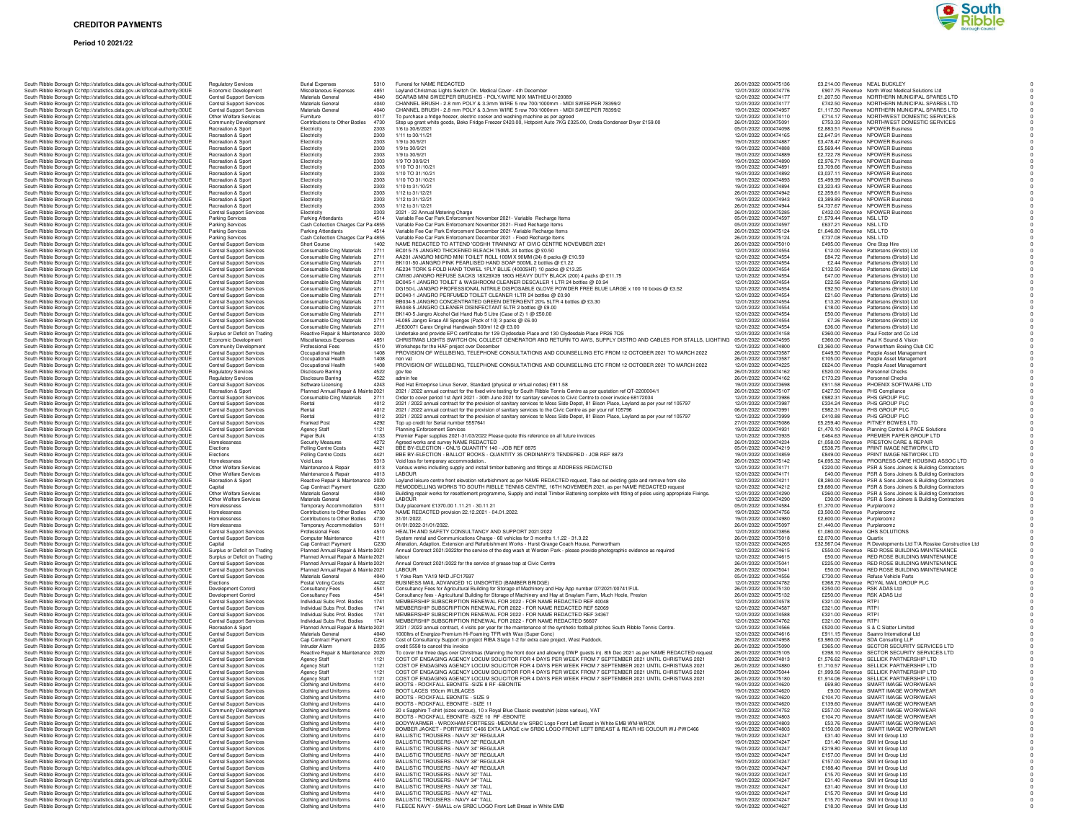# **Period 10 2021/22**



| South Ribble Borough Cc http://statistics.data.gov.uk/id/local-authority/30UE                                                                                  | <b>Regulatory Services</b>                                         | <b>Burial Expenses</b>                                                     | 5310             | Funeral for NAME REDACTED                                                                                                                                                                                                                              | 26/01/2022 0000475136                          | £3,214.00 Revenue NEAL BUCKLEY                                                                                             |
|----------------------------------------------------------------------------------------------------------------------------------------------------------------|--------------------------------------------------------------------|----------------------------------------------------------------------------|------------------|--------------------------------------------------------------------------------------------------------------------------------------------------------------------------------------------------------------------------------------------------------|------------------------------------------------|----------------------------------------------------------------------------------------------------------------------------|
| South Ribble Borough Cc http://statistics.data.gov.uk/id/local-authority/30UE<br>South Ribble Borough Cc http://statistics.data.gov.uk/id/local-authority/30UE | Economic Development<br><b>Central Support Services</b>            | Miscellaneous Expenses<br>Materials Genera                                 | 4851<br>4040     | Leyland Christmas Lights Switch On. Medical Cover - 4th December<br>SCARAB MINI SWEEPER BRUSHES - POLY/WIRE MIX MATHIEU-0120089                                                                                                                        | 12/01/2022 0000474776<br>12/01/2022 0000474177 | £907.75 Revenue North West Medical Solutions Ltd<br>£1,207.50 Revenue NORTHERN MUNICIPAL SPARES LTD                        |
| South Ribble Borough Cc http://statistics.data.gov.uk/id/local-authority/30UE                                                                                  | <b>Central Support Services</b>                                    | Materials Genera                                                           | 4040             | CHANNEL BRUSH - 2.8 mm POLY & 3.3mm WIRE 5 row 700/1000mm - MIDI SWEEPER 78399/2                                                                                                                                                                       | 12/01/2022 0000474177                          | £742.50 Revenue NORTHERN MUNICIPAL SPARES LTD                                                                              |
| South Ribble Borough C: http://statistics.data.gov.uk/id/local-authority/30UE                                                                                  | <b>Central Support Services</b>                                    | Materials General                                                          | 4040             | CHANNEL BRUSH - 2.8 mm POLY & 3.3mm WIRE 5 row 700/1000mm - MIDI SWEEPER 78399/2                                                                                                                                                                       | 19/01/2022 0000474957                          | £1,117.50 Revenue NORTHERN MUNICIPAL SPARES LTD                                                                            |
| South Ribble Borough C: http://statistics.data.gov.uk/id/local-authority/30UE                                                                                  | Other Welfare Services                                             | Fumiture                                                                   | 4017             | To purchase a fridge freezer, electric cooker and washing machine as per agreed                                                                                                                                                                        | 12/01/2022 0000474110                          | £714.17 Revenue NORTHWEST DOMESTIC SERVICES                                                                                |
| South Ribble Borough Cc http://statistics.data.gov.uk/id/local-authority/30UE<br>South Ribble Borough Cohttp://statistics.data.gov.uk/id/local-authority/30UE  | <b>Community Development</b><br>Recreation & Sport                 | Contributions to Other Bodies<br>Electricity                               | 4730<br>2303     | Step up grant white goods, Beko Fridge Freezer £420.00, Hotpoint Auto 7KG £325.00, Creda Condenser Dryer £159.00<br>1/6 to 30/6/2021                                                                                                                   | 26/01/2022 0000475091<br>05/01/2022 0000474098 | £753.33 Revenue NORTHWEST DOMESTIC SERVICES<br>£2,883.51 Revenue NPOWER Business                                           |
| South Ribble Borough Cc http://statistics.data.gov.uk/id/local-authority/30UE                                                                                  | Recreation & Sport                                                 | Electricity                                                                | 2303             | 1/11 to 30/11/21                                                                                                                                                                                                                                       | 12/01/2022 0000474165                          | £2,647.91 Revenue NPOWER Business                                                                                          |
| South Ribble Borough Cc http://statistics.data.gov.uk/id/local-authority/30UE                                                                                  | Recreation & Sport                                                 | Electricity                                                                | 2303             | 1/9 to 30/9/21                                                                                                                                                                                                                                         | 19/01/2022 0000474887                          | £3.478.47 Revenue NPOWER Business                                                                                          |
| South Ribble Borough Cc http://statistics.data.gov.uk/id/local-authority/30UE                                                                                  | Recreation & Sport<br>Recreation & Spor                            | Electricity                                                                | 2303             | 1/9 to 30/9/21                                                                                                                                                                                                                                         | 19/01/2022 0000474888                          | £5,569.44 Revenue NPOWER Business                                                                                          |
| South Ribble Borough Cc http://statistics.data.gov.uk/id/local-authority/30UE<br>South Ribble Borough Cc http://statistics.data.gov.uk/id/local-authority/30UE | Recreation & Sport                                                 | Electricity<br>Electricity                                                 | 2303<br>2303     | 1/9 to 30/9/21<br>1/9 TO 30/9/21                                                                                                                                                                                                                       | 19/01/2022 0000474889<br>19/01/2022 0000474890 | £2,722.78 Revenue NPOWER Business<br>£2,976.71 Revenue NPOWER Business                                                     |
| South Ribble Borough C: http://statistics.data.gov.uk/id/local-authority/30UE                                                                                  | Recreation & Sport                                                 | Electricity                                                                | 2303             | 1/10 TO 31/10/2                                                                                                                                                                                                                                        | 19/01/2022 0000474891                          | £3,709.66 Revenue NPOWER Business                                                                                          |
| South Ribble Borough Cc http://statistics.data.gov.uk/id/local-authority/30UE                                                                                  | Recreation & Sport                                                 | Electricity                                                                | 2303             | 1/10 TO 31/10/21                                                                                                                                                                                                                                       | 19/01/2022 0000474892                          | £3,037.11 Revenue NPOWER Business                                                                                          |
| South Ribble Borough Cc http://statistics.data.gov.uk/id/local-authority/30UE                                                                                  | Recreation & Sport                                                 | Electricity                                                                | 2303             | 1/10 TO 31/10/21                                                                                                                                                                                                                                       | 19/01/2022 0000474893                          | £5,499.99 Revenue NPOWER Business<br>£3,323.43 Revenue NPOWER Business                                                     |
| South Ribble Borough Cohttp://statistics.data.gov.uk/id/local-authority/30UE<br>South Ribble Borough Cc http://statistics.data.gov.uk/id/local-authority/30UE  | Recreation & Sport<br>Recreation & Sport                           | Electricity<br>Electricity                                                 | 2303<br>2303     | 1/10 to 31/10/21<br>1/12 to 31/12/21                                                                                                                                                                                                                   | 19/01/2022 0000474894<br>26/01/2022 0000474942 | £2,359.61 Revenue NPOWER Business                                                                                          |
| South Ribble Borough Cc http://statistics.data.gov.uk/id/local-authority/30UE                                                                                  | Recreation & Sport                                                 | Electricity                                                                | 2303             | 1/12 to 31/12/21                                                                                                                                                                                                                                       | 19/01/2022 0000474943                          | £3,389.89 Revenue NPOWER Business                                                                                          |
| South Ribble Borough Cc http://statistics.data.gov.uk/id/local-authority/30UE                                                                                  | Recreation & Spor                                                  | Electricity                                                                | 2303             | 1/12 to 31/12/21                                                                                                                                                                                                                                       | 26/01/2022 0000474944                          | £4,737.67 Revenue NPOWER Business                                                                                          |
| South Ribble Borough Cc http://statistics.data.gov.uk/id/local-authority/30UE                                                                                  | <b>Central Support Services</b>                                    | Electricity                                                                | 2303             | 2021 - 22 Annual Metering Charge                                                                                                                                                                                                                       | 26/01/2022 0000475285                          | £432.00 Revenue NPOWER Business                                                                                            |
| South Ribble Borough Cc http://statistics.data.gov.uk/id/local-authority/30UE<br>South Ribble Borough C: http://statistics.data.gov.uk/id/local-authority/30UE | <b>Parking Services</b><br>Parking Services                        | Parking Attendants<br>Cash Collection Charges Car Pa 4855                  | 4514             | Variable Fee Car Park Enforcement November 2021- Variable Recharge Items<br>Variable Fee Car Park Enforcement November 2021- Fixed Recharge Items                                                                                                      | 05/01/2022 0000474597<br>05/01/2022 0000474597 | £1,579.44 Revenue NSL LTD<br>£637.21 Revenue NSL LTD                                                                       |
| South Ribble Borough Cohttp://statistics.data.gov.uk/id/local-authority/30UE                                                                                   | Parking Services                                                   | Parking Attendants                                                         | 4514             | Variable Fee Car Park Enforcement December 2021-Variable Recharge Items                                                                                                                                                                                | 26/01/2022 0000475124                          | £1.646.80 Revenue NSL LTD                                                                                                  |
| South Ribble Borough Cc http://statistics.data.gov.uk/id/local-authority/30UE                                                                                  | Parking Services                                                   | Cash Collection Charges Car Pa 4855                                        |                  | Variable Fee Car Park Enforcement December 2021 - Fixed Recharge Items                                                                                                                                                                                 | 26/01/2022 0000475124                          | £737.08 Revenue NSL LTD                                                                                                    |
| South Ribble Borough Cc http://statistics.data.gov.uk/id/local-authority/30UE                                                                                  | Central Support Services                                           | Short Course                                                               | 1402             | NAME REDACTED TO ATTEND 'COSHH TRAINING' AT CIVIC CENTRE NOVEMBER 2021                                                                                                                                                                                 | 26/01/2022 0000475010                          | £495.00 Revenue One Stop Hire                                                                                              |
| South Ribble Borough Cc http://statistics.data.gov.uk/id/local-authority/30UE<br>South Ribble Borough Cc http://statistics.data.gov.uk/id/local-authority/30UE | Central Support Services<br>Central Support Services               | Consumable Cing Materials<br>Consumable Clng Materials                     | 2711<br>2711     | BC015-75 JANGRO THICKENED BLEACH 750ML 24 bottles @ £0.50<br>AA201 JANGRO MICRO MINI TOILET ROLL 100M X 90MM (24) 8 packs @ £10.59                                                                                                                     | 12/01/2022 0000474554<br>12/01/2022 0000474554 | £12.00 Revenue Pattersons (Bristol) Ltd<br>£84.72 Revenue Pattersons (Bristol) Ltd                                         |
| South Ribble Borough Cc http://statistics.data.gov.uk/id/local-authority/30UE                                                                                  | <b>Central Support Services</b>                                    | Consumable Cing Materials                                                  | 2711             | BK101-50 JANGRO PINK PEARLISED HAND SOAP 500ML 2 bottles @ £1.22                                                                                                                                                                                       | 12/01/2022 0000474554                          | £2.44 Revenue Pattersons (Bristol) Ltd                                                                                     |
| South Ribble Borough Cc http://statistics.data.gov.uk/id/local-authority/30UE                                                                                  | <b>Central Support Services</b>                                    | Consumable Cing Materials                                                  | 2711             | AE234 TORK S-FOLD HAND TOWEL 1PLY BLUE (4000SHT) 10 packs @ £13.25                                                                                                                                                                                     | 12/01/2022 0000474554                          | £132.50 Revenue Pattersons (Bristol) Ltd                                                                                   |
| South Ribble Borough Cohttp://statistics.data.gov.uk/id/local-authority/30UE                                                                                   | <b>Central Support Services</b>                                    | Consumable Cing Materials                                                  | 2711             | CM180 JANGRO REFUSE SACKS 18X29X39 180G HEAVY DUTY BLACK (200) 4 packs @ £11.75                                                                                                                                                                        | 12/01/2022 0000474554                          | £47.00 Revenue Pattersons (Bristol) Ltd                                                                                    |
| South Ribble Borough Cc http://statistics.data.gov.uk/id/local-authority/30UE                                                                                  | <b>Central Support Services</b>                                    | Consumable Cing Materials                                                  | 2711             | BC045-1 JANGRO TOILET & WASHROOM CLEANER DESCALER 1 LTR 24 bottles @ £0.94                                                                                                                                                                             | 12/01/2022 0000474554                          | £22.56 Revenue Pattersons (Bristol) Ltd                                                                                    |
| South Ribble Borough C; http://statistics.data.gov.uk/id/local-authority/30UE<br>South Ribble Borough Cohttp://statistics.data.gov.uk/id/local-authority/30UE  | <b>Central Support Services</b><br><b>Central Support Services</b> | Consumable Cing Materials<br>Consumable Cing Materials                     | 2711<br>2711     | DG150-L JANGRO PROFESSIONAL NITRILE DISPOSABLE GLOVE POWDER FREE BLUE LARGE x 100 10 boxes @ £3.52<br>BC040-1 JANGRO PERFUMED TOILET CLEANER 1LTR 24 bottles @ £0.90                                                                                   | 12/01/2022 0000474554<br>12/01/2022 0000474554 | £92.50 Revenue Pattersons (Bristol) Ltd<br>£21.60 Revenue Pattersons (Bristol) Ltd                                         |
| South Ribble Borough Cc http://statistics.data.gov.uk/id/local-authority/30UE                                                                                  | Central Support Services                                           | Consumable Cing Materials                                                  | 2711             | BB034-5 JANGRO CONCENTRATED GREEN DETERGENT 20% 5LTR 4 bottles @ £3.30                                                                                                                                                                                 | 12/01/2022 0000474554                          | £13.20 Revenue Pattersons (Bristol) Ltd                                                                                    |
| South Ribble Borough Cc http://statistics.data.gov.uk/id/local-authority/30UE                                                                                  | Central Support Services                                           | Consumable Cing Materials                                                  | 2711             | BA048-5 JANGRO CLEANER DISINFECTANT 5LTR 2 bottles @ £9.00                                                                                                                                                                                             | 12/01/2022 0000474554                          | £18.00 Revenue Pattersons (Bristol) Ltd                                                                                    |
| South Ribble Borough Cc http://statistics.data.gov.uk/id/local-authority/30UE                                                                                  | <b>Central Support Services</b>                                    | Consumable Cing Materials                                                  | 2711             | BK140-5 Jangro Alcohol Gel Hand Rub 5 Litre (Case of 2) 1 @ £50.00                                                                                                                                                                                     | 12/01/2022 0000474554                          | £50.00 Revenue Pattersons (Bristol) Ltd                                                                                    |
| South Ribble Borough Cc http://statistics.data.gov.uk/id/local-authority/30UE                                                                                  | Central Support Services                                           | Consumable Cing Materials                                                  | 2711             | HL085 Jangro Erase All Sponges (Pack of 10) 3 packs @ £6.00                                                                                                                                                                                            | 12/01/2022 0000474554                          | £7.26 Revenue Pattersons (Bristol) Ltd                                                                                     |
| South Ribble Borough C: http://statistics.data.gov.uk/id/local-authority/30UE<br>South Ribble Borough Cohttp://statistics.data.gov.uk/id/local-authority/30UE  | <b>Central Support Services</b><br>Surplus or Deficit on Trading   | Consumable Cing Materials<br>Reactive Repair & Maintenance 2020            | 2711             | JE630071 Carex Original Handwash 500ml 12 @ £3.00<br>Undertake and provide EPC certificates for 129 Clydesdale Place and 130 Clydesdale Place PR26 7QS                                                                                                 | 12/01/2022 0000474554<br>12/01/2022 0000474158 | £36.00 Revenue Pattersons (Bristol) Ltd<br>£360.00 Revenue Paul Foster and Co Ltd                                          |
| South Ribble Borough Cohttp://statistics.data.gov.uk/id/local-authority/30UE                                                                                   | Economic Development                                               | Miscellaneous Expenses                                                     | 4851             | CHRISTMAS LIGHTS SWITCH ON, COLLECT GENERATOR AND RETURN TO AWS, SUPPLY DISTRO AND CABLES FOR STALLS, LIGHTING 05/01/2022 0000474595                                                                                                                   |                                                | £360.00 Revenue Paul K Sound & Vision                                                                                      |
| South Ribble Borough C; http://statistics.data.gov.uk/id/local-authority/30UE                                                                                  | Community Development                                              | Professional Fees                                                          | 4510             | Workshops for the HAF project over December                                                                                                                                                                                                            | 12/01/2022 0000474800                          | £3,360.00 Bevenue Penwortham Boxing Club CIC                                                                               |
| South Ribble Borough Cc http://statistics.data.gov.uk/id/local-authority/30UE                                                                                  | <b>Central Support Services</b>                                    | Occupational Health                                                        | 1408             | PROVISION OF WELLBEING, TELEPHONE CONSULTATIONS AND COUNSELLING ETC FROM 12 OCTOBER 2021 TO MARCH 2022                                                                                                                                                 | 26/01/2022 0000473587                          | £449.50 Revenue People Asset Management                                                                                    |
| South Ribble Borough Cc http://statistics.data.gov.uk/id/local-authority/30UE                                                                                  | Central Support Services                                           | Occupational Health                                                        | 1408             | non vat                                                                                                                                                                                                                                                | 26/01/2022 0000473587                          | £105.00 Revenue People Asset Management                                                                                    |
| South Ribble Borough Cc http://statistics.data.gov.uk/id/local-authority/30UE<br>South Ribble Borough Cc http://statistics.data.gov.uk/id/local-authority/30UE | <b>Central Support Services</b><br><b>Regulatory Services</b>      | Occupational Health<br><b>Disclosure Barring</b>                           | 1408<br>4522     | PROVISION OF WELLBEING, TELEPHONE CONSULTATIONS AND COUNSELLING ETC FROM 12 OCTOBER 2021 TO MARCH 2022<br>gov fee                                                                                                                                      | 12/01/2022 0000474225<br>26/01/2022 0000474162 | £624.00 Revenue People Asset Management<br>£520.00 Revenue Personnel Checks                                                |
| South Ribble Borough Cc http://statistics.data.gov.uk/id/local-authority/30UE                                                                                  | <b>Regulatory Services</b>                                         | <b>Disclosure Barring</b>                                                  | 4522             | admin fee                                                                                                                                                                                                                                              | 26/01/2022 0000474162                          | £173.29 Revenue Personnel Checks                                                                                           |
| South Ribble Borough Cohttp://statistics.data.gov.uk/id/local-authority/30UE                                                                                   | <b>Central Support Services</b>                                    | Software Licensing                                                         | 4243             | Red Hat Enterprise Linux Server, Standard (physical or virtual nodes) £911.58                                                                                                                                                                          | 19/01/2022 0000473698                          | £911.58 Revenue PHOENIX SOFTWARE LTD                                                                                       |
| South Ribble Borough Cohttp://statistics.data.gov.uk/id/local-authority/30UE                                                                                   | Recreation & Sport                                                 | Planned Annual Repair & Mainte 2021                                        |                  | 2021 / 2022 annual contract for the fixed wire testing for South Ribble Tennis Centre as per guotation ref QT-2200004/1                                                                                                                                | 26/01/2022 0000475107                          | £427.50 Revenue PHS Compliance                                                                                             |
| South Ribble Borough Cohttp://statistics.data.gov.uk/id/local-authority/30UE                                                                                   | <b>Central Support Services</b>                                    | Consumable Cing Materials                                                  | 2711             | Order to cover period 1st April 2021 - 30th June 2021 for sanitary services to Civic Centre to cover invoice 68172034                                                                                                                                  | 12/01/2022 0000473986<br>12/01/2022 0000473987 | £982.31 Revenue PHS GROUP PLC                                                                                              |
| South Ribble Borough C: http://statistics.data.gov.uk/id/local-authority/30UE<br>South Ribble Borough Cc http://statistics.data.gov.uk/id/local-authority/30UE | Central Support Services<br>Central Support Services               | Rental<br>Rental                                                           | 4012<br>4012     | 2021 / 2022 annual contract for the provision of sanitary services to Moss Side Depot, 81 Bison Place, Leyland as per your ref 105797<br>2021 / 2022 annual contract for the provision of sanitary services to the Civic Centre as per your ref 105796 | 06/01/2022 0000473991                          | £334.24 Revenue PHS GROUP PLC<br>£982.31 Revenue PHS GROUP PLC                                                             |
| South Ribble Borough Cc http://statistics.data.gov.uk/id/local-authority/30UE                                                                                  | <b>Central Support Services</b>                                    | Renta                                                                      | 4012             | 2021 / 2022 annual contract for the provision of sanitary services to Moss Side Depot, 81 Bison Place, Leyland as per your ref 105797                                                                                                                  | 12/01/2022 0000473999                          | £410.88 Revenue PHS GROUP PLC                                                                                              |
| South Ribble Borough Cc http://statistics.data.gov.uk/id/local-authority/30UE                                                                                  | <b>Central Support Services</b>                                    | Franked Post                                                               | 4292             | Top up credit for Serial number 5557641                                                                                                                                                                                                                | 27/01/2022 0000475086                          | £5,259.40 Revenue PITNEY BOWES LTD                                                                                         |
| South Ribble Borough Cc http://statistics.data.gov.uk/id/local-authority/30UE                                                                                  | <b>Central Support Services</b>                                    | <b>Agency Staff</b>                                                        | 1121             | Planning Enforcement Services                                                                                                                                                                                                                          | 19/01/2022 0000474931                          | £1,470.10 Revenue Planning Control & PACE Solutions                                                                        |
| South Ribble Borough C: http://statistics.data.gov.uk/id/local-authority/30UE                                                                                  | <b>Central Support Services</b>                                    | Paper Bulk                                                                 | 4133             | Premier Paper supplies 2021-31/03/2022 Please quote this reference on all future invoices                                                                                                                                                              | 12/01/2022 0000473935                          | £464.63 Revenue PREMIER PAPER GROUP LTD                                                                                    |
| South Ribble Borough Cc http://statistics.data.gov.uk/id/local-authority/30UE<br>South Ribble Borough Cohttp://statistics.data.gov.uk/id/local-authority/30UE  | Homelessness<br>Elections                                          | Security Measures<br>Polling Centre Costs                                  | 4272<br>4421     | Agreed works and survey NAME REDACTED<br>BBE BY-ELECTION - CNL'S QUANTITY 140 - JOB REF 8875                                                                                                                                                           | 26/01/2022 0000474234<br>05/01/2022 0000474219 | £1,058.00 Revenue PRESTON CARE & REPAIR<br>£538.75 Revenue PRINT IMAGE NETWORK LTD                                         |
| South Ribble Borough Cc http://statistics.data.gov.uk/id/local-authority/30UE                                                                                  | Elections                                                          | Polling Centre Costs                                                       | 4421             | BBE BY-ELECTION - BALLOT BOOKS - QUANTITY 35 ORDINARY/3 TENDERED - JOB REF 8873                                                                                                                                                                        | 19/01/2022 0000474859                          | £849.00 Revenue PRINT IMAGE NETWORK LTD                                                                                    |
| South Ribble Borough Cc http://statistics.data.gov.uk/id/local-authority/30UE                                                                                  | Homelessness                                                       | Void Loss                                                                  | 5313             | Void loss for temporary accommodation                                                                                                                                                                                                                  | 26/01/2022 0000475142                          | £4,695,32 Revenue PROGRESS CARE HOUSING ASSOC LTD                                                                          |
| South Ribble Borough Cc http://statistics.data.gov.uk/id/local-authority/30UE                                                                                  | Other Welfare Services                                             | Maintenance & Repair                                                       | 4013             | Various works including supply and install timber battening and fittings at ADDRESS REDACTED                                                                                                                                                           | 12/01/2022 0000474171                          | £220.00 Revenue PSR & Sons Joiners & Building Contractors                                                                  |
| South Ribble Borough Cc http://statistics.data.gov.uk/id/local-authority/30UE                                                                                  | Other Welfare Services                                             | Maintenance & Repair                                                       | 4013             | LABOUR                                                                                                                                                                                                                                                 | 12/01/2022 0000474171                          | £40.00 Revenue PSR & Sons Joiners & Building Contractors                                                                   |
| South Ribble Borough Cc http://statistics.data.gov.uk/id/local-authority/30UE<br>South Ribble Borough C: http://statistics.data.gov.uk/id/local-authority/30UE | Recreation & Sport<br>Capital                                      | Reactive Repair & Maintenance 2020<br>Cap Contract Payment                 | C <sub>230</sub> | Leyland leisure centre front elevation refurbishment as per NAME REDACTED request, Take out existing gate and remove from site<br>REMODDELLING WORKS TO SOUTH RIBLLE TENNIS CENTRE, 16TH NOVEMBER 2021, as per NAME REDACTED request                   | 12/01/2022 0000474211<br>12/01/2022 0000474212 | £8,280.00 Revenue PSR & Sons Joiners & Building Contractors<br>£9,680.00 Revenue PSR & Sons Joiners & Building Contractors |
| South Ribble Borough Cc http://statistics.data.gov.uk/id/local-authority/30UE                                                                                  | Other Welfare Services                                             | Materials General                                                          | 4040             | Building repair works for resettlement programme, Supply and install Timber Battening complete with fitting of poles using appropriate Fixings.                                                                                                        | 12/01/2022 0000474290                          | £260.00 Revenue PSR & Sons Joiners & Building Contractors                                                                  |
| South Ribble Borough Cc http://statistics.data.gov.uk/id/local-authority/30UE                                                                                  | Other Welfare Services                                             | Materials General                                                          | 4040             | LABOUR                                                                                                                                                                                                                                                 | 12/01/2022 0000474290                          | £30.00 Revenue PSR & Sons Joiners & Building Contractors                                                                   |
| South Ribble Borough Cohttp://statistics.data.gov.uk/id/local-authority/30UE                                                                                   | Homelessness                                                       | Temporary Accommodation                                                    | 5311             | Duty placement £1370.00 1.11.21 - 30.11.21                                                                                                                                                                                                             | 05/01/2022 0000474584                          | £1.370.00 Revenue Purpleroomz                                                                                              |
| South Ribble Borough Cc http://statistics.data.gov.uk/id/local-authority/30UE                                                                                  | Homelessness<br>Homelessness                                       | Contributions to Other Bodies 4730<br>Contributions to Other Bodies        | 4730             | NAME REDACTED provision 22.12.2021 - 04.01.2022<br>31/01/2022                                                                                                                                                                                          | 19/01/2022 0000474756<br>19/01/2022 0000474980 | £3,500.00 Revenue Purpleroomz<br>£2,600.00 Revenue Purpleroomz                                                             |
| South Ribble Borough Cc http://statistics.data.gov.uk/id/local-authority/30UE<br>South Ribble Borough Cc http://statistics.data.gov.uk/id/local-authority/30UE | Homelessness                                                       | Temporary Accommodation                                                    | 5311             | 01/01/2022-31/01/2022.                                                                                                                                                                                                                                 | 26/01/2022 0000475097                          | £1,440.00 Revenue Purpleroomz                                                                                              |
| South Ribble Borough Cc http://statistics.data.gov.uk/id/local-authority/30UE                                                                                  | <b>Central Support Services</b>                                    | Professional Fees                                                          | 4510             | HEALTH AND SAFETY CONSULTANCY AND SUPPORT 2021/2022                                                                                                                                                                                                    | 12/01/2022 0000473856                          | £1,080.00 Revenue QHS SOLUTIONS                                                                                            |
| South Ribble Borough Cohttp://statistics.data.gov.uk/id/local-authority/30UE                                                                                   | <b>Central Support Services</b>                                    | Computer Maintenance                                                       | 4211             | System rental and Communications Charge - 60 vehicles for 3 months 1.1.22 - 31.3.22                                                                                                                                                                    | 26/01/2022 0000475018                          | £2,070.00 Revenue Quartix                                                                                                  |
| South Ribble Borough C: http://statistics.data.gov.uk/id/local-authority/30UE                                                                                  | Capital                                                            | Cap Contract Payment                                                       | C230             | Alteration, Adaption, Extension and Refurbishment Works - Hurst Grange Coach House, Penwortham                                                                                                                                                         | 12/01/2022 0000474265                          | £32,567.04 Revenue R Developments Ltd T/A Rosslee Construction Ltd                                                         |
| South Ribble Borough Cohttp://statistics.data.gov.uk/id/local-authority/30UE<br>South Ribble Borough Cc http://statistics.data.gov.uk/id/local-authority/30UE  | Surplus or Deficit on Trading<br>Surplus or Deficit on Trading     | Planned Annual Repair & Mainte 2021<br>Planned Annual Repair & Mainte 2021 |                  | Annual Contract 2021/2022for the service of the dog wash at Worden Park - please provide photographic evidence as required<br>labour                                                                                                                   | 12/01/2022 0000474615<br>12/01/2022 0000474615 | £550.00 Revenue RED ROSE BUILDING MAINTENANCE<br>£50.00 Revenue RED ROSE BUILDING MAINTENANCE                              |
| South Ribble Borough Cc http://statistics.data.gov.uk/id/local-authority/30UE                                                                                  | Central Support Services                                           | Planned Annual Repair & Mainte 2021                                        |                  | Annual Contract 2021/2022 for the service of grease trap at Civic Centre                                                                                                                                                                               | 26/01/2022 0000475041                          | £225.00 Revenue RED ROSE BUILDING MAINTENANCE                                                                              |
| South Ribble Borough Cc http://statistics.data.gov.uk/id/local-authority/30UE                                                                                  | Central Support Services                                           | Planned Annual Repair & Mainte 2021                                        |                  | LABOUR                                                                                                                                                                                                                                                 | 26/01/2022 0000475041                          | £50.00 Revenue RED ROSE BUILDING MAINTENANCE                                                                               |
| South Ribble Borough Cc http://statistics.data.gov.uk/id/local-authority/30UE                                                                                  | Central Support Services                                           | Materials General                                                          | 4040             | 1 Yoke Ram YA19 NKD JFC17697                                                                                                                                                                                                                           | 05/01/2022 0000474556                          | £730.00 Revenue Refuse Vehicle Parts                                                                                       |
| South Ribble Borough Cc http://statistics.data.gov.uk/id/local-authority/30UE<br>South Ribble Borough Cc http://statistics.data.gov.uk/id/local-authority/30UE | Elections<br>Development Control                                   | Postal Voting Costs<br>Consultancy Fees                                    | 4422<br>4541     | BUSINESS MAIL ADVANCED 1C UNSORTED (BAMBER BRIDGE)<br>Consultancy Fees for Agricultural Building for Storage of Machinery and Hay App number 07/2021/00741/FUL                                                                                         | 12/01/2022 0000474782<br>26/01/2022 0000475130 | £368.73 Revenue ROYAL MAIL GROUP PLC<br>£250.00 Revenue RSK ADAS Ltd                                                       |
| South Ribble Borough Cohttp://statistics.data.gov.uk/id/local-authority/30UE                                                                                   | Development Control                                                | Consultancy Fees                                                           | 4541             | Consultancy fees - Agricultural Building for Storage of Machinery and Hay at Snaylam Farm, Much Hoole, Preston                                                                                                                                         | 26/01/2022 0000475132                          | £250.00 Revenue RSK ADAS Ltd                                                                                               |
| South Ribble Borough Cc http://statistics.data.gov.uk/id/local-authority/30UE                                                                                  | <b>Central Support Services</b>                                    | Individual Subs Prof. Bodies                                               | 1741             | MEMBERSHIP SUBSCRIPTION RENEWAL FOR 2022 - FOR NAME REDACTED REF 40048                                                                                                                                                                                 | 12/01/2022 0000474578                          | £321.00 Revenue RTPI                                                                                                       |
| South Ribble Borough C; http://statistics.data.gov.uk/id/local-authority/30UE                                                                                  | <b>Central Support Services</b>                                    | Individual Subs Prof. Bodies                                               | 1741             | MEMBERSHIP SUBSCRIPTION RENEWAL FOR 2022 - FOR NAME REDACTED REF 52069                                                                                                                                                                                 | 12/01/2022 0000474587                          | £321.00 Bevenue BTPL                                                                                                       |
| South Ribble Borough Cohttp://statistics.data.gov.uk/id/local-authority/30UE                                                                                   | <b>Central Support Services</b><br><b>Central Support Services</b> | Individual Subs Prof. Bodies<br>Individual Subs Prof. Bodies               | 1741<br>1741     | MEMBERSHIP SUBSCRIPTION RENEWAL FOR 2022 - FOR NAME REDACTED REF 34367<br>MEMBERSHIP SUBSCRIPTION RENEWAL FOR 2022 - FOR NAME REDACTED 56607                                                                                                           | 12/01/2022 0000474588<br>12/01/2022 0000474762 | £321.00 Revenue RTPI<br>£321.00 Revenue RTPI                                                                               |
| South Ribble Borough Cc http://statistics.data.gov.uk/id/local-authority/30UE<br>South Ribble Borough Cc http://statistics.data.gov.uk/id/local-authority/30UE | Recreation & Sport                                                 | Planned Annual Repair & Mainte 2021                                        |                  | 2021 / 2022 annual contract, 4 visits per year for the maintenance of the synthetic football pitches South Ribble Tennis Centre.                                                                                                                       | 12/01/2022 0000474566                          | £520.00 Revenue S & C Slatter Limited                                                                                      |
| South Ribble Borough Cc http://statistics.data.gov.uk/id/local-authority/30UE                                                                                  | <b>Central Support Services</b>                                    | Materials General                                                          | 4040             | 1000ltrs of Energize-Premium Hi-Foaming TFR with Wax (Super Conc)                                                                                                                                                                                      | 12/01/2022 0000474616                          | £911.15 Revenue Saanro International Ltd                                                                                   |
| South Ribble Borough Cc http://statistics.data.gov.uk/id/local-authority/30UE                                                                                  | Capital                                                            | Cap Contract Payment                                                       | C230             | Cost of Consultancy Support on project RIBA Stage 1-2 for extra care project, West Paddock.                                                                                                                                                            | 26/01/2022 0000474958                          | £3,980.00 Revenue SDA Consulting LLP                                                                                       |
| South Ribble Borough Cohttp://statistics.data.gov.uk/id/local-authority/30UE                                                                                   | <b>Central Support Services</b>                                    | Intruder Alarm                                                             | 2035             | credit 5558 to cancel this invoice                                                                                                                                                                                                                     | 26/01/2022 0000475090<br>26/01/2022 0000475105 | £365.00 Revenue SECTOR SECURITY SERVICES LTD                                                                               |
| South Ribble Borough Cohttp://statistics.data.gov.uk/id/local-authority/30UE<br>South Ribble Borough Cc http://statistics.data.gov.uk/id/local-authority/30UE  | <b>Central Support Services</b><br><b>Central Support Services</b> | Reactive Repair & Maintenance 2020<br><b>Agency Staff</b>                  | 1121             | To cover the three days over Christmas (Manning the front door and allowing DWP guests in). 8th Dec 2021 as per NAME REDACTED request<br>COST OF ENGAGING AGENCY LOCUM SOLICITOR FOR 4 DAYS PER WEEK FROM 7 SEPTEMBER 2021 UNTIL CHRISTMAS 2021        | 26/01/2022 0000474813                          | £398.10 Revenue SECTOR SECURITY SERVICES LTD<br>£1,576.62 Revenue SELLICK PARTNERSHIP LTD                                  |
| South Ribble Borough Cc http://statistics.data.gov.uk/id/local-authority/30UE                                                                                  | <b>Central Support Services</b>                                    | <b>Agency Staff</b>                                                        | 1121             | COST OF ENGAGING AGENCY LOCUM SOLICITOR FOR 4 DAYS PER WEEK FROM 7 SEPTEMBER 2021 UNTIL CHRISTMAS 2021                                                                                                                                                 | 26/01/2022 0000474880                          | £1,710.57 Revenue SELLICK PARTNERSHIP LTD                                                                                  |
| South Ribble Borough Cc http://statistics.data.gov.uk/id/local-authority/30UE                                                                                  | <b>Central Support Services</b>                                    | Agency Staff                                                               | 1121             | COST OF ENGAGING AGENCY LOCUM SOLICITOR FOR 4 DAYS PER WEEK FROM 7 SEPTEMBER 2021 UNTIL CHRISTMAS 2021                                                                                                                                                 | 26/01/2022 0000475044                          | £1,999.56 Revenue SELLICK PARTNERSHIP LTD                                                                                  |
| South Ribble Borough Cc http://statistics.data.gov.uk/id/local-authority/30UE                                                                                  | <b>Central Support Services</b>                                    | <b>Agency Staff</b>                                                        | 1121             | COST OF ENGAGING AGENCY LOCUM SOLICITOR FOR 4 DAYS PER WEEK FROM 7 SEPTEMBER 2021 UNTIL CHRISTMAS 2021                                                                                                                                                 | 26/01/2022 0000475180                          | £1.914.06 Revenue SELLICK PARTNERSHIP LTD                                                                                  |
| th Ribble Borough Cc http://statistics.data.gov.uk/id/local-authority/30U                                                                                      | Jentral Support Services<br>Central Support Services               | Jotning and Uniforms                                                       | 4410             | ROCKFALL EBONITE - SIZE 8 RF - EBONITE<br>BOOT LACES 150cm WLBLACES                                                                                                                                                                                    | 19/01/2022 000047462<br>19/01/2022 0000474620  | £69.80 Revenue SMART IMAGE WORKWE.<br>£9.00 Revenue SMART IMAGE WORKWEAR                                                   |
| South Ribble Borough Cc http://statistics.data.gov.uk/id/local-authority/30UE<br>South Ribble Borough Cc http://statistics.data.gov.uk/id/local-authority/30UE | <b>Central Support Services</b>                                    | Clothing and Uniforms<br>Clothing and Uniforms                             | 4410             | BOOTS - ROCKFALL EBONITE - SIZE 9                                                                                                                                                                                                                      | 19/01/2022 0000474620                          | £104.70 Revenue SMART IMAGE WORKWEAR                                                                                       |
| South Ribble Borough Cc http://statistics.data.gov.uk/id/local-authority/30UE                                                                                  | <b>Central Support Services</b>                                    | Clothing and Uniforms                                                      | 4410             | BOOTS - ROCKFALL EBONITE - SIZE 11                                                                                                                                                                                                                     | 19/01/2022 0000474620                          | £139.60 Revenue SMART IMAGE WORKWEAR                                                                                       |
| South Bibble Borough Cohttp://statistics.data.gov.uk/id/local-authority/30UE                                                                                   | <b>Community Development</b>                                       | Clothing and Uniforms                                                      | 4410             | 20 x Sapphire T-shirt (sizes various). 10 x Royal Blue Classic sweatshirt (sizes various). VAT                                                                                                                                                         | 12/01/2022 0000474752                          | £257.00 Revenue SMART IMAGE WORKWEAR                                                                                       |
| South Ribble Borough Cc http://statistics.data.gov.uk/id/local-authority/30UE                                                                                  | <b>Central Support Services</b>                                    | Clothing and Uniforms                                                      | 4410             | BOOTS - ROCKFALL EBONITE -SIZE 10 RF -EBONITE                                                                                                                                                                                                          | 19/01/2022 0000474803                          | £104.70 Revenue SMART IMAGE WORKWEAR                                                                                       |
| South Ribble Borough Cc http://statistics.data.gov.uk/id/local-authority/30UE                                                                                  | <b>Central Support Services</b>                                    | Clothing and Uniforms                                                      | 4410<br>4410     | BODYWARMER - WROXHAM FORTRESS -MEDIUM c/w SRBC Logo Front Left Breast in White EMB WM-WROX<br>BOMBER JACKET - PORTWEST C466 EXTA LARGE c/w SRBC LOGO FRONT LEFT BREAST & REAR HS COLOUR WJ-PWC466                                                      | 19/01/2022 0000474803<br>19/01/2022 0000474803 | £53.76 Revenue SMART IMAGE WORKWEAR<br>£150.08 Revenue SMART IMAGE WORKWEAR                                                |
| South Ribble Borough Cc http://statistics.data.gov.uk/id/local-authority/30UE<br>South Ribble Borough Cc http://statistics.data.gov.uk/id/local-authority/30UE | <b>Central Support Services</b><br><b>Central Support Services</b> | Clothing and Uniforms<br>Clothing and Uniforms                             | 4410             | BALLISTIC TROUSERS - NAVY 30" REGULAR                                                                                                                                                                                                                  | 19/01/2022 0000474247                          | £31.40 Revenue SMI Int Group Ltd                                                                                           |
| South Ribble Borough Cohttp://statistics.data.gov.uk/id/local-authority/30UE                                                                                   | <b>Central Support Services</b>                                    | Clothing and Uniforms                                                      | 4410             | BALLISTIC TROUSERS - NAVY 32" REGULAR                                                                                                                                                                                                                  | 19/01/2022 0000474247                          | £31.40 Revenue SMI Int Group Ltd                                                                                           |
| South Ribble Borough Cc http://statistics.data.gov.uk/id/local-authority/30UE                                                                                  | <b>Central Support Services</b>                                    | Clothing and Uniforms                                                      | 4410             | BALLISTIC TROUSERS - NAVY 34" REGULAR                                                                                                                                                                                                                  | 19/01/2022 0000474247                          | £219.80 Revenue SMI Int Group Ltd                                                                                          |
| South Ribble Borough Cc http://statistics.data.gov.uk/id/local-authority/30UE                                                                                  | <b>Central Support Services</b>                                    | Clothing and Uniforms                                                      | 4410             | BALLISTIC TROUSERS - NAVY 36" REGULAR<br>BALLISTIC TROUSERS - NAVY 38" REGULAR                                                                                                                                                                         | 19/01/2022 0000474247                          | £157.00 Revenue SMI Int Group Ltd                                                                                          |
| South Ribble Borough Cc http://statistics.data.gov.uk/id/local-authority/30UE<br>South Ribble Borough Cc http://statistics.data.gov.uk/id/local-authority/30UE | <b>Central Support Services</b><br><b>Central Support Services</b> | Clothing and Uniforms<br>Clothing and Uniforms                             | 4410<br>4410     | BALLISTIC TROUSERS - NAVY 40" REGULAR                                                                                                                                                                                                                  | 19/01/2022 0000474247<br>19/01/2022 0000474247 | £157.00 Revenue SMI Int Group Ltd<br>£188.40 Revenue SMI Int Group Ltd                                                     |
| South Ribble Borough Cc http://statistics.data.gov.uk/id/local-authority/30UE                                                                                  | <b>Central Support Services</b>                                    | Clothing and Uniforms                                                      | 4410             | BALLISTIC TROUSERS - NAVY 30" TALL                                                                                                                                                                                                                     | 19/01/2022 0000474247                          | £15.70 Revenue SMI Int Group Ltd                                                                                           |
| South Ribble Borough Cc http://statistics.data.gov.uk/id/local-authority/30UE                                                                                  | <b>Central Support Services</b>                                    | Clothing and Uniforms                                                      | 4410             | BALLISTIC TROUSERS - NAVY 34" TALL                                                                                                                                                                                                                     | 19/01/2022 0000474247                          | £31.40 Revenue SMI Int Group Ltd                                                                                           |
| South Ribble Borough Cc http://statistics.data.gov.uk/id/local-authority/30UE                                                                                  | Central Support Services                                           | Clothing and Uniforms                                                      | 4410             | BALLISTIC TROUSERS - NAVY 38" TALL                                                                                                                                                                                                                     | 19/01/2022 0000474247                          | £31.40 Revenue SMI Int Group Ltd                                                                                           |
| South Ribble Borough C: http://statistics.data.gov.uk/id/local-authority/30UE<br>South Ribble Borough Cc http://statistics.data.gov.uk/id/local-authority/30UE | <b>Central Support Services</b><br><b>Central Support Services</b> | Clothing and Uniforms<br>Clothing and Uniforms                             | 4410<br>4410     | BALLISTIC TROUSERS - NAVY 42" TALL<br>BALLISTIC TROUSERS - NAVY 44" TALL                                                                                                                                                                               | 19/01/2022 0000474247<br>19/01/2022 0000474247 | £15.70 Revenue SMI Int Group Ltd<br>£15.70 Revenue SMI Int Group Ltd                                                       |
| South Ribble Borough Cc http://statistics.data.gov.uk/id/local-authority/30UE                                                                                  | Central Support Services                                           | Clothing and Uniforms                                                      | 4410             | FLEECE NAVY - SMALL c/w SRBC LOGO Front Left Breast in White EMB                                                                                                                                                                                       | 19/01/2022 0000474627                          | £18.30 Revenue SMI Int Group Ltd                                                                                           |

| 5310               | Funeral for NAME REDACTED                                                                                                                                                                                                                             | 26/01/2022 0000475136                          | £3,214.00 Revenue NEAL BUCKLEY                               |                                                                                                                          |                  |
|--------------------|-------------------------------------------------------------------------------------------------------------------------------------------------------------------------------------------------------------------------------------------------------|------------------------------------------------|--------------------------------------------------------------|--------------------------------------------------------------------------------------------------------------------------|------------------|
| 4851               | Levland Christmas Lights Switch On. Medical Cover - 4th December                                                                                                                                                                                      | 12/01/2022 0000474776                          |                                                              | £907.75 Revenue North West Medical Solutions Ltd                                                                         |                  |
| 4040               | SCARAB MINI SWEEPER BRUSHES - POLY/WIRE MIX MATHIEU-0120089                                                                                                                                                                                           | 12/01/2022 0000474177                          |                                                              | £1,207.50 Revenue NORTHERN MUNICIPAL SPARES LTD                                                                          |                  |
| 4040               | CHANNEL BRUSH - 2.8 mm POLY & 3.3mm WIRE 5 row 700/1000mm - MIDI SWEEPER 78399/2                                                                                                                                                                      | 12/01/2022 0000474177                          |                                                              | £742.50 Revenue NORTHERN MUNICIPAL SPARES LTD                                                                            |                  |
| 4040               | CHANNEL BRUSH - 2.8 mm POLY & 3.3mm WIRE 5 row 700/1000mm - MIDI SWEEPER 78399/2                                                                                                                                                                      | 19/01/2022 0000474957<br>12/01/2022 0000474110 |                                                              | £1,117.50 Revenue NORTHERN MUNICIPAL SPARES LTD                                                                          |                  |
| 4017<br>4730       | To purchase a fridge freezer, electric cooker and washing machine as per agreed<br>Step up grant white goods, Beko Fridge Freezer £420.00, Hotpoint Auto 7KG £325.00, Creda Condenser Dryer £159.00                                                   | 26/01/2022 0000475091                          |                                                              | £714.17 Revenue NORTHWEST DOMESTIC SERVICES<br>£753.33 Revenue NORTHWEST DOMESTIC SERVICES                               |                  |
| 2303               | 1/6 to 30/6/2021                                                                                                                                                                                                                                      | 05/01/2022 0000474098                          | £2,883.51 Revenue NPOWER Business                            |                                                                                                                          |                  |
| 2303               | 1/11 to 30/11/21                                                                                                                                                                                                                                      | 12/01/2022 0000474165                          | £2,647.91 Revenue NPOWER Business                            |                                                                                                                          |                  |
| 2303               | 1/9 to 30/9/21                                                                                                                                                                                                                                        | 19/01/2022 0000474887                          | £3,478.47 Revenue NPOWER Business                            |                                                                                                                          |                  |
| 2303               | 1/9 to 30/9/21                                                                                                                                                                                                                                        | 19/01/2022 0000474888                          | £5,569.44 Revenue NPOWER Business                            |                                                                                                                          |                  |
| 2303               | 1/9 to 30/9/21                                                                                                                                                                                                                                        | 19/01/2022 0000474889                          | £2,722.78 Revenue NPOWER Business                            |                                                                                                                          |                  |
| 2303               | 1/9 TO 30/9/21                                                                                                                                                                                                                                        | 19/01/2022 0000474890                          | £2,976.71 Revenue NPOWER Business                            |                                                                                                                          |                  |
| 2303               | 1/10 TO 31/10/21                                                                                                                                                                                                                                      | 19/01/2022 0000474891                          | £3,709.66 Revenue NPOWER Business                            |                                                                                                                          |                  |
| 2303               | 1/10 TO 31/10/21                                                                                                                                                                                                                                      | 19/01/2022 0000474892                          | £3,037.11 Revenue NPOWER Business                            |                                                                                                                          |                  |
| 2303               | 1/10 TO 31/10/21                                                                                                                                                                                                                                      | 19/01/2022 0000474893                          | £5,499.99 Revenue NPOWER Business                            |                                                                                                                          |                  |
| 2303               | 1/10 to 31/10/21                                                                                                                                                                                                                                      | 19/01/2022 0000474894                          | £3,323,43 Revenue NPOWER Business                            |                                                                                                                          |                  |
| 2303               | 1/12 to 31/12/21                                                                                                                                                                                                                                      | 26/01/2022 0000474942                          | £2,359.61 Revenue NPOWER Business                            |                                                                                                                          |                  |
| 2303               | 1/12 to 31/12/21                                                                                                                                                                                                                                      | 19/01/2022 0000474943                          | £3,389.89 Revenue NPOWER Business                            |                                                                                                                          |                  |
| 2303               | 1/12 to 31/12/21                                                                                                                                                                                                                                      | 26/01/2022 0000474944                          | £4,737.67 Revenue NPOWER Business                            |                                                                                                                          |                  |
| 2303               | 2021 - 22 Annual Metering Charge                                                                                                                                                                                                                      | 26/01/2022 0000475285                          |                                                              | £432.00 Revenue NPOWER Business                                                                                          |                  |
| 4514               | Variable Fee Car Park Enforcement November 2021- Variable Recharge Items                                                                                                                                                                              | 05/01/2022 0000474597                          | £1,579.44 Revenue NSL LTD                                    |                                                                                                                          |                  |
| ar Pa 4855         | Variable Fee Car Park Enforcement November 2021- Fixed Recharge Items                                                                                                                                                                                 | 05/01/2022 0000474597                          | £637.21 Revenue NSL LTD<br>£1,646.80 Revenue NSL LTD         |                                                                                                                          |                  |
| 4514<br>ar Pa 4855 | Variable Fee Car Park Enforcement December 2021-Variable Recharge Items<br>Variable Fee Car Park Enforcement December 2021 - Fixed Recharge Items                                                                                                     | 26/01/2022 0000475124<br>26/01/2022 0000475124 | £737.08 Revenue NSL LTD                                      |                                                                                                                          |                  |
| 1402               | NAME REDACTED TO ATTEND 'COSHH TRAINING' AT CIVIC CENTRE NOVEMBER 2021                                                                                                                                                                                |                                                |                                                              |                                                                                                                          |                  |
| 2711               | BC015-75 JANGRO THICKENED BLEACH 750ML 24 bottles @ £0.50                                                                                                                                                                                             | 26/01/2022 0000475010<br>12/01/2022 0000474554 | £495.00 Revenue One Stop Hire                                | £12.00 Revenue Pattersons (Bristol) Ltd                                                                                  |                  |
| 2711               | AA201 JANGRO MICRO MINI TOILET ROLL 100M X 90MM (24) 8 packs @ £10.59                                                                                                                                                                                 | 12/01/2022 0000474554                          |                                                              | £84.72 Revenue Pattersons (Bristol) Ltd                                                                                  |                  |
| 2711               | BK101-50 JANGRO PINK PEARLISED HAND SOAP 500ML 2 bottles @ £1.22                                                                                                                                                                                      | 12/01/2022 0000474554                          |                                                              | £2.44 Revenue Pattersons (Bristol) Ltd                                                                                   |                  |
| 2711               | AE234 TORK S-FOLD HAND TOWEL 1PLY BLUE (4000SHT) 10 packs @ £13.25                                                                                                                                                                                    | 12/01/2022 0000474554                          |                                                              | £132.50 Revenue Pattersons (Bristol) Ltd                                                                                 |                  |
| 2711               | CM180 JANGRO REFUSE SACKS 18X29X39 180G HEAVY DUTY BLACK (200) 4 packs @ £11.75                                                                                                                                                                       | 12/01/2022 0000474554                          |                                                              | £47.00 Revenue Pattersons (Bristol) Ltd                                                                                  |                  |
| 2711               | BC045-1 JANGRO TOILET & WASHROOM CLEANER DESCALER 1 LTR 24 bottles @ £0.94                                                                                                                                                                            | 12/01/2022 0000474554                          |                                                              | £22.56 Revenue Pattersons (Bristol) Ltd                                                                                  |                  |
| 2711               | DG150-L JANGRO PROFESSIONAL NITRILE DISPOSABLE GLOVE POWDER FREE BLUE LARGE x 100 10 boxes @ £3.52                                                                                                                                                    | 12/01/2022 0000474554                          |                                                              | £92.50 Revenue Pattersons (Bristol) Ltd                                                                                  |                  |
| 2711               | BC040-1 JANGRO PERFUMED TOILET CLEANER 1LTR 24 bottles @ £0.90                                                                                                                                                                                        | 12/01/2022 0000474554                          |                                                              | £21.60 Revenue Pattersons (Bristol) Ltd                                                                                  |                  |
| 2711               | BB034-5 JANGRO CONCENTRATED GREEN DETERGENT 20% 5LTR 4 bottles @ £3.30                                                                                                                                                                                | 12/01/2022 0000474554                          |                                                              | £13.20 Revenue Pattersons (Bristol) Ltd                                                                                  |                  |
| 2711               | BA048-5 JANGRO CLEANER DISINFECTANT 5LTR 2 bottles @ £9.00                                                                                                                                                                                            | 12/01/2022 0000474554                          |                                                              | £18.00 Revenue Pattersons (Bristol) Ltd                                                                                  |                  |
| 2711               | BK140-5 Jangro Alcohol Gel Hand Rub 5 Litre (Case of 2) 1 @ £50.00                                                                                                                                                                                    | 12/01/2022 0000474554                          |                                                              | £50.00 Revenue Pattersons (Bristol) Ltd                                                                                  |                  |
| 2711               | HL085 Jangro Erase All Sponges (Pack of 10) 3 packs @ £6.00                                                                                                                                                                                           | 12/01/2022 0000474554                          |                                                              | £7.26 Revenue Pattersons (Bristol) Ltd                                                                                   |                  |
| 2711               | JE630071 Carex Original Handwash 500ml 12 @ £3.00                                                                                                                                                                                                     | 12/01/2022 0000474554                          |                                                              | £36.00 Revenue Pattersons (Bristol) Ltd                                                                                  |                  |
| 2020<br>ance       | Undertake and provide EPC certificates for 129 Clydesdale Place and 130 Clydesdale Place PR26 7QS                                                                                                                                                     | 12/01/2022 0000474158                          |                                                              | £360.00 Revenue Paul Foster and Co Ltd                                                                                   |                  |
| 4851               | CHRISTMAS LIGHTS SWITCH ON, COLLECT GENERATOR AND RETURN TO AWS, SUPPLY DISTRO AND CABLES FOR STALLS, LIGHTING 05/01/2022 0000474595                                                                                                                  |                                                |                                                              | £360.00 Revenue Paul K Sound & Vision                                                                                    |                  |
| 4510<br>1408       | Workshops for the HAF project over December                                                                                                                                                                                                           | 12/01/2022 0000474800                          |                                                              | £3,360.00 Revenue Penwortham Boxing Club CIC                                                                             |                  |
| 1408               | PROVISION OF WELLBEING, TELEPHONE CONSULTATIONS AND COUNSELLING ETC FROM 12 OCTOBER 2021 TO MARCH 2022                                                                                                                                                | 26/01/2022 0000473587                          |                                                              | £449.50 Revenue People Asset Management                                                                                  |                  |
|                    | non vat                                                                                                                                                                                                                                               | 26/01/2022 0000473587                          |                                                              | £105.00 Revenue People Asset Management                                                                                  |                  |
| 1408<br>4522       | PROVISION OF WELLBEING, TELEPHONE CONSULTATIONS AND COUNSELLING ETC FROM 12 OCTOBER 2021 TO MARCH 2022<br>gov fee                                                                                                                                     | 12/01/2022 0000474225<br>26/01/2022 0000474162 | £520.00 Revenue Personnel Checks                             | £624.00 Revenue People Asset Management                                                                                  |                  |
| 4522               | admin fee                                                                                                                                                                                                                                             | 26/01/2022 0000474162                          | £173.29 Revenue Personnel Checks                             |                                                                                                                          |                  |
| 4243               | Red Hat Enterprise Linux Server, Standard (physical or virtual nodes) £911.58                                                                                                                                                                         | 19/01/2022 0000473698                          |                                                              | £911.58 Revenue PHOENIX SOFTWARE LTD                                                                                     |                  |
| Mainte 2021        | 2021 / 2022 annual contract for the fixed wire testing for South Ribble Tennis Centre as per quotation ref QT-2200004/1                                                                                                                               | 26/01/2022 0000475107                          | £427.50 Revenue PHS Compliance                               |                                                                                                                          |                  |
| 2711               | Order to cover period 1st April 2021 - 30th June 2021 for sanitary services to Civic Centre to cover invoice 68172034                                                                                                                                 | 12/01/2022 0000473986                          | £982.31 Revenue PHS GROUP PLC                                |                                                                                                                          |                  |
| 4012               | 2021 / 2022 annual contract for the provision of sanitary services to Moss Side Depot, 81 Bison Place, Leyland as per your ref 105797                                                                                                                 | 12/01/2022 0000473987                          | £334.24 Revenue PHS GROUP PLC                                |                                                                                                                          |                  |
| 4012               | 2021 / 2022 annual contract for the provision of sanitary services to the Civic Centre as per your ref 105796                                                                                                                                         | 06/01/2022 0000473991                          |                                                              | £982.31 Revenue PHS GROUP PLC                                                                                            |                  |
| 4012               | 2021 / 2022 annual contract for the provision of sanitary services to Moss Side Depot, 81 Bison Place, Leyland as per your ref 105797                                                                                                                 | 12/01/2022 0000473999                          | £410.88 Revenue PHS GROUP PLC                                |                                                                                                                          |                  |
| 4292               | Top up credit for Serial number 5557641                                                                                                                                                                                                               | 27/01/2022 0000475086                          |                                                              | £5,259.40 Revenue PITNEY BOWES LTD                                                                                       |                  |
| 1121               | Planning Enforcement Services                                                                                                                                                                                                                         | 19/01/2022 0000474931                          |                                                              | £1,470.10 Revenue Planning Control & PACE Solutions                                                                      |                  |
| 4133               | Premier Paper supplies 2021-31/03/2022 Please quote this reference on all future invoices                                                                                                                                                             | 12/01/2022 0000473935                          |                                                              | £464.63 Revenue PREMIER PAPER GROUP LTD                                                                                  |                  |
| 4272               | Agreed works and survey NAME REDACTED                                                                                                                                                                                                                 | 26/01/2022 0000474234                          |                                                              | £1.058.00 Revenue PRESTON CARE & REPAIR                                                                                  |                  |
| 4421               | BBE BY-ELECTION - CNL'S QUANTITY 140 - JOB REF 8875                                                                                                                                                                                                   | 05/01/2022 0000474219                          |                                                              | £538.75 Revenue PRINT IMAGE NETWORK LTD                                                                                  |                  |
| 4421               | BBE BY-ELECTION - BALLOT BOOKS - QUANTITY 35 ORDINARY/3 TENDERED - JOB REF 8873                                                                                                                                                                       | 19/01/2022 0000474859                          |                                                              | £849.00 Revenue PRINT IMAGE NETWORK LTD                                                                                  |                  |
| 5313               | Void loss for temporary accommodation                                                                                                                                                                                                                 | 26/01/2022 0000475142                          |                                                              | £4,695.32 Revenue PROGRESS CARE HOUSING ASSOC LTD                                                                        |                  |
| 4013               | Various works including supply and install timber battening and fittings at ADDRESS REDACTED                                                                                                                                                          | 12/01/2022 0000474171                          |                                                              | £220.00 Revenue PSR & Sons Joiners & Building Contractors                                                                |                  |
| 4013               | LABOUR                                                                                                                                                                                                                                                | 12/01/2022 0000474171                          |                                                              | £40.00 Revenue PSR & Sons Joiners & Building Contractors                                                                 |                  |
| ance 2020          | Leyland leisure centre front elevation refurbishment as per NAME REDACTED request, Take out existing gate and remove from site                                                                                                                        | 12/01/2022 0000474211                          |                                                              | £8,280.00 Revenue PSR & Sons Joiners & Building Contractors                                                              |                  |
| C230<br>4040       | REMODDELLING WORKS TO SOUTH RIBLLE TENNIS CENTRE, 16TH NOVEMBER 2021, as per NAME REDACTED request<br>Building repair works for resettlement programme, Supply and install Timber Battening complete with fitting of poles using appropriate Fixings. | 12/01/2022 0000474212<br>12/01/2022 0000474290 |                                                              | £9,680.00 Revenue PSR & Sons Joiners & Building Contractors<br>£260.00 Revenue PSR & Sons Joiners & Building Contractors |                  |
| 4040               | LABOUR                                                                                                                                                                                                                                                | 12/01/2022 0000474290                          |                                                              | £30.00 Revenue PSR & Sons Joiners & Building Contractors                                                                 |                  |
| 5311<br>ŋ          | Duty placement £1370.00 1.11.21 - 30.11.21                                                                                                                                                                                                            | 05/01/2022 0000474584                          | £1,370.00 Revenue Purpleroomz                                |                                                                                                                          |                  |
| lies<br>4730       | NAME REDACTED provision 22.12.2021 - 04.01.2022.                                                                                                                                                                                                      | 19/01/2022 0000474756                          | £3,500.00 Revenue Purpleroomz                                |                                                                                                                          |                  |
| lies<br>4730       | 31/01/2022.                                                                                                                                                                                                                                           | 19/01/2022 0000474980                          | £2,600.00 Revenue Purpleroomz                                |                                                                                                                          |                  |
| 'n<br>5311         | 01/01/2022-31/01/2022.                                                                                                                                                                                                                                | 26/01/2022 0000475097                          | £1,440.00 Revenue Purpleroomz                                |                                                                                                                          |                  |
| 4510               | HEALTH AND SAFETY CONSULTANCY AND SUPPORT 2021/2022                                                                                                                                                                                                   | 12/01/2022 0000473856                          | £1,080.00 Revenue   QHS SOLUTIONS                            |                                                                                                                          |                  |
| 4211               | System rental and Communications Charge - 60 vehicles for 3 months 1.1.22 - 31.3.22                                                                                                                                                                   | 26/01/2022 0000475018                          | £2,070.00 Revenue Quartix                                    |                                                                                                                          |                  |
| C <sub>230</sub>   | Alteration, Adaption, Extension and Refurbishment Works - Hurst Grange Coach House, Penwortham                                                                                                                                                        | 12/01/2022 0000474265                          |                                                              | £32,567.04 Revenue R Developments Ltd T/A Rosslee Construction Ltd                                                       |                  |
| Mainte 2021        | Annual Contract 2021/2022for the service of the dog wash at Worden Park - please provide photographic evidence as required                                                                                                                            | 12/01/2022 0000474615                          |                                                              | £550.00 Revenue RED ROSE BUILDING MAINTENANCE                                                                            |                  |
| Mainte 2021        | labour                                                                                                                                                                                                                                                | 12/01/2022 0000474615                          |                                                              | £50.00 Revenue RED ROSE BUILDING MAINTENANCE                                                                             |                  |
| Mainte 2021        | Annual Contract 2021/2022 for the service of grease trap at Civic Centre                                                                                                                                                                              | 26/01/2022 0000475041                          |                                                              | £225.00 Revenue RED ROSE BUILDING MAINTENANCE                                                                            |                  |
| Mainte 2021        | LABOUR                                                                                                                                                                                                                                                | 26/01/2022 0000475041                          |                                                              | £50.00 Revenue RED ROSE BUILDING MAINTENANCE                                                                             |                  |
| 4040               | 1 Yoke Ram YA19 NKD JFC17697                                                                                                                                                                                                                          | 05/01/2022 0000474556                          |                                                              | £730.00 Revenue Refuse Vehicle Parts                                                                                     |                  |
| 4422               | BUSINESS MAIL ADVANCED 1C UNSORTED (BAMBER BRIDGE)                                                                                                                                                                                                    | 12/01/2022 0000474782                          |                                                              | £368.73 Revenue ROYAL MAIL GROUP PLC                                                                                     |                  |
| 4541<br>4541       | Consultancy Fees for Agricultural Building for Storage of Machinery and Hay App number 07/2021/00741/FUL<br>Consultancy fees - Agricultural Building for Storage of Machinery and Hay at Snaylam Farm, Much Hoole, Preston                            | 26/01/2022 0000475130<br>26/01/2022 0000475132 | £250.00 Revenue RSK ADAS Ltd<br>£250.00 Revenue RSK ADAS Ltd |                                                                                                                          |                  |
| 1741               | MEMBERSHIP SUBSCRIPTION RENEWAL FOR 2022 - FOR NAME REDACTED REF 40048                                                                                                                                                                                | 12/01/2022 0000474578                          | £321.00 Revenue RTPI                                         |                                                                                                                          |                  |
| 1741<br>9S         | MEMBERSHIP SUBSCRIPTION RENEWAL FOR 2022 - FOR NAME REDACTED REF 52069                                                                                                                                                                                | 12/01/2022 0000474587                          | £321.00 Revenue RTPI                                         |                                                                                                                          |                  |
| 1741<br>9S         | MEMBERSHIP SUBSCRIPTION RENEWAL FOR 2022 - FOR NAME REDACTED REF 34367                                                                                                                                                                                | 12/01/2022 0000474588                          | £321.00 Revenue RTPI                                         |                                                                                                                          |                  |
| 9S<br>1741         | MEMBERSHIP SUBSCRIPTION RENEWAL FOR 2022 - FOR NAME REDACTED 56607                                                                                                                                                                                    | 12/01/2022 0000474762                          | £321.00 Revenue RTPI                                         |                                                                                                                          |                  |
| Mainte 2021        | 2021 / 2022 annual contract, 4 visits per year for the maintenance of the synthetic football pitches South Ribble Tennis Centre.                                                                                                                      | 12/01/2022 0000474566                          |                                                              | £520.00 Revenue S & C Slatter Limited                                                                                    |                  |
| 4040               | 1000ltrs of Energize-Premium Hi-Foaming TFR with Wax (Super Conc)                                                                                                                                                                                     | 12/01/2022 0000474616                          |                                                              | £911.15 Revenue Saanro International Ltd                                                                                 |                  |
| C230               | Cost of Consultancy Support on project RIBA Stage 1-2 for extra care project, West Paddock.                                                                                                                                                           | 26/01/2022 0000474958                          |                                                              | £3,980.00 Revenue SDA Consulting LLP                                                                                     |                  |
| 2035               | credit 5558 to cancel this invoice                                                                                                                                                                                                                    | 26/01/2022 0000475090                          |                                                              | £365.00 Revenue SECTOR SECURITY SERVICES LTD                                                                             |                  |
| ance 2020          | To cover the three days over Christmas (Manning the front door and allowing DWP guests in). 8th Dec 2021 as per NAME REDACTED request                                                                                                                 | 26/01/2022 0000475105                          |                                                              | £398.10 Revenue SECTOR SECURITY SERVICES LTD                                                                             |                  |
| 1121<br>1121       | COST OF ENGAGING AGENCY LOCUM SOLICITOR FOR 4 DAYS PER WEEK FROM 7 SEPTEMBER 2021 UNTIL CHRISTMAS 2021<br>COST OF ENGAGING AGENCY LOCUM SOLICITOR FOR 4 DAYS PER WEEK FROM 7 SEPTEMBER 2021 UNTIL CHRISTMAS 2021                                      | 26/01/2022 0000474813<br>26/01/2022 0000474880 |                                                              | £1,576.62 Revenue SELLICK PARTNERSHIP LTD<br>£1,710,57 Revenue SELLICK PARTNERSHIP LTD                                   |                  |
|                    |                                                                                                                                                                                                                                                       | 26/01/2022 0000475044                          |                                                              |                                                                                                                          |                  |
| 1121<br>1121       | COST OF ENGAGING AGENCY LOCUM SOLICITOR FOR 4 DAYS PER WEEK FROM 7 SEPTEMBER 2021 UNTIL CHRISTMAS 2021<br>COST OF ENGAGING AGENCY LOCUM SOLICITOR FOR 4 DAYS PER WEEK FROM 7 SEPTEMBER 2021 UNTIL CHRISTMAS 2021                                      | 26/01/2022 0000475180                          |                                                              | £1,999.56 Revenue SELLICK PARTNERSHIP LTD<br>£1,914.06 Revenue SELLICK PARTNERSHIP LTD                                   | $^{\circ}$       |
| 4410               | BOOTS - ROCKFALL EBONITE -SIZE 8 RF -EBONITE                                                                                                                                                                                                          | 19/01/2022 0000474620                          |                                                              | £69.80 Revenue SMART IMAGE WORKWEAR                                                                                      |                  |
| 1410               | BOOT LACES 150cm WLBLACES                                                                                                                                                                                                                             | 19/01/2022 00004/462L                          | ra.nn weweune                                                | SMART IMAGE WORKWEAF                                                                                                     |                  |
| 4410               | BOOTS - ROCKFALL EBONITE - SIZE 9                                                                                                                                                                                                                     | 19/01/2022 0000474620                          |                                                              | £104.70 Revenue SMART IMAGE WORKWEAR                                                                                     |                  |
| 4410               | BOOTS - ROCKFALL EBONITE - SIZE 11                                                                                                                                                                                                                    | 19/01/2022 0000474620                          |                                                              | £139.60 Revenue SMART IMAGE WORKWEAR                                                                                     |                  |
| 4410               | 20 x Sapphire T-shirt (sizes various), 10 x Royal Blue Classic sweatshirt (sizes various), VAT                                                                                                                                                        | 12/01/2022 0000474752                          |                                                              | £257.00 Revenue SMART IMAGE WORKWEAR                                                                                     |                  |
| 4410               | BOOTS - ROCKFALL EBONITE -SIZE 10 RF -EBONITE                                                                                                                                                                                                         | 19/01/2022 0000474803                          |                                                              | £104.70 Revenue SMART IMAGE WORKWEAR                                                                                     | $\mathbf 0$      |
| 4410               | BODYWARMER - WROXHAM FORTRESS -MEDIUM c/w SRBC Logo Front Left Breast in White EMB WM-WROX                                                                                                                                                            | 19/01/2022 0000474803                          |                                                              | £53.76 Revenue SMART IMAGE WORKWEAR                                                                                      | $\mathbf 0$      |
| 4410               | BOMBER JACKET - PORTWEST C466 EXTA LARGE c/w SRBC LOGO FRONT LEFT BREAST & REAR HS COLOUR WJ-PWC466                                                                                                                                                   | 19/01/2022 0000474803                          |                                                              | £150.08 Revenue SMART IMAGE WORKWEAR                                                                                     | $\mathbf 0$      |
| 4410               | BALLISTIC TROUSERS - NAVY 30" REGULAR                                                                                                                                                                                                                 | 19/01/2022 0000474247                          |                                                              | £31.40 Revenue SMI Int Group Ltd                                                                                         |                  |
| 4410               | BALLISTIC TROUSERS - NAVY 32" REGULAR                                                                                                                                                                                                                 | 19/01/2022 0000474247                          |                                                              | £31.40 Revenue SMI Int Group Ltd                                                                                         |                  |
| 4410               | BALLISTIC TROUSERS - NAVY 34" REGULAR                                                                                                                                                                                                                 | 19/01/2022 0000474247                          | £219.80 Revenue SMI Int Group Ltd                            |                                                                                                                          |                  |
|                    | BALLISTIC TROUSERS - NAVY 36" REGULAR                                                                                                                                                                                                                 | 19/01/2022 0000474247                          | £157.00 Revenue SMI Int Group Ltd                            |                                                                                                                          |                  |
| 4410               |                                                                                                                                                                                                                                                       | 19/01/2022 0000474247                          | £157.00 Revenue SMI Int Group Ltd                            |                                                                                                                          |                  |
| 4410               | BALLISTIC TROUSERS - NAVY 38" REGULAR                                                                                                                                                                                                                 |                                                |                                                              | £188.40 Revenue SMI Int Group Ltd                                                                                        |                  |
| 4410               | BALLISTIC TROUSERS - NAVY 40" REGULAR                                                                                                                                                                                                                 | 19/01/2022 0000474247                          |                                                              |                                                                                                                          |                  |
| 4410               | BALLISTIC TROUSERS - NAVY 30" TALL                                                                                                                                                                                                                    | 19/01/2022 0000474247                          |                                                              | £15.70 Revenue SMI Int Group Ltd                                                                                         | $^{\circ}$       |
| 4410               | BALLISTIC TROUSERS - NAVY 34" TALL                                                                                                                                                                                                                    | 19/01/2022 0000474247                          |                                                              | £31.40 Revenue SMI Int Group Ltd                                                                                         | $\mathbf 0$      |
| 4410               | BALLISTIC TROUSERS - NAVY 38" TALL                                                                                                                                                                                                                    | 19/01/2022 0000474247                          |                                                              | £31.40 Bevenue SMI Int Group Ltd.                                                                                        | $\mathbf 0$      |
| 4410               | BALLISTIC TROUSERS - NAVY 42" TALL                                                                                                                                                                                                                    | 19/01/2022 0000474247                          |                                                              | £15.70 Revenue SMI Int Group Ltd                                                                                         | 0                |
| 4410<br>4410       | BALLISTIC TROUSERS - NAVY 44" TALL<br>FLEECE NAVY - SMALL c/w SRBC LOGO Front Left Breast in White EMB                                                                                                                                                | 19/01/2022 0000474247<br>19/01/2022 0000474627 |                                                              | £15.70 Revenue SMI Int Group Ltd<br>£18.30 Revenue SMI Int Group Ltd                                                     | 0<br>$\mathbf 0$ |